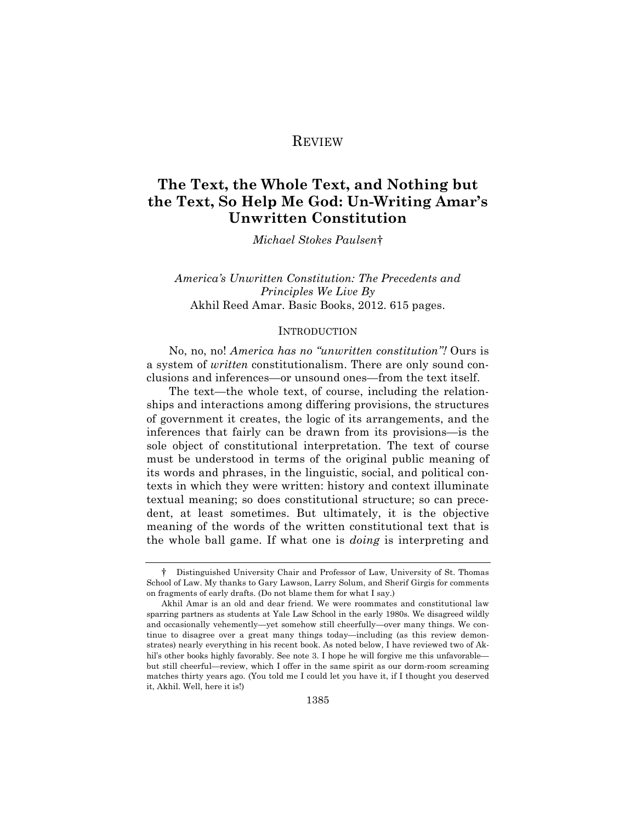## REVIEW

# **The Text, the Whole Text, and Nothing but the Text, So Help Me God: Un-Writing Amar's Unwritten Constitution**

*Michael Stokes Paulsen*†

## *America's Unwritten Constitution: The Precedents and Principles We Live By* Akhil Reed Amar. Basic Books, 2012. 615 pages.

#### INTRODUCTION

No, no, no! *America has no "unwritten constitution"!* Ours is a system of *written* constitutionalism. There are only sound conclusions and inferences—or unsound ones—from the text itself.

The text—the whole text, of course, including the relationships and interactions among differing provisions, the structures of government it creates, the logic of its arrangements, and the inferences that fairly can be drawn from its provisions—is the sole object of constitutional interpretation. The text of course must be understood in terms of the original public meaning of its words and phrases, in the linguistic, social, and political contexts in which they were written: history and context illuminate textual meaning; so does constitutional structure; so can precedent, at least sometimes. But ultimately, it is the objective meaning of the words of the written constitutional text that is the whole ball game. If what one is *doing* is interpreting and

<sup>†</sup> Distinguished University Chair and Professor of Law, University of St. Thomas School of Law. My thanks to Gary Lawson, Larry Solum, and Sherif Girgis for comments on fragments of early drafts. (Do not blame them for what I say.)

Akhil Amar is an old and dear friend. We were roommates and constitutional law sparring partners as students at Yale Law School in the early 1980s. We disagreed wildly and occasionally vehemently—yet somehow still cheerfully—over many things. We continue to disagree over a great many things today—including (as this review demonstrates) nearly everything in his recent book. As noted below, I have reviewed two of Akhil's other books highly favorably. See note 3. I hope he will forgive me this unfavorable but still cheerful—review, which I offer in the same spirit as our dorm-room screaming matches thirty years ago. (You told me I could let you have it, if I thought you deserved it, Akhil. Well, here it is!)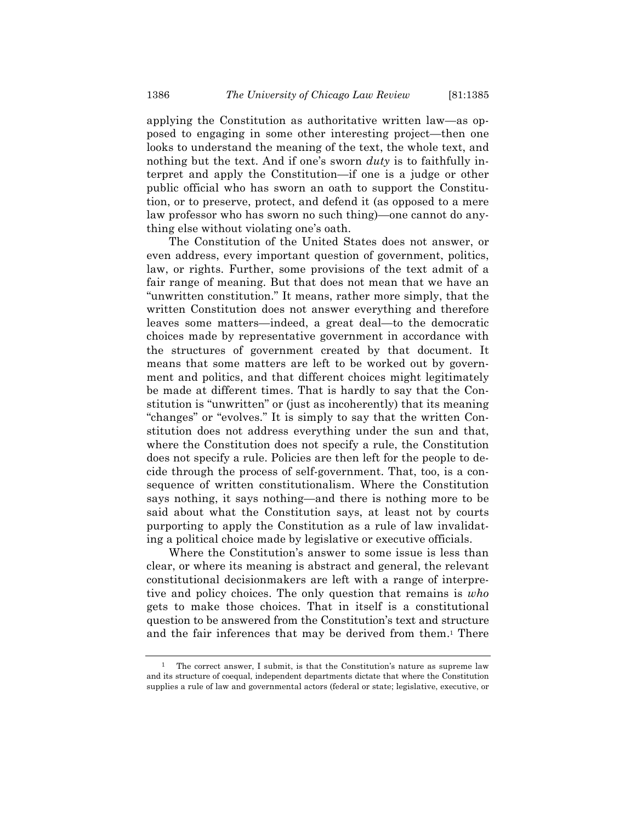applying the Constitution as authoritative written law—as opposed to engaging in some other interesting project—then one looks to understand the meaning of the text, the whole text, and nothing but the text. And if one's sworn *duty* is to faithfully interpret and apply the Constitution—if one is a judge or other public official who has sworn an oath to support the Constitution, or to preserve, protect, and defend it (as opposed to a mere law professor who has sworn no such thing)—one cannot do anything else without violating one's oath.

The Constitution of the United States does not answer, or even address, every important question of government, politics, law, or rights. Further, some provisions of the text admit of a fair range of meaning. But that does not mean that we have an "unwritten constitution." It means, rather more simply, that the written Constitution does not answer everything and therefore leaves some matters—indeed, a great deal—to the democratic choices made by representative government in accordance with the structures of government created by that document. It means that some matters are left to be worked out by government and politics, and that different choices might legitimately be made at different times. That is hardly to say that the Constitution is "unwritten" or (just as incoherently) that its meaning "changes" or "evolves." It is simply to say that the written Constitution does not address everything under the sun and that, where the Constitution does not specify a rule, the Constitution does not specify a rule. Policies are then left for the people to decide through the process of self-government. That, too, is a consequence of written constitutionalism. Where the Constitution says nothing, it says nothing—and there is nothing more to be said about what the Constitution says, at least not by courts purporting to apply the Constitution as a rule of law invalidating a political choice made by legislative or executive officials.

Where the Constitution's answer to some issue is less than clear, or where its meaning is abstract and general, the relevant constitutional decisionmakers are left with a range of interpretive and policy choices. The only question that remains is *who* gets to make those choices. That in itself is a constitutional question to be answered from the Constitution's text and structure and the fair inferences that may be derived from them.<sup>1</sup> There

<sup>1</sup> The correct answer, I submit, is that the Constitution's nature as supreme law and its structure of coequal, independent departments dictate that where the Constitution supplies a rule of law and governmental actors (federal or state; legislative, executive, or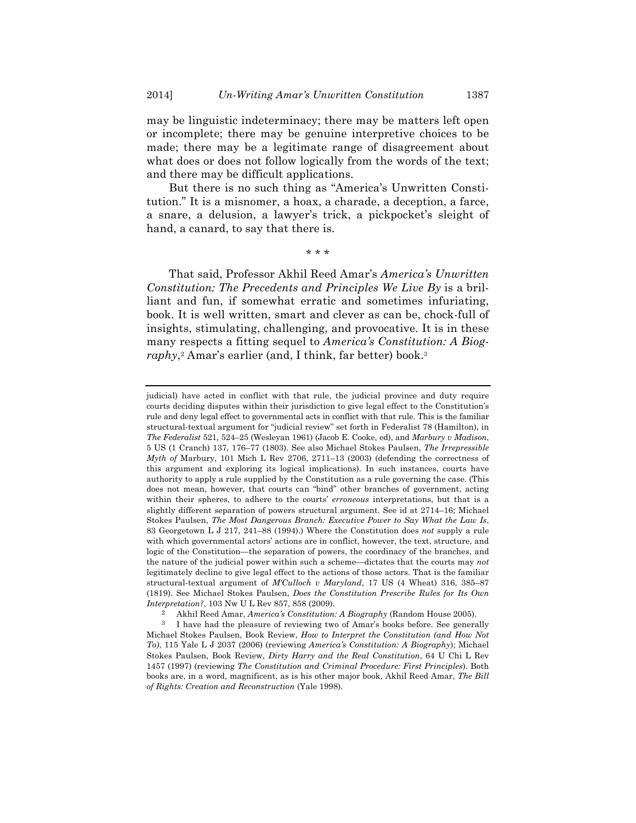may be linguistic indeterminacy; there may be matters left open or incomplete; there may be genuine interpretive choices to be made; there may be a legitimate range of disagreement about what does or does not follow logically from the words of the text; and there may be difficult applications.

But there is no such thing as "America's Unwritten Constitution." It is a misnomer, a hoax, a charade, a deception, a farce, a snare, a delusion, a lawyer's trick, a pickpocket's sleight of hand, a canard, to say that there is.

\* \* \*

That said, Professor Akhil Reed Amar's *America's Unwritten Constitution: The Precedents and Principles We Live By* is a brilliant and fun, if somewhat erratic and sometimes infuriating, book. It is well written, smart and clever as can be, chock-full of insights, stimulating, challenging, and provocative. It is in these many respects a fitting sequel to *America's Constitution: A Biog*raphy,<sup>2</sup> Amar's earlier (and, I think, far better) book.<sup>3</sup>

2 Akhil Reed Amar, *America's Constitution: A Biography* (Random House 2005).

judicial) have acted in conflict with that rule, the judicial province and duty require courts deciding disputes within their jurisdiction to give legal effect to the Constitution's rule and deny legal effect to governmental acts in conflict with that rule. This is the familiar structural-textual argument for "judicial review" set forth in Federalist 78 (Hamilton), in *The Federalist* 521, 524–25 (Wesleyan 1961) (Jacob E. Cooke, ed), and *Marbury v Madison*, 5 US (1 Cranch) 137, 176–77 (1803). See also Michael Stokes Paulsen, *The Irrepressible Myth of* Marbury, 101 Mich L Rev 2706, 2711–13 (2003) (defending the correctness of this argument and exploring its logical implications). In such instances, courts have authority to apply a rule supplied by the Constitution as a rule governing the case. (This does not mean, however, that courts can "bind" other branches of government, acting within their spheres, to adhere to the courts' *erroneous* interpretations, but that is a slightly different separation of powers structural argument. See id at 2714–16; Michael Stokes Paulsen, *The Most Dangerous Branch: Executive Power to Say What the Law Is*, 83 Georgetown L J 217, 241–88 (1994).) Where the Constitution does *not* supply a rule with which governmental actors' actions are in conflict, however, the text, structure, and logic of the Constitution—the separation of powers, the coordinacy of the branches, and the nature of the judicial power within such a scheme—dictates that the courts may *not* legitimately decline to give legal effect to the actions of those actors. That is the familiar structural-textual argument of *M'Culloch v Maryland*, 17 US (4 Wheat) 316, 385–87 (1819). See Michael Stokes Paulsen, *Does the Constitution Prescribe Rules for Its Own Interpretation?*, 103 Nw U L Rev 857, 858 (2009).

<sup>3</sup> I have had the pleasure of reviewing two of Amar's books before. See generally Michael Stokes Paulsen, Book Review, *How to Interpret the Constitution (and How Not To)*, 115 Yale L J 2037 (2006) (reviewing *America's Constitution: A Biography*); Michael Stokes Paulsen, Book Review, *Dirty Harry and the Real Constitution*, 64 U Chi L Rev 1457 (1997) (reviewing *The Constitution and Criminal Procedure: First Principles*). Both books are, in a word, magnificent, as is his other major book, Akhil Reed Amar, *The Bill of Rights: Creation and Reconstruction* (Yale 1998).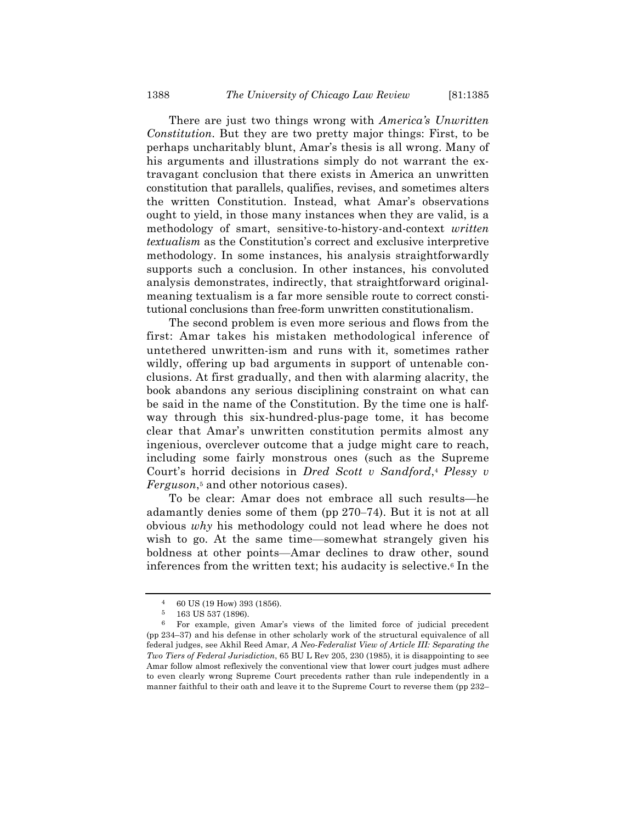There are just two things wrong with *America's Unwritten Constitution*. But they are two pretty major things: First, to be perhaps uncharitably blunt, Amar's thesis is all wrong. Many of his arguments and illustrations simply do not warrant the extravagant conclusion that there exists in America an unwritten constitution that parallels, qualifies, revises, and sometimes alters the written Constitution. Instead, what Amar's observations ought to yield, in those many instances when they are valid, is a methodology of smart, sensitive-to-history-and-context *written textualism* as the Constitution's correct and exclusive interpretive methodology. In some instances, his analysis straightforwardly supports such a conclusion. In other instances, his convoluted analysis demonstrates, indirectly, that straightforward originalmeaning textualism is a far more sensible route to correct constitutional conclusions than free-form unwritten constitutionalism.

The second problem is even more serious and flows from the first: Amar takes his mistaken methodological inference of untethered unwritten-ism and runs with it, sometimes rather wildly, offering up bad arguments in support of untenable conclusions. At first gradually, and then with alarming alacrity, the book abandons any serious disciplining constraint on what can be said in the name of the Constitution. By the time one is halfway through this six-hundred-plus-page tome, it has become clear that Amar's unwritten constitution permits almost any ingenious, overclever outcome that a judge might care to reach, including some fairly monstrous ones (such as the Supreme Court's horrid decisions in *Dred Scott v Sandford*,4 *Plessy v Ferguson*,5 and other notorious cases).

To be clear: Amar does not embrace all such results—he adamantly denies some of them (pp 270–74). But it is not at all obvious *why* his methodology could not lead where he does not wish to go. At the same time—somewhat strangely given his boldness at other points—Amar declines to draw other, sound inferences from the written text; his audacity is selective.6 In the

<sup>4</sup> 60 US (19 How) 393 (1856).

<sup>5</sup> 163 US 537 (1896).

<sup>6</sup> For example, given Amar's views of the limited force of judicial precedent (pp 234–37) and his defense in other scholarly work of the structural equivalence of all federal judges, see Akhil Reed Amar, *A Neo-Federalist View of Article III: Separating the Two Tiers of Federal Jurisdiction*, 65 BU L Rev 205, 230 (1985), it is disappointing to see Amar follow almost reflexively the conventional view that lower court judges must adhere to even clearly wrong Supreme Court precedents rather than rule independently in a manner faithful to their oath and leave it to the Supreme Court to reverse them (pp 232–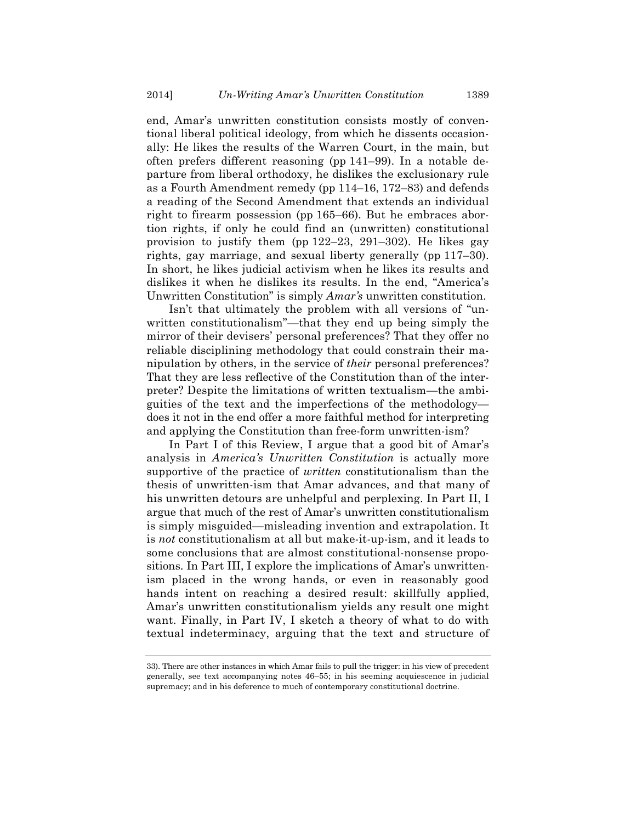end, Amar's unwritten constitution consists mostly of conventional liberal political ideology, from which he dissents occasionally: He likes the results of the Warren Court, in the main, but often prefers different reasoning (pp 141–99). In a notable departure from liberal orthodoxy, he dislikes the exclusionary rule as a Fourth Amendment remedy (pp 114–16, 172–83) and defends a reading of the Second Amendment that extends an individual right to firearm possession (pp 165–66). But he embraces abortion rights, if only he could find an (unwritten) constitutional provision to justify them (pp 122–23, 291–302). He likes gay rights, gay marriage, and sexual liberty generally (pp 117–30). In short, he likes judicial activism when he likes its results and dislikes it when he dislikes its results. In the end, "America's Unwritten Constitution" is simply *Amar's* unwritten constitution.

Isn't that ultimately the problem with all versions of "unwritten constitutionalism"—that they end up being simply the mirror of their devisers' personal preferences? That they offer no reliable disciplining methodology that could constrain their manipulation by others, in the service of *their* personal preferences? That they are less reflective of the Constitution than of the interpreter? Despite the limitations of written textualism—the ambiguities of the text and the imperfections of the methodology does it not in the end offer a more faithful method for interpreting and applying the Constitution than free-form unwritten-ism?

In Part I of this Review, I argue that a good bit of Amar's analysis in *America's Unwritten Constitution* is actually more supportive of the practice of *written* constitutionalism than the thesis of unwritten-ism that Amar advances, and that many of his unwritten detours are unhelpful and perplexing. In Part II, I argue that much of the rest of Amar's unwritten constitutionalism is simply misguided—misleading invention and extrapolation. It is *not* constitutionalism at all but make-it-up-ism, and it leads to some conclusions that are almost constitutional-nonsense propositions. In Part III, I explore the implications of Amar's unwrittenism placed in the wrong hands, or even in reasonably good hands intent on reaching a desired result: skillfully applied, Amar's unwritten constitutionalism yields any result one might want. Finally, in Part IV, I sketch a theory of what to do with textual indeterminacy, arguing that the text and structure of

<sup>33).</sup> There are other instances in which Amar fails to pull the trigger: in his view of precedent generally, see text accompanying notes 46–55; in his seeming acquiescence in judicial supremacy; and in his deference to much of contemporary constitutional doctrine.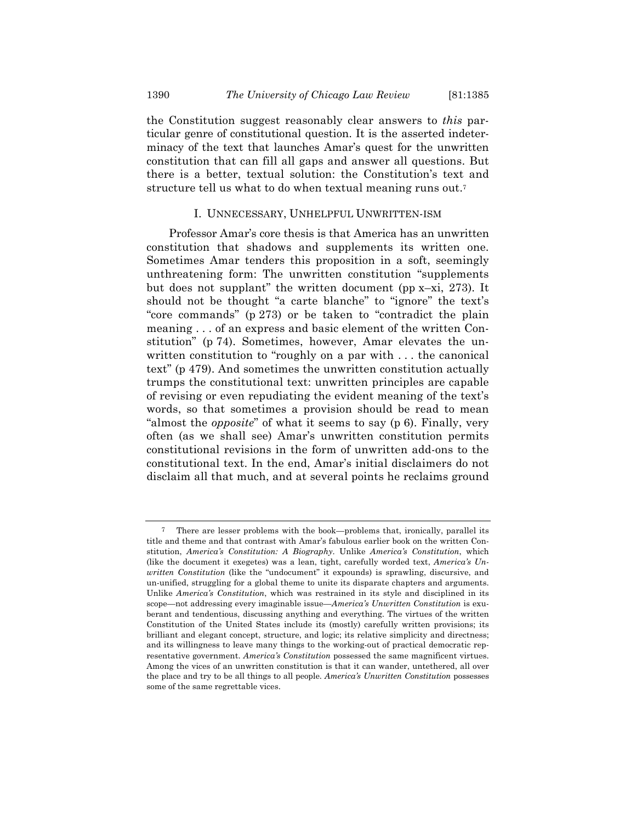the Constitution suggest reasonably clear answers to *this* particular genre of constitutional question. It is the asserted indeterminacy of the text that launches Amar's quest for the unwritten constitution that can fill all gaps and answer all questions. But there is a better, textual solution: the Constitution's text and structure tell us what to do when textual meaning runs out.7

#### I. UNNECESSARY, UNHELPFUL UNWRITTEN-ISM

Professor Amar's core thesis is that America has an unwritten constitution that shadows and supplements its written one. Sometimes Amar tenders this proposition in a soft, seemingly unthreatening form: The unwritten constitution "supplements but does not supplant" the written document (pp x–xi, 273). It should not be thought "a carte blanche" to "ignore" the text's "core commands" (p 273) or be taken to "contradict the plain meaning . . . of an express and basic element of the written Constitution" (p 74). Sometimes, however, Amar elevates the unwritten constitution to "roughly on a par with . . . the canonical text" (p 479). And sometimes the unwritten constitution actually trumps the constitutional text: unwritten principles are capable of revising or even repudiating the evident meaning of the text's words, so that sometimes a provision should be read to mean "almost the *opposite*" of what it seems to say (p 6). Finally, very often (as we shall see) Amar's unwritten constitution permits constitutional revisions in the form of unwritten add-ons to the constitutional text. In the end, Amar's initial disclaimers do not disclaim all that much, and at several points he reclaims ground

<sup>7</sup> There are lesser problems with the book—problems that, ironically, parallel its title and theme and that contrast with Amar's fabulous earlier book on the written Constitution, *America's Constitution: A Biography*. Unlike *America's Constitution*, which (like the document it exegetes) was a lean, tight, carefully worded text, *America's Unwritten Constitution* (like the "undocument" it expounds) is sprawling, discursive, and un-unified, struggling for a global theme to unite its disparate chapters and arguments. Unlike *America's Constitution*, which was restrained in its style and disciplined in its scope—not addressing every imaginable issue—*America's Unwritten Constitution* is exuberant and tendentious, discussing anything and everything. The virtues of the written Constitution of the United States include its (mostly) carefully written provisions; its brilliant and elegant concept, structure, and logic; its relative simplicity and directness; and its willingness to leave many things to the working-out of practical democratic representative government. *America's Constitution* possessed the same magnificent virtues. Among the vices of an unwritten constitution is that it can wander, untethered, all over the place and try to be all things to all people. *America's Unwritten Constitution* possesses some of the same regrettable vices.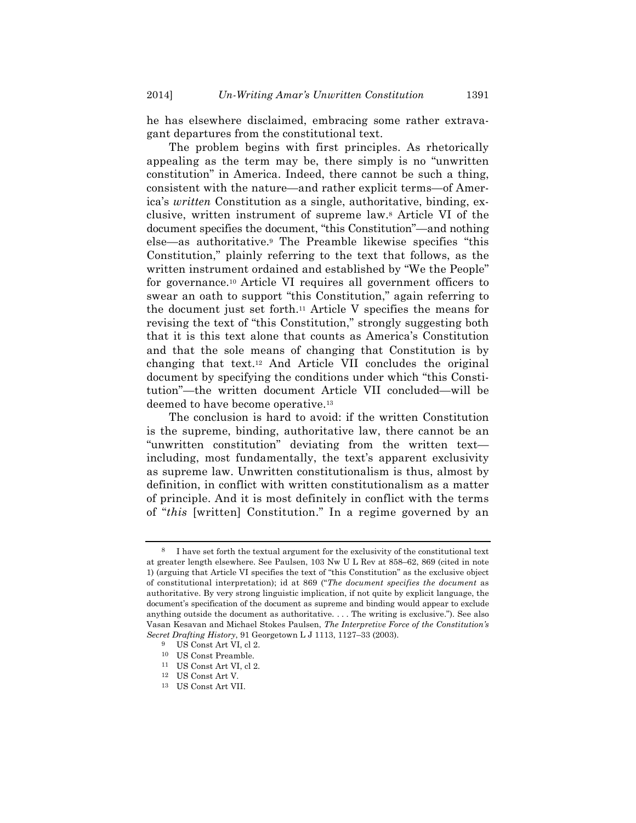he has elsewhere disclaimed, embracing some rather extravagant departures from the constitutional text.

The problem begins with first principles. As rhetorically appealing as the term may be, there simply is no "unwritten constitution" in America. Indeed, there cannot be such a thing, consistent with the nature—and rather explicit terms—of America's *written* Constitution as a single, authoritative, binding, exclusive, written instrument of supreme law.8 Article VI of the document specifies the document, "this Constitution"—and nothing else—as authoritative.9 The Preamble likewise specifies "this Constitution," plainly referring to the text that follows, as the written instrument ordained and established by "We the People" for governance.10 Article VI requires all government officers to swear an oath to support "this Constitution," again referring to the document just set forth.11 Article V specifies the means for revising the text of "this Constitution," strongly suggesting both that it is this text alone that counts as America's Constitution and that the sole means of changing that Constitution is by changing that text.12 And Article VII concludes the original document by specifying the conditions under which "this Constitution"—the written document Article VII concluded—will be deemed to have become operative.13

The conclusion is hard to avoid: if the written Constitution is the supreme, binding, authoritative law, there cannot be an "unwritten constitution" deviating from the written text including, most fundamentally, the text's apparent exclusivity as supreme law. Unwritten constitutionalism is thus, almost by definition, in conflict with written constitutionalism as a matter of principle. And it is most definitely in conflict with the terms of "*this* [written] Constitution." In a regime governed by an

<sup>8</sup> I have set forth the textual argument for the exclusivity of the constitutional text at greater length elsewhere. See Paulsen, 103 Nw U L Rev at 858–62, 869 (cited in note 1) (arguing that Article VI specifies the text of "this Constitution" as the exclusive object of constitutional interpretation); id at 869 ("*The document specifies the document* as authoritative. By very strong linguistic implication, if not quite by explicit language, the document's specification of the document as supreme and binding would appear to exclude anything outside the document as authoritative. . . . The writing is exclusive."). See also Vasan Kesavan and Michael Stokes Paulsen, *The Interpretive Force of the Constitution's Secret Drafting History*, 91 Georgetown L J 1113, 1127–33 (2003).

<sup>9</sup> US Const Art VI, cl 2.

<sup>10</sup> US Const Preamble.

<sup>11</sup> US Const Art VI, cl 2.

<sup>12</sup> US Const Art V.

<sup>13</sup> US Const Art VII.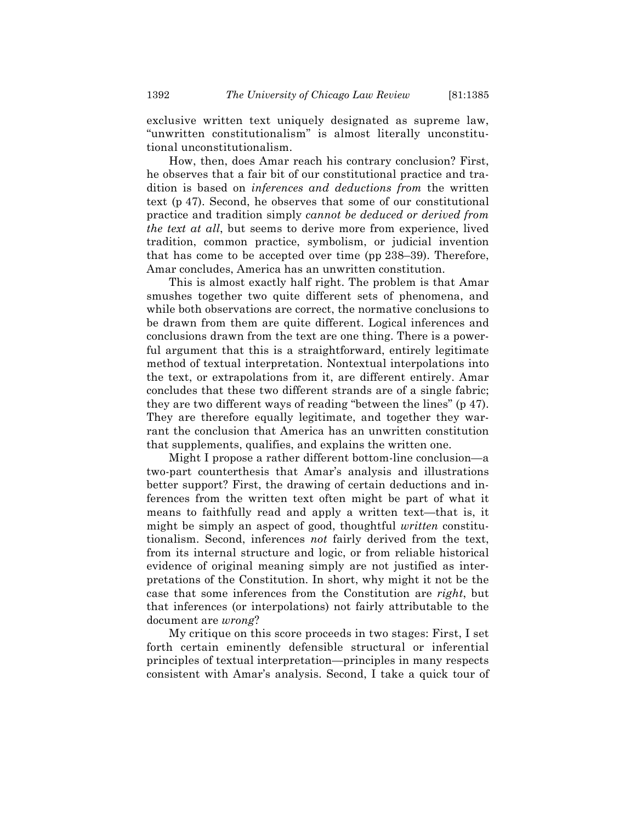exclusive written text uniquely designated as supreme law, "unwritten constitutionalism" is almost literally unconstitutional unconstitutionalism.

How, then, does Amar reach his contrary conclusion? First, he observes that a fair bit of our constitutional practice and tradition is based on *inferences and deductions from* the written text (p 47). Second, he observes that some of our constitutional practice and tradition simply *cannot be deduced or derived from the text at all*, but seems to derive more from experience, lived tradition, common practice, symbolism, or judicial invention that has come to be accepted over time (pp 238–39). Therefore, Amar concludes, America has an unwritten constitution.

This is almost exactly half right. The problem is that Amar smushes together two quite different sets of phenomena, and while both observations are correct, the normative conclusions to be drawn from them are quite different. Logical inferences and conclusions drawn from the text are one thing. There is a powerful argument that this is a straightforward, entirely legitimate method of textual interpretation. Nontextual interpolations into the text, or extrapolations from it, are different entirely. Amar concludes that these two different strands are of a single fabric; they are two different ways of reading "between the lines" (p 47). They are therefore equally legitimate, and together they warrant the conclusion that America has an unwritten constitution that supplements, qualifies, and explains the written one.

Might I propose a rather different bottom-line conclusion—a two-part counterthesis that Amar's analysis and illustrations better support? First, the drawing of certain deductions and inferences from the written text often might be part of what it means to faithfully read and apply a written text—that is, it might be simply an aspect of good, thoughtful *written* constitutionalism. Second, inferences *not* fairly derived from the text, from its internal structure and logic, or from reliable historical evidence of original meaning simply are not justified as interpretations of the Constitution. In short, why might it not be the case that some inferences from the Constitution are *right*, but that inferences (or interpolations) not fairly attributable to the document are *wrong*?

My critique on this score proceeds in two stages: First, I set forth certain eminently defensible structural or inferential principles of textual interpretation—principles in many respects consistent with Amar's analysis. Second, I take a quick tour of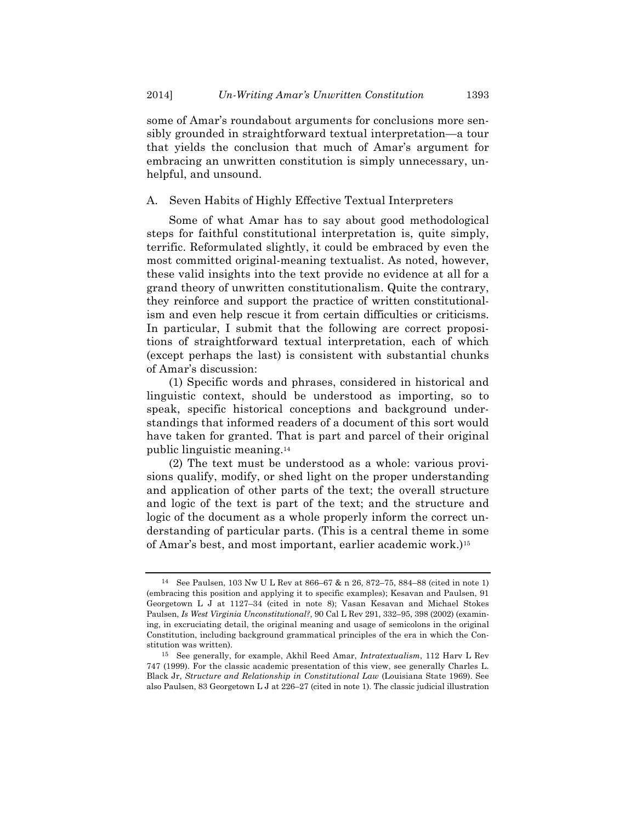some of Amar's roundabout arguments for conclusions more sensibly grounded in straightforward textual interpretation—a tour that yields the conclusion that much of Amar's argument for embracing an unwritten constitution is simply unnecessary, unhelpful, and unsound.

#### A. Seven Habits of Highly Effective Textual Interpreters

Some of what Amar has to say about good methodological steps for faithful constitutional interpretation is, quite simply, terrific. Reformulated slightly, it could be embraced by even the most committed original-meaning textualist. As noted, however, these valid insights into the text provide no evidence at all for a grand theory of unwritten constitutionalism. Quite the contrary, they reinforce and support the practice of written constitutionalism and even help rescue it from certain difficulties or criticisms. In particular, I submit that the following are correct propositions of straightforward textual interpretation, each of which (except perhaps the last) is consistent with substantial chunks of Amar's discussion:

(1) Specific words and phrases, considered in historical and linguistic context, should be understood as importing, so to speak, specific historical conceptions and background understandings that informed readers of a document of this sort would have taken for granted. That is part and parcel of their original public linguistic meaning.14

(2) The text must be understood as a whole: various provisions qualify, modify, or shed light on the proper understanding and application of other parts of the text; the overall structure and logic of the text is part of the text; and the structure and logic of the document as a whole properly inform the correct understanding of particular parts. (This is a central theme in some of Amar's best, and most important, earlier academic work.)15

<sup>14</sup> See Paulsen, 103 Nw U L Rev at 866–67 & n 26, 872–75, 884–88 (cited in note 1) (embracing this position and applying it to specific examples); Kesavan and Paulsen, 91 Georgetown L J at 1127–34 (cited in note 8); Vasan Kesavan and Michael Stokes Paulsen, *Is West Virginia Unconstitutional?*, 90 Cal L Rev 291, 332–95, 398 (2002) (examining, in excruciating detail, the original meaning and usage of semicolons in the original Constitution, including background grammatical principles of the era in which the Constitution was written).

<sup>15</sup> See generally, for example, Akhil Reed Amar, *Intratextualism*, 112 Harv L Rev 747 (1999). For the classic academic presentation of this view, see generally Charles L. Black Jr, *Structure and Relationship in Constitutional Law* (Louisiana State 1969). See also Paulsen, 83 Georgetown L J at 226–27 (cited in note 1). The classic judicial illustration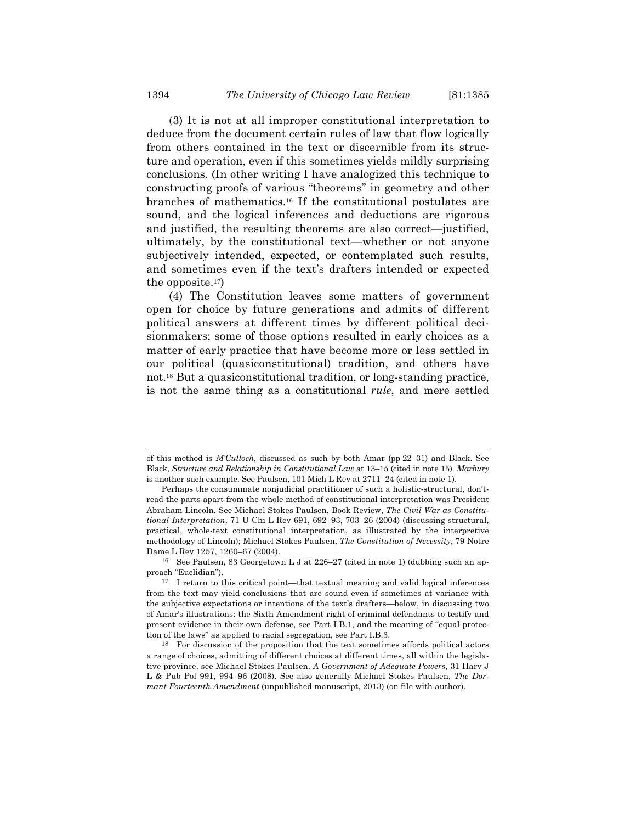(3) It is not at all improper constitutional interpretation to deduce from the document certain rules of law that flow logically from others contained in the text or discernible from its structure and operation, even if this sometimes yields mildly surprising conclusions. (In other writing I have analogized this technique to constructing proofs of various "theorems" in geometry and other branches of mathematics.16 If the constitutional postulates are sound, and the logical inferences and deductions are rigorous and justified, the resulting theorems are also correct—justified, ultimately, by the constitutional text—whether or not anyone subjectively intended, expected, or contemplated such results, and sometimes even if the text's drafters intended or expected the opposite. $17$ )

(4) The Constitution leaves some matters of government open for choice by future generations and admits of different political answers at different times by different political decisionmakers; some of those options resulted in early choices as a matter of early practice that have become more or less settled in our political (quasiconstitutional) tradition, and others have not.18 But a quasiconstitutional tradition, or long-standing practice, is not the same thing as a constitutional *rule*, and mere settled

of this method is *M'Culloch*, discussed as such by both Amar (pp 22–31) and Black. See Black, *Structure and Relationship in Constitutional Law* at 13–15 (cited in note 15). *Marbury* is another such example. See Paulsen, 101 Mich L Rev at 2711–24 (cited in note 1).

Perhaps the consummate nonjudicial practitioner of such a holistic-structural, don'tread-the-parts-apart-from-the-whole method of constitutional interpretation was President Abraham Lincoln. See Michael Stokes Paulsen, Book Review, *The Civil War as Constitutional Interpretation*, 71 U Chi L Rev 691, 692–93, 703–26 (2004) (discussing structural, practical, whole-text constitutional interpretation, as illustrated by the interpretive methodology of Lincoln); Michael Stokes Paulsen, *The Constitution of Necessity*, 79 Notre Dame L Rev 1257, 1260–67 (2004).

<sup>&</sup>lt;sup>16</sup> See Paulsen, 83 Georgetown L J at  $226-27$  (cited in note 1) (dubbing such an approach "Euclidian").

<sup>17</sup> I return to this critical point—that textual meaning and valid logical inferences from the text may yield conclusions that are sound even if sometimes at variance with the subjective expectations or intentions of the text's drafters—below, in discussing two of Amar's illustrations: the Sixth Amendment right of criminal defendants to testify and present evidence in their own defense, see Part I.B.1, and the meaning of "equal protection of the laws" as applied to racial segregation, see Part I.B.3.

<sup>18</sup> For discussion of the proposition that the text sometimes affords political actors a range of choices, admitting of different choices at different times, all within the legislative province, see Michael Stokes Paulsen, *A Government of Adequate Powers*, 31 Harv J L & Pub Pol 991, 994–96 (2008). See also generally Michael Stokes Paulsen, *The Dormant Fourteenth Amendment* (unpublished manuscript, 2013) (on file with author).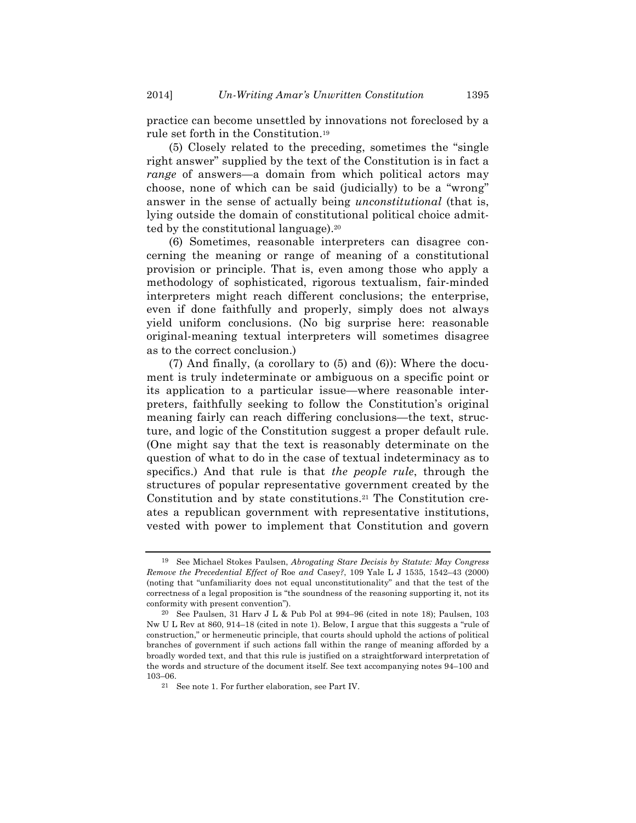practice can become unsettled by innovations not foreclosed by a rule set forth in the Constitution.19

(5) Closely related to the preceding, sometimes the "single right answer" supplied by the text of the Constitution is in fact a *range* of answers—a domain from which political actors may choose, none of which can be said (judicially) to be a "wrong" answer in the sense of actually being *unconstitutional* (that is, lying outside the domain of constitutional political choice admitted by the constitutional language).20

(6) Sometimes, reasonable interpreters can disagree concerning the meaning or range of meaning of a constitutional provision or principle. That is, even among those who apply a methodology of sophisticated, rigorous textualism, fair-minded interpreters might reach different conclusions; the enterprise, even if done faithfully and properly, simply does not always yield uniform conclusions. (No big surprise here: reasonable original-meaning textual interpreters will sometimes disagree as to the correct conclusion.)

(7) And finally, (a corollary to (5) and (6)): Where the document is truly indeterminate or ambiguous on a specific point or its application to a particular issue—where reasonable interpreters, faithfully seeking to follow the Constitution's original meaning fairly can reach differing conclusions—the text, structure, and logic of the Constitution suggest a proper default rule. (One might say that the text is reasonably determinate on the question of what to do in the case of textual indeterminacy as to specifics.) And that rule is that *the people rule*, through the structures of popular representative government created by the Constitution and by state constitutions.21 The Constitution creates a republican government with representative institutions, vested with power to implement that Constitution and govern

<sup>19</sup> See Michael Stokes Paulsen, *Abrogating Stare Decisis by Statute: May Congress Remove the Precedential Effect of* Roe *and* Casey*?*, 109 Yale L J 1535, 1542–43 (2000) (noting that "unfamiliarity does not equal unconstitutionality" and that the test of the correctness of a legal proposition is "the soundness of the reasoning supporting it, not its conformity with present convention").

<sup>&</sup>lt;sup>20</sup> See Paulsen, 31 Harv J L & Pub Pol at  $994-96$  (cited in note 18); Paulsen, 103 Nw U L Rev at 860, 914–18 (cited in note 1). Below, I argue that this suggests a "rule of construction," or hermeneutic principle, that courts should uphold the actions of political branches of government if such actions fall within the range of meaning afforded by a broadly worded text, and that this rule is justified on a straightforward interpretation of the words and structure of the document itself. See text accompanying notes 94–100 and 103–06.

<sup>21</sup> See note 1. For further elaboration, see Part IV.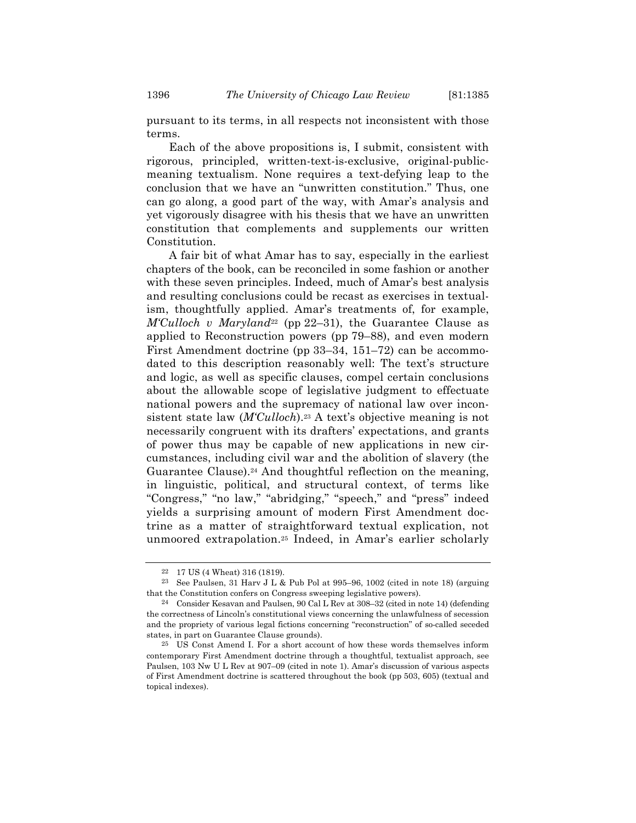pursuant to its terms, in all respects not inconsistent with those terms.

Each of the above propositions is, I submit, consistent with rigorous, principled, written-text-is-exclusive, original-publicmeaning textualism. None requires a text-defying leap to the conclusion that we have an "unwritten constitution." Thus, one can go along, a good part of the way, with Amar's analysis and yet vigorously disagree with his thesis that we have an unwritten constitution that complements and supplements our written Constitution.

A fair bit of what Amar has to say, especially in the earliest chapters of the book, can be reconciled in some fashion or another with these seven principles. Indeed, much of Amar's best analysis and resulting conclusions could be recast as exercises in textualism, thoughtfully applied. Amar's treatments of, for example, *M'Culloch v Maryland*<sup>22</sup> (pp 22–31), the Guarantee Clause as applied to Reconstruction powers (pp 79–88), and even modern First Amendment doctrine (pp 33–34, 151–72) can be accommodated to this description reasonably well: The text's structure and logic, as well as specific clauses, compel certain conclusions about the allowable scope of legislative judgment to effectuate national powers and the supremacy of national law over inconsistent state law (*M'Culloch*).23 A text's objective meaning is not necessarily congruent with its drafters' expectations, and grants of power thus may be capable of new applications in new circumstances, including civil war and the abolition of slavery (the Guarantee Clause).<sup>24</sup> And thoughtful reflection on the meaning, in linguistic, political, and structural context, of terms like "Congress," "no law," "abridging," "speech," and "press" indeed yields a surprising amount of modern First Amendment doctrine as a matter of straightforward textual explication, not unmoored extrapolation.25 Indeed, in Amar's earlier scholarly

<sup>22</sup> 17 US (4 Wheat) 316 (1819).

<sup>23</sup> See Paulsen, 31 Harv J L & Pub Pol at 995–96, 1002 (cited in note 18) (arguing that the Constitution confers on Congress sweeping legislative powers).

<sup>24</sup> Consider Kesavan and Paulsen, 90 Cal L Rev at 308–32 (cited in note 14) (defending the correctness of Lincoln's constitutional views concerning the unlawfulness of secession and the propriety of various legal fictions concerning "reconstruction" of so-called seceded states, in part on Guarantee Clause grounds).

<sup>25</sup> US Const Amend I. For a short account of how these words themselves inform contemporary First Amendment doctrine through a thoughtful, textualist approach, see Paulsen, 103 Nw U L Rev at 907–09 (cited in note 1). Amar's discussion of various aspects of First Amendment doctrine is scattered throughout the book (pp 503, 605) (textual and topical indexes).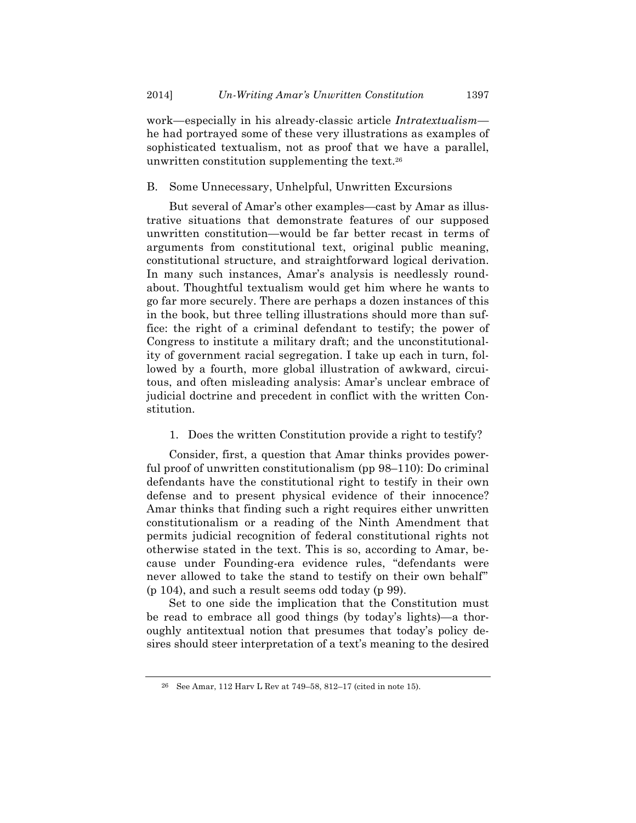work—especially in his already-classic article *Intratextualism* he had portrayed some of these very illustrations as examples of sophisticated textualism, not as proof that we have a parallel, unwritten constitution supplementing the text.26

#### B. Some Unnecessary, Unhelpful, Unwritten Excursions

But several of Amar's other examples—cast by Amar as illustrative situations that demonstrate features of our supposed unwritten constitution—would be far better recast in terms of arguments from constitutional text, original public meaning, constitutional structure, and straightforward logical derivation. In many such instances, Amar's analysis is needlessly roundabout. Thoughtful textualism would get him where he wants to go far more securely. There are perhaps a dozen instances of this in the book, but three telling illustrations should more than suffice: the right of a criminal defendant to testify; the power of Congress to institute a military draft; and the unconstitutionality of government racial segregation. I take up each in turn, followed by a fourth, more global illustration of awkward, circuitous, and often misleading analysis: Amar's unclear embrace of judicial doctrine and precedent in conflict with the written Constitution.

1. Does the written Constitution provide a right to testify?

Consider, first, a question that Amar thinks provides powerful proof of unwritten constitutionalism (pp 98–110): Do criminal defendants have the constitutional right to testify in their own defense and to present physical evidence of their innocence? Amar thinks that finding such a right requires either unwritten constitutionalism or a reading of the Ninth Amendment that permits judicial recognition of federal constitutional rights not otherwise stated in the text. This is so, according to Amar, because under Founding-era evidence rules, "defendants were never allowed to take the stand to testify on their own behalf" (p 104), and such a result seems odd today (p 99).

Set to one side the implication that the Constitution must be read to embrace all good things (by today's lights)—a thoroughly antitextual notion that presumes that today's policy desires should steer interpretation of a text's meaning to the desired

<sup>26</sup> See Amar, 112 Harv L Rev at 749–58, 812–17 (cited in note 15).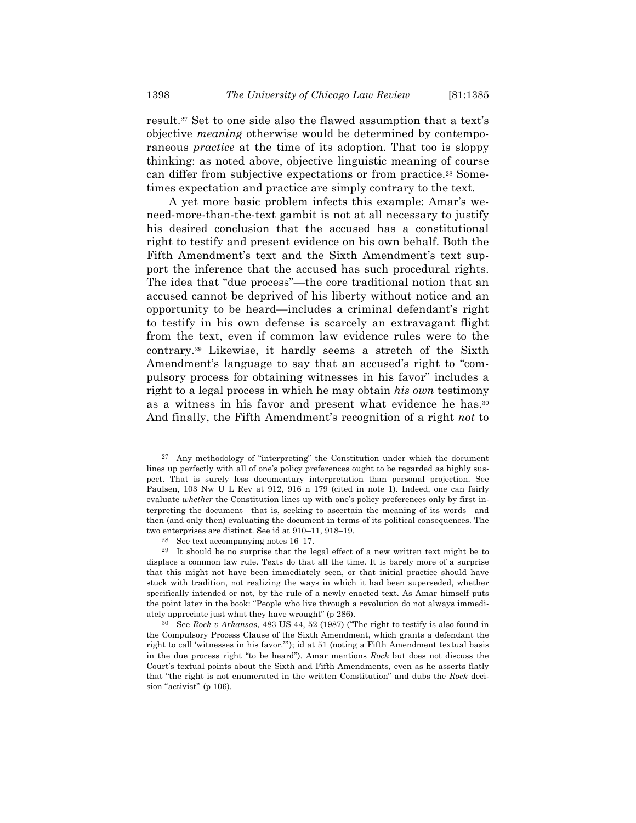result.27 Set to one side also the flawed assumption that a text's objective *meaning* otherwise would be determined by contemporaneous *practice* at the time of its adoption. That too is sloppy thinking: as noted above, objective linguistic meaning of course can differ from subjective expectations or from practice.28 Sometimes expectation and practice are simply contrary to the text.

A yet more basic problem infects this example: Amar's weneed-more-than-the-text gambit is not at all necessary to justify his desired conclusion that the accused has a constitutional right to testify and present evidence on his own behalf. Both the Fifth Amendment's text and the Sixth Amendment's text support the inference that the accused has such procedural rights. The idea that "due process"—the core traditional notion that an accused cannot be deprived of his liberty without notice and an opportunity to be heard—includes a criminal defendant's right to testify in his own defense is scarcely an extravagant flight from the text, even if common law evidence rules were to the contrary.29 Likewise, it hardly seems a stretch of the Sixth Amendment's language to say that an accused's right to "compulsory process for obtaining witnesses in his favor" includes a right to a legal process in which he may obtain *his own* testimony as a witness in his favor and present what evidence he has.30 And finally, the Fifth Amendment's recognition of a right *not* to

<sup>27</sup> Any methodology of "interpreting" the Constitution under which the document lines up perfectly with all of one's policy preferences ought to be regarded as highly suspect. That is surely less documentary interpretation than personal projection. See Paulsen, 103 Nw U L Rev at 912, 916 n 179 (cited in note 1). Indeed, one can fairly evaluate *whether* the Constitution lines up with one's policy preferences only by first interpreting the document—that is, seeking to ascertain the meaning of its words—and then (and only then) evaluating the document in terms of its political consequences. The two enterprises are distinct. See id at 910–11, 918–19.

<sup>28</sup> See text accompanying notes 16–17.

<sup>29</sup> It should be no surprise that the legal effect of a new written text might be to displace a common law rule. Texts do that all the time. It is barely more of a surprise that this might not have been immediately seen, or that initial practice should have stuck with tradition, not realizing the ways in which it had been superseded, whether specifically intended or not, by the rule of a newly enacted text. As Amar himself puts the point later in the book: "People who live through a revolution do not always immediately appreciate just what they have wrought" (p 286).

<sup>30</sup> See *Rock v Arkansas*, 483 US 44, 52 (1987) ("The right to testify is also found in the Compulsory Process Clause of the Sixth Amendment, which grants a defendant the right to call 'witnesses in his favor.'"); id at 51 (noting a Fifth Amendment textual basis in the due process right "to be heard"). Amar mentions *Rock* but does not discuss the Court's textual points about the Sixth and Fifth Amendments, even as he asserts flatly that "the right is not enumerated in the written Constitution" and dubs the *Rock* decision "activist" (p 106).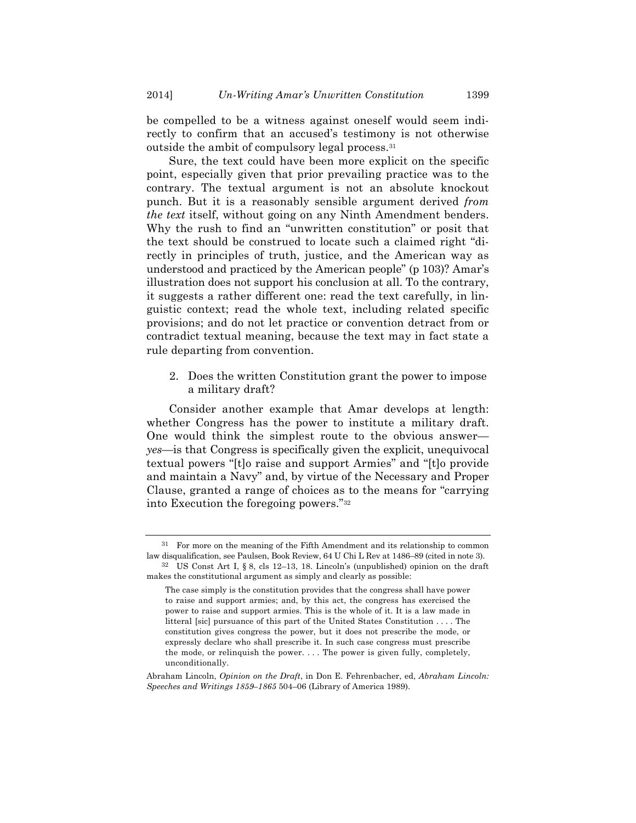be compelled to be a witness against oneself would seem indirectly to confirm that an accused's testimony is not otherwise outside the ambit of compulsory legal process.31

Sure, the text could have been more explicit on the specific point, especially given that prior prevailing practice was to the contrary. The textual argument is not an absolute knockout punch. But it is a reasonably sensible argument derived *from the text* itself, without going on any Ninth Amendment benders. Why the rush to find an "unwritten constitution" or posit that the text should be construed to locate such a claimed right "directly in principles of truth, justice, and the American way as understood and practiced by the American people" (p 103)? Amar's illustration does not support his conclusion at all. To the contrary, it suggests a rather different one: read the text carefully, in linguistic context; read the whole text, including related specific provisions; and do not let practice or convention detract from or contradict textual meaning, because the text may in fact state a rule departing from convention.

2. Does the written Constitution grant the power to impose a military draft?

Consider another example that Amar develops at length: whether Congress has the power to institute a military draft. One would think the simplest route to the obvious answer *yes*—is that Congress is specifically given the explicit, unequivocal textual powers "[t]o raise and support Armies" and "[t]o provide and maintain a Navy" and, by virtue of the Necessary and Proper Clause, granted a range of choices as to the means for "carrying into Execution the foregoing powers."32

<sup>31</sup> For more on the meaning of the Fifth Amendment and its relationship to common law disqualification, see Paulsen, Book Review, 64 U Chi L Rev at 1486–89 (cited in note 3).

<sup>32</sup> US Const Art I, § 8, cls 12–13, 18. Lincoln's (unpublished) opinion on the draft makes the constitutional argument as simply and clearly as possible:

The case simply is the constitution provides that the congress shall have power to raise and support armies; and, by this act, the congress has exercised the power to raise and support armies. This is the whole of it. It is a law made in litteral [sic] pursuance of this part of the United States Constitution . . . . The constitution gives congress the power, but it does not prescribe the mode, or expressly declare who shall prescribe it. In such case congress must prescribe the mode, or relinquish the power. . . . The power is given fully, completely, unconditionally.

Abraham Lincoln, *Opinion on the Draft*, in Don E. Fehrenbacher, ed, *Abraham Lincoln: Speeches and Writings 1859–1865* 504–06 (Library of America 1989).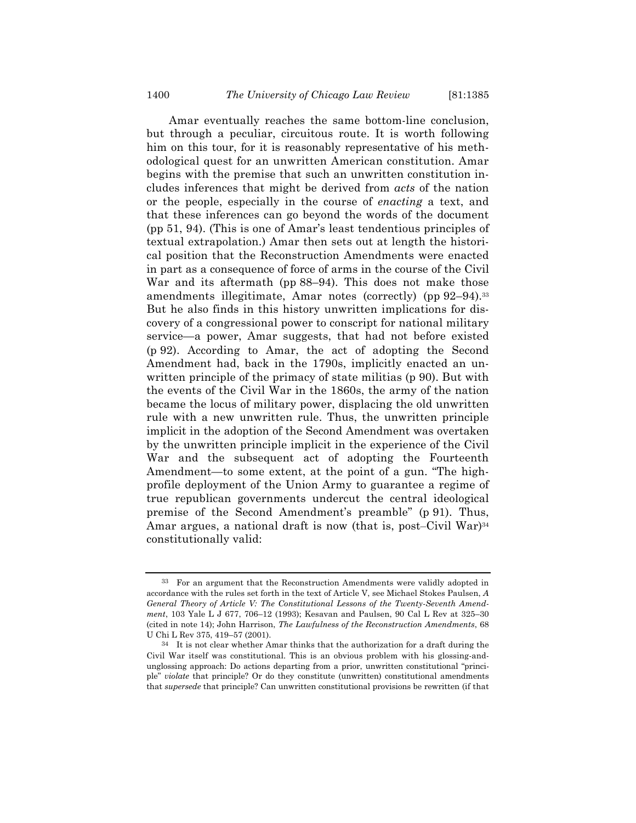Amar eventually reaches the same bottom-line conclusion, but through a peculiar, circuitous route. It is worth following him on this tour, for it is reasonably representative of his methodological quest for an unwritten American constitution. Amar begins with the premise that such an unwritten constitution includes inferences that might be derived from *acts* of the nation or the people, especially in the course of *enacting* a text, and that these inferences can go beyond the words of the document (pp 51, 94). (This is one of Amar's least tendentious principles of textual extrapolation.) Amar then sets out at length the historical position that the Reconstruction Amendments were enacted in part as a consequence of force of arms in the course of the Civil War and its aftermath (pp 88–94). This does not make those amendments illegitimate, Amar notes (correctly) (pp 92–94).33 But he also finds in this history unwritten implications for discovery of a congressional power to conscript for national military service—a power, Amar suggests, that had not before existed (p 92). According to Amar, the act of adopting the Second Amendment had, back in the 1790s, implicitly enacted an unwritten principle of the primacy of state militias (p 90). But with the events of the Civil War in the 1860s, the army of the nation became the locus of military power, displacing the old unwritten rule with a new unwritten rule. Thus, the unwritten principle implicit in the adoption of the Second Amendment was overtaken by the unwritten principle implicit in the experience of the Civil War and the subsequent act of adopting the Fourteenth Amendment—to some extent, at the point of a gun. "The highprofile deployment of the Union Army to guarantee a regime of true republican governments undercut the central ideological premise of the Second Amendment's preamble" (p 91). Thus, Amar argues, a national draft is now (that is, post–Civil War)<sup>34</sup> constitutionally valid:

<sup>33</sup> For an argument that the Reconstruction Amendments were validly adopted in accordance with the rules set forth in the text of Article V, see Michael Stokes Paulsen, *A General Theory of Article V: The Constitutional Lessons of the Twenty-Seventh Amendment*, 103 Yale L J 677, 706–12 (1993); Kesavan and Paulsen, 90 Cal L Rev at 325–30 (cited in note 14); John Harrison, *The Lawfulness of the Reconstruction Amendments*, 68 U Chi L Rev 375, 419–57 (2001).

<sup>34</sup> It is not clear whether Amar thinks that the authorization for a draft during the Civil War itself was constitutional. This is an obvious problem with his glossing-andunglossing approach: Do actions departing from a prior, unwritten constitutional "principle" *violate* that principle? Or do they constitute (unwritten) constitutional amendments that *supersede* that principle? Can unwritten constitutional provisions be rewritten (if that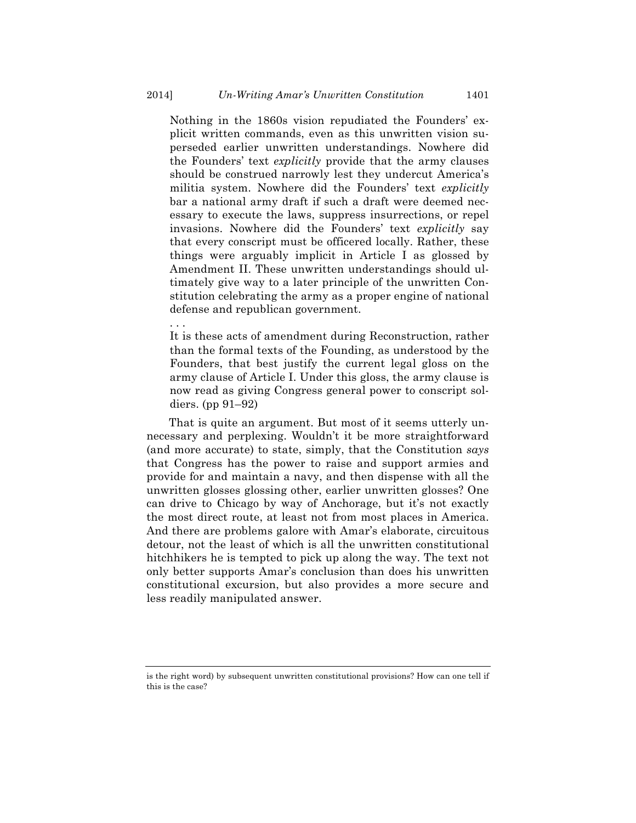Nothing in the 1860s vision repudiated the Founders' explicit written commands, even as this unwritten vision superseded earlier unwritten understandings. Nowhere did the Founders' text *explicitly* provide that the army clauses should be construed narrowly lest they undercut America's militia system. Nowhere did the Founders' text *explicitly* bar a national army draft if such a draft were deemed necessary to execute the laws, suppress insurrections, or repel invasions. Nowhere did the Founders' text *explicitly* say that every conscript must be officered locally. Rather, these things were arguably implicit in Article I as glossed by Amendment II. These unwritten understandings should ultimately give way to a later principle of the unwritten Constitution celebrating the army as a proper engine of national defense and republican government.

It is these acts of amendment during Reconstruction, rather than the formal texts of the Founding, as understood by the Founders, that best justify the current legal gloss on the army clause of Article I. Under this gloss, the army clause is now read as giving Congress general power to conscript soldiers. (pp 91–92)

That is quite an argument. But most of it seems utterly unnecessary and perplexing. Wouldn't it be more straightforward (and more accurate) to state, simply, that the Constitution *says* that Congress has the power to raise and support armies and provide for and maintain a navy, and then dispense with all the unwritten glosses glossing other, earlier unwritten glosses? One can drive to Chicago by way of Anchorage, but it's not exactly the most direct route, at least not from most places in America. And there are problems galore with Amar's elaborate, circuitous detour, not the least of which is all the unwritten constitutional hitchhikers he is tempted to pick up along the way. The text not only better supports Amar's conclusion than does his unwritten constitutional excursion, but also provides a more secure and less readily manipulated answer.

. . .

is the right word) by subsequent unwritten constitutional provisions? How can one tell if this is the case?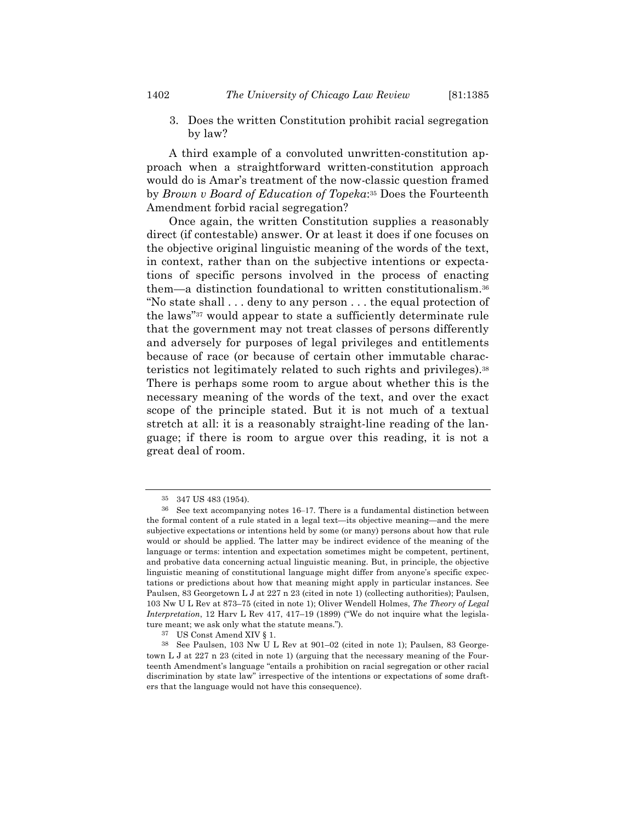3. Does the written Constitution prohibit racial segregation by law?

A third example of a convoluted unwritten-constitution approach when a straightforward written-constitution approach would do is Amar's treatment of the now-classic question framed by *Brown v Board of Education of Topeka*:35 Does the Fourteenth Amendment forbid racial segregation?

Once again, the written Constitution supplies a reasonably direct (if contestable) answer. Or at least it does if one focuses on the objective original linguistic meaning of the words of the text, in context, rather than on the subjective intentions or expectations of specific persons involved in the process of enacting them—a distinction foundational to written constitutionalism.36 "No state shall . . . deny to any person . . . the equal protection of the laws"37 would appear to state a sufficiently determinate rule that the government may not treat classes of persons differently and adversely for purposes of legal privileges and entitlements because of race (or because of certain other immutable characteristics not legitimately related to such rights and privileges).38 There is perhaps some room to argue about whether this is the necessary meaning of the words of the text, and over the exact scope of the principle stated. But it is not much of a textual stretch at all: it is a reasonably straight-line reading of the language; if there is room to argue over this reading, it is not a great deal of room.

<sup>347</sup> US 483 (1954).

See text accompanying notes 16–17. There is a fundamental distinction between the formal content of a rule stated in a legal text—its objective meaning—and the mere subjective expectations or intentions held by some (or many) persons about how that rule would or should be applied. The latter may be indirect evidence of the meaning of the language or terms: intention and expectation sometimes might be competent, pertinent, and probative data concerning actual linguistic meaning. But, in principle, the objective linguistic meaning of constitutional language might differ from anyone's specific expectations or predictions about how that meaning might apply in particular instances. See Paulsen, 83 Georgetown L J at 227 n 23 (cited in note 1) (collecting authorities); Paulsen, 103 Nw U L Rev at 873–75 (cited in note 1); Oliver Wendell Holmes, *The Theory of Legal Interpretation*, 12 Harv L Rev 417, 417–19 (1899) ("We do not inquire what the legislature meant; we ask only what the statute means.").

<sup>37</sup> US Const Amend XIV § 1.

<sup>38</sup> See Paulsen, 103 Nw U L Rev at 901–02 (cited in note 1); Paulsen, 83 Georgetown L J at 227 n 23 (cited in note 1) (arguing that the necessary meaning of the Fourteenth Amendment's language "entails a prohibition on racial segregation or other racial discrimination by state law" irrespective of the intentions or expectations of some drafters that the language would not have this consequence).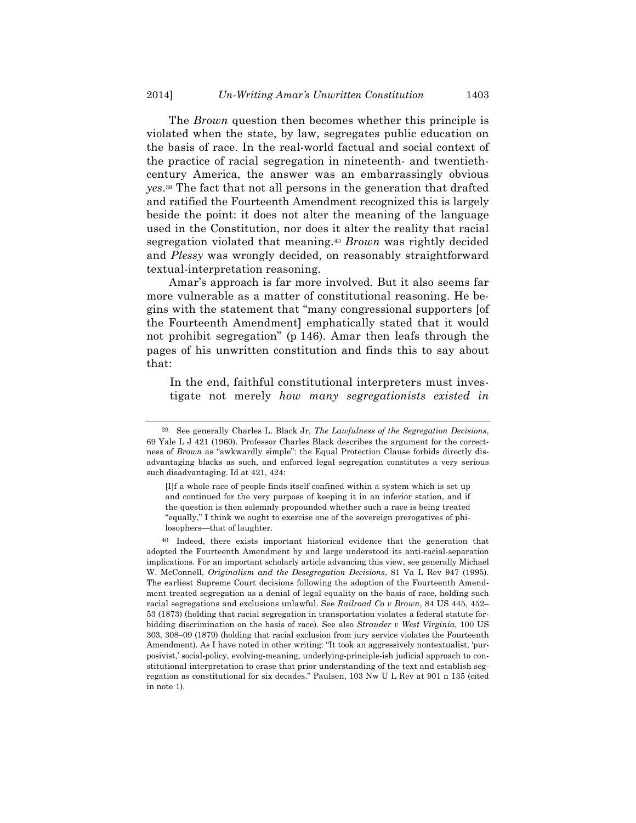The *Brown* question then becomes whether this principle is violated when the state, by law, segregates public education on the basis of race. In the real-world factual and social context of the practice of racial segregation in nineteenth- and twentiethcentury America, the answer was an embarrassingly obvious *yes*.39 The fact that not all persons in the generation that drafted and ratified the Fourteenth Amendment recognized this is largely beside the point: it does not alter the meaning of the language used in the Constitution, nor does it alter the reality that racial segregation violated that meaning.40 *Brown* was rightly decided and *Plessy* was wrongly decided, on reasonably straightforward textual-interpretation reasoning.

Amar's approach is far more involved. But it also seems far more vulnerable as a matter of constitutional reasoning. He begins with the statement that "many congressional supporters [of the Fourteenth Amendment] emphatically stated that it would not prohibit segregation" (p 146). Amar then leafs through the pages of his unwritten constitution and finds this to say about that:

In the end, faithful constitutional interpreters must investigate not merely *how many segregationists existed in* 

<sup>39</sup> See generally Charles L. Black Jr, *The Lawfulness of the Segregation Decisions*, 69 Yale L J 421 (1960). Professor Charles Black describes the argument for the correctness of *Brown* as "awkwardly simple": the Equal Protection Clause forbids directly disadvantaging blacks as such, and enforced legal segregation constitutes a very serious such disadvantaging. Id at 421, 424:

<sup>[</sup>I]f a whole race of people finds itself confined within a system which is set up and continued for the very purpose of keeping it in an inferior station, and if the question is then solemnly propounded whether such a race is being treated "equally," I think we ought to exercise one of the sovereign prerogatives of philosophers—that of laughter.

<sup>40</sup> Indeed, there exists important historical evidence that the generation that adopted the Fourteenth Amendment by and large understood its anti-racial-separation implications. For an important scholarly article advancing this view, see generally Michael W. McConnell, *Originalism and the Desegregation Decisions*, 81 Va L Rev 947 (1995). The earliest Supreme Court decisions following the adoption of the Fourteenth Amendment treated segregation as a denial of legal equality on the basis of race, holding such racial segregations and exclusions unlawful. See *Railroad Co v Brown*, 84 US 445, 452– 53 (1873) (holding that racial segregation in transportation violates a federal statute forbidding discrimination on the basis of race). See also *Strauder v West Virginia*, 100 US 303, 308–09 (1879) (holding that racial exclusion from jury service violates the Fourteenth Amendment). As I have noted in other writing: "It took an aggressively nontextualist, 'purposivist,' social-policy, evolving-meaning, underlying-principle-ish judicial approach to constitutional interpretation to erase that prior understanding of the text and establish segregation as constitutional for six decades." Paulsen, 103 Nw U L Rev at 901 n 135 (cited in note 1).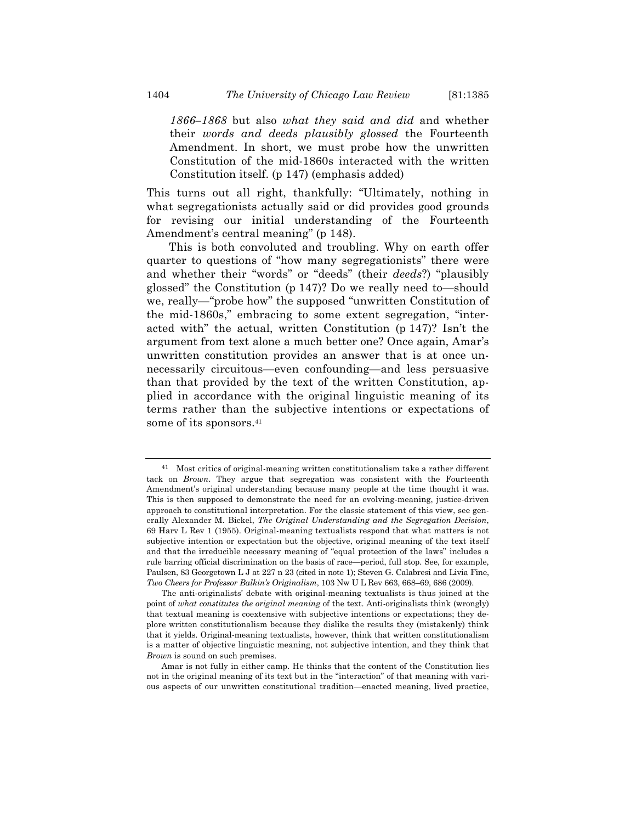*1866–1868* but also *what they said and did* and whether their *words and deeds plausibly glossed* the Fourteenth Amendment. In short, we must probe how the unwritten Constitution of the mid-1860s interacted with the written Constitution itself. (p 147) (emphasis added)

This turns out all right, thankfully: "Ultimately, nothing in what segregationists actually said or did provides good grounds for revising our initial understanding of the Fourteenth Amendment's central meaning" (p 148).

This is both convoluted and troubling. Why on earth offer quarter to questions of "how many segregationists" there were and whether their "words" or "deeds" (their *deeds*?) "plausibly glossed" the Constitution (p 147)? Do we really need to—should we, really—"probe how" the supposed "unwritten Constitution of the mid-1860s," embracing to some extent segregation, "interacted with" the actual, written Constitution (p 147)? Isn't the argument from text alone a much better one? Once again, Amar's unwritten constitution provides an answer that is at once unnecessarily circuitous—even confounding—and less persuasive than that provided by the text of the written Constitution, applied in accordance with the original linguistic meaning of its terms rather than the subjective intentions or expectations of some of its sponsors.<sup>41</sup>

<sup>41</sup> Most critics of original-meaning written constitutionalism take a rather different tack on *Brown*. They argue that segregation was consistent with the Fourteenth Amendment's original understanding because many people at the time thought it was. This is then supposed to demonstrate the need for an evolving-meaning, justice-driven approach to constitutional interpretation. For the classic statement of this view, see generally Alexander M. Bickel, *The Original Understanding and the Segregation Decision*, 69 Harv L Rev 1 (1955). Original-meaning textualists respond that what matters is not subjective intention or expectation but the objective, original meaning of the text itself and that the irreducible necessary meaning of "equal protection of the laws" includes a rule barring official discrimination on the basis of race—period, full stop. See, for example, Paulsen, 83 Georgetown L J at 227 n 23 (cited in note 1); Steven G. Calabresi and Livia Fine, *Two Cheers for Professor Balkin's Originalism*, 103 Nw U L Rev 663, 668–69, 686 (2009).

The anti-originalists' debate with original-meaning textualists is thus joined at the point of *what constitutes the original meaning* of the text. Anti-originalists think (wrongly) that textual meaning is coextensive with subjective intentions or expectations; they deplore written constitutionalism because they dislike the results they (mistakenly) think that it yields. Original-meaning textualists, however, think that written constitutionalism is a matter of objective linguistic meaning, not subjective intention, and they think that *Brown* is sound on such premises.

Amar is not fully in either camp. He thinks that the content of the Constitution lies not in the original meaning of its text but in the "interaction" of that meaning with various aspects of our unwritten constitutional tradition—enacted meaning, lived practice,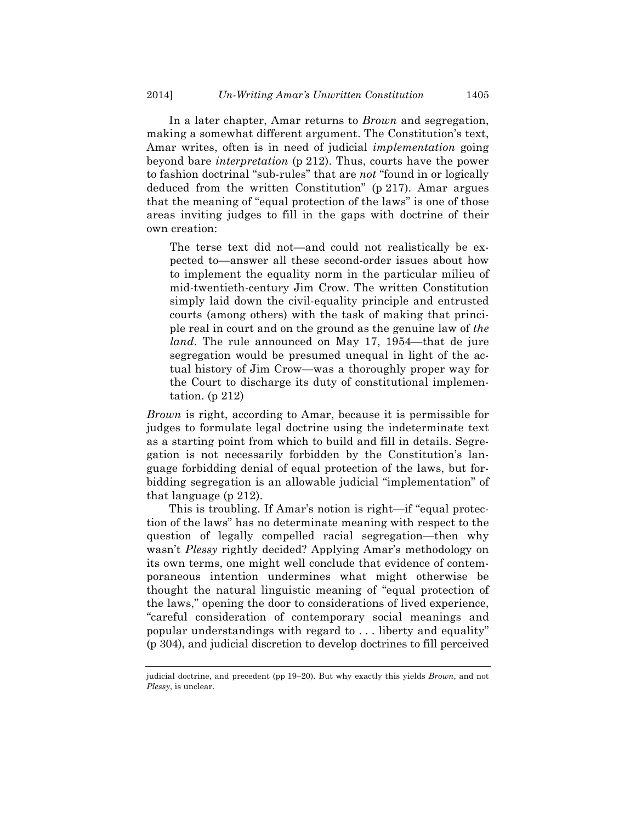In a later chapter, Amar returns to *Brown* and segregation, making a somewhat different argument. The Constitution's text, Amar writes, often is in need of judicial *implementation* going beyond bare *interpretation* (p 212). Thus, courts have the power to fashion doctrinal "sub-rules" that are *not* "found in or logically deduced from the written Constitution" (p 217). Amar argues that the meaning of "equal protection of the laws" is one of those areas inviting judges to fill in the gaps with doctrine of their own creation:

The terse text did not—and could not realistically be expected to—answer all these second-order issues about how to implement the equality norm in the particular milieu of mid-twentieth-century Jim Crow. The written Constitution simply laid down the civil-equality principle and entrusted courts (among others) with the task of making that principle real in court and on the ground as the genuine law of *the land*. The rule announced on May 17, 1954—that de jure segregation would be presumed unequal in light of the actual history of Jim Crow—was a thoroughly proper way for the Court to discharge its duty of constitutional implementation. (p 212)

*Brown* is right, according to Amar, because it is permissible for judges to formulate legal doctrine using the indeterminate text as a starting point from which to build and fill in details. Segregation is not necessarily forbidden by the Constitution's language forbidding denial of equal protection of the laws, but forbidding segregation is an allowable judicial "implementation" of that language (p 212).

This is troubling. If Amar's notion is right—if "equal protection of the laws" has no determinate meaning with respect to the question of legally compelled racial segregation—then why wasn't *Plessy* rightly decided? Applying Amar's methodology on its own terms, one might well conclude that evidence of contemporaneous intention undermines what might otherwise be thought the natural linguistic meaning of "equal protection of the laws," opening the door to considerations of lived experience, "careful consideration of contemporary social meanings and popular understandings with regard to . . . liberty and equality" (p 304), and judicial discretion to develop doctrines to fill perceived

judicial doctrine, and precedent (pp 19–20). But why exactly this yields *Brown*, and not *Plessy*, is unclear.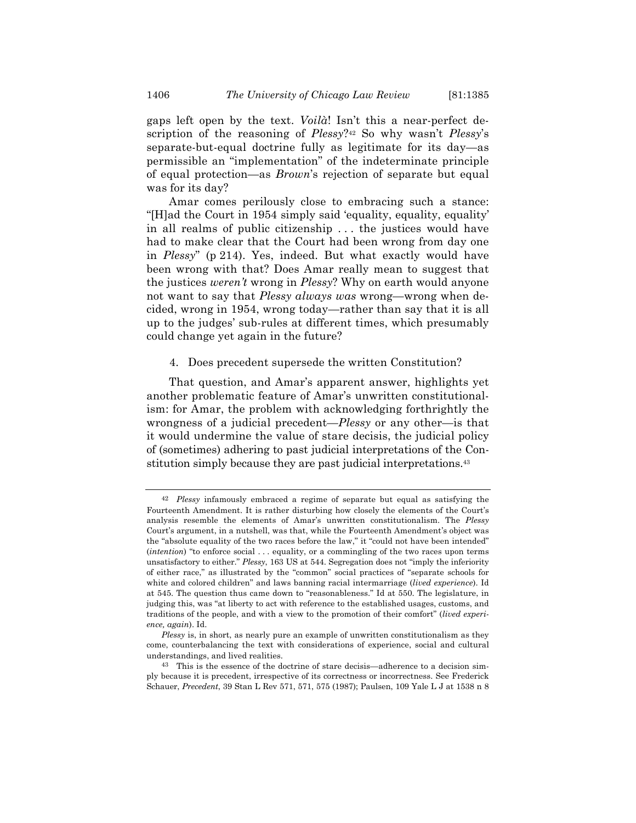gaps left open by the text. *Voilà*! Isn't this a near-perfect description of the reasoning of *Plessy*?42 So why wasn't *Plessy*'s separate-but-equal doctrine fully as legitimate for its day—as permissible an "implementation" of the indeterminate principle of equal protection—as *Brown*'s rejection of separate but equal was for its day?

Amar comes perilously close to embracing such a stance: "[H]ad the Court in 1954 simply said 'equality, equality, equality' in all realms of public citizenship . . . the justices would have had to make clear that the Court had been wrong from day one in *Plessy*" (p 214). Yes, indeed. But what exactly would have been wrong with that? Does Amar really mean to suggest that the justices *weren't* wrong in *Plessy*? Why on earth would anyone not want to say that *Plessy always was* wrong—wrong when decided, wrong in 1954, wrong today—rather than say that it is all up to the judges' sub-rules at different times, which presumably could change yet again in the future?

#### 4. Does precedent supersede the written Constitution?

That question, and Amar's apparent answer, highlights yet another problematic feature of Amar's unwritten constitutionalism: for Amar, the problem with acknowledging forthrightly the wrongness of a judicial precedent—*Plessy* or any other—is that it would undermine the value of stare decisis, the judicial policy of (sometimes) adhering to past judicial interpretations of the Constitution simply because they are past judicial interpretations.43

<sup>42</sup> *Plessy* infamously embraced a regime of separate but equal as satisfying the Fourteenth Amendment. It is rather disturbing how closely the elements of the Court's analysis resemble the elements of Amar's unwritten constitutionalism. The *Plessy* Court's argument, in a nutshell, was that, while the Fourteenth Amendment's object was the "absolute equality of the two races before the law," it "could not have been intended" (*intention*) "to enforce social . . . equality, or a commingling of the two races upon terms unsatisfactory to either." *Plessy*, 163 US at 544. Segregation does not "imply the inferiority of either race," as illustrated by the "common" social practices of "separate schools for white and colored children" and laws banning racial intermarriage (*lived experience*). Id at 545. The question thus came down to "reasonableness." Id at 550. The legislature, in judging this, was "at liberty to act with reference to the established usages, customs, and traditions of the people, and with a view to the promotion of their comfort" (*lived experience, again*). Id.

*Plessy* is, in short, as nearly pure an example of unwritten constitutionalism as they come, counterbalancing the text with considerations of experience, social and cultural understandings, and lived realities.

<sup>43</sup> This is the essence of the doctrine of stare decisis—adherence to a decision simply because it is precedent, irrespective of its correctness or incorrectness. See Frederick Schauer, *Precedent*, 39 Stan L Rev 571, 571, 575 (1987); Paulsen, 109 Yale L J at 1538 n 8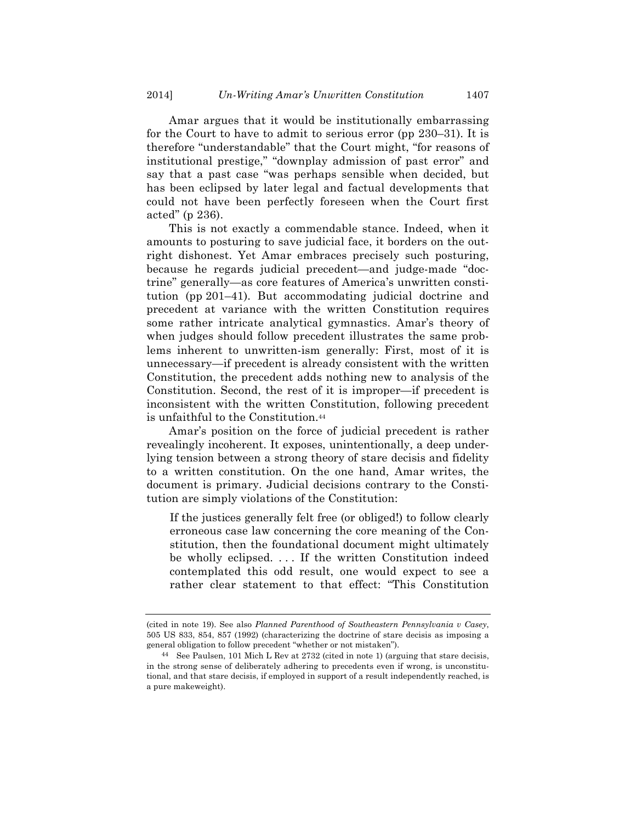Amar argues that it would be institutionally embarrassing for the Court to have to admit to serious error (pp 230–31). It is therefore "understandable" that the Court might, "for reasons of institutional prestige," "downplay admission of past error" and say that a past case "was perhaps sensible when decided, but has been eclipsed by later legal and factual developments that could not have been perfectly foreseen when the Court first acted" (p 236).

This is not exactly a commendable stance. Indeed, when it amounts to posturing to save judicial face, it borders on the outright dishonest. Yet Amar embraces precisely such posturing, because he regards judicial precedent—and judge-made "doctrine" generally—as core features of America's unwritten constitution (pp 201–41). But accommodating judicial doctrine and precedent at variance with the written Constitution requires some rather intricate analytical gymnastics. Amar's theory of when judges should follow precedent illustrates the same problems inherent to unwritten-ism generally: First, most of it is unnecessary—if precedent is already consistent with the written Constitution, the precedent adds nothing new to analysis of the Constitution. Second, the rest of it is improper—if precedent is inconsistent with the written Constitution, following precedent is unfaithful to the Constitution.44

Amar's position on the force of judicial precedent is rather revealingly incoherent. It exposes, unintentionally, a deep underlying tension between a strong theory of stare decisis and fidelity to a written constitution. On the one hand, Amar writes, the document is primary. Judicial decisions contrary to the Constitution are simply violations of the Constitution:

If the justices generally felt free (or obliged!) to follow clearly erroneous case law concerning the core meaning of the Constitution, then the foundational document might ultimately be wholly eclipsed. . . . If the written Constitution indeed contemplated this odd result, one would expect to see a rather clear statement to that effect: "This Constitution

<sup>(</sup>cited in note 19). See also *Planned Parenthood of Southeastern Pennsylvania v Casey*, 505 US 833, 854, 857 (1992) (characterizing the doctrine of stare decisis as imposing a general obligation to follow precedent "whether or not mistaken").

<sup>44</sup> See Paulsen, 101 Mich L Rev at 2732 (cited in note 1) (arguing that stare decisis, in the strong sense of deliberately adhering to precedents even if wrong, is unconstitutional, and that stare decisis, if employed in support of a result independently reached, is a pure makeweight).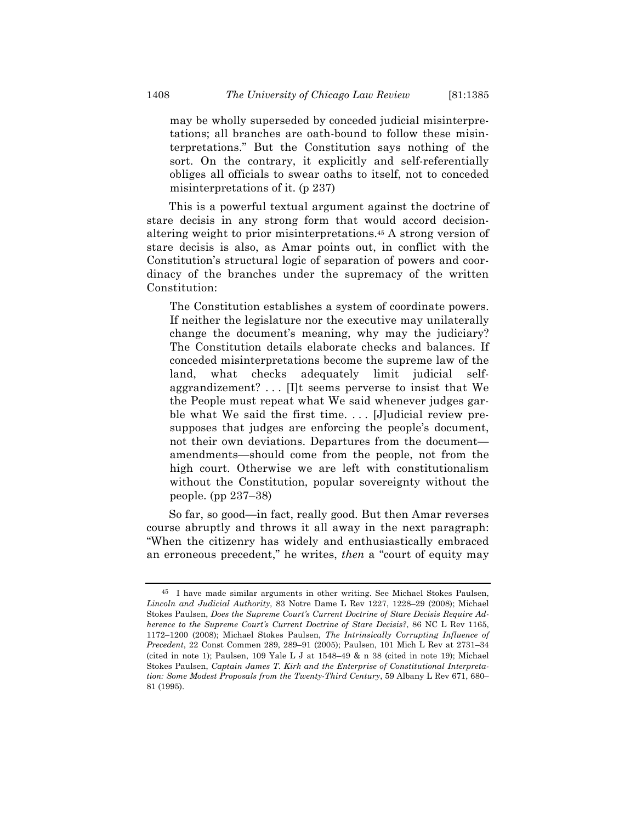may be wholly superseded by conceded judicial misinterpretations; all branches are oath-bound to follow these misinterpretations." But the Constitution says nothing of the sort. On the contrary, it explicitly and self-referentially obliges all officials to swear oaths to itself, not to conceded misinterpretations of it. (p 237)

This is a powerful textual argument against the doctrine of stare decisis in any strong form that would accord decisionaltering weight to prior misinterpretations.45 A strong version of stare decisis is also, as Amar points out, in conflict with the Constitution's structural logic of separation of powers and coordinacy of the branches under the supremacy of the written Constitution:

The Constitution establishes a system of coordinate powers. If neither the legislature nor the executive may unilaterally change the document's meaning, why may the judiciary? The Constitution details elaborate checks and balances. If conceded misinterpretations become the supreme law of the land, what checks adequately limit judicial selfaggrandizement? . . . [I]t seems perverse to insist that We the People must repeat what We said whenever judges garble what We said the first time.... [J]udicial review presupposes that judges are enforcing the people's document, not their own deviations. Departures from the document amendments—should come from the people, not from the high court. Otherwise we are left with constitutionalism without the Constitution, popular sovereignty without the people. (pp 237–38)

So far, so good—in fact, really good. But then Amar reverses course abruptly and throws it all away in the next paragraph: "When the citizenry has widely and enthusiastically embraced an erroneous precedent," he writes, *then* a "court of equity may

<sup>45</sup> I have made similar arguments in other writing. See Michael Stokes Paulsen, *Lincoln and Judicial Authority*, 83 Notre Dame L Rev 1227, 1228–29 (2008); Michael Stokes Paulsen, *Does the Supreme Court's Current Doctrine of Stare Decisis Require Adherence to the Supreme Court's Current Doctrine of Stare Decisis?*, 86 NC L Rev 1165, 1172–1200 (2008); Michael Stokes Paulsen, *The Intrinsically Corrupting Influence of Precedent*, 22 Const Commen 289, 289–91 (2005); Paulsen, 101 Mich L Rev at 2731–34 (cited in note 1); Paulsen, 109 Yale L J at 1548–49 & n 38 (cited in note 19); Michael Stokes Paulsen, *Captain James T. Kirk and the Enterprise of Constitutional Interpretation: Some Modest Proposals from the Twenty-Third Century*, 59 Albany L Rev 671, 680– 81 (1995).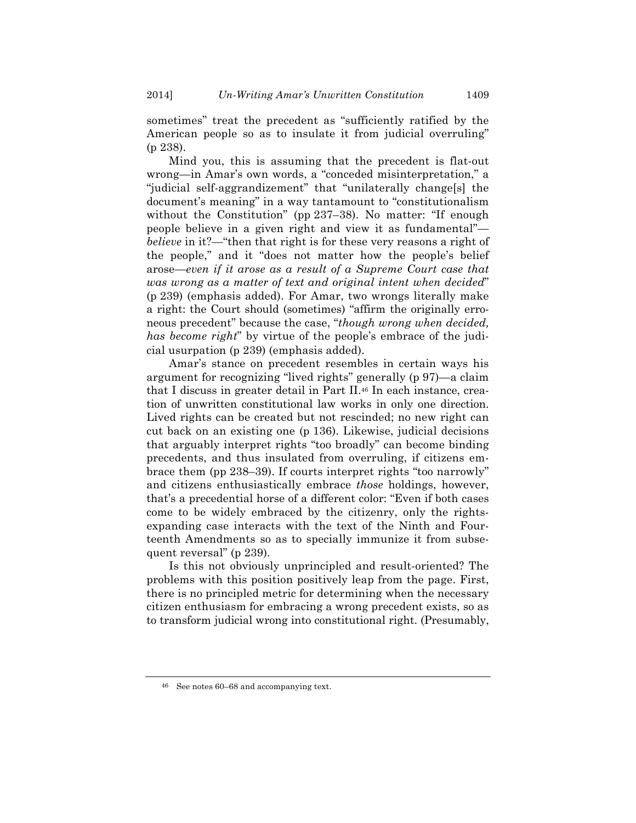sometimes" treat the precedent as "sufficiently ratified by the American people so as to insulate it from judicial overruling" (p 238).

Mind you, this is assuming that the precedent is flat-out wrong—in Amar's own words, a "conceded misinterpretation," a "judicial self-aggrandizement" that "unilaterally change[s] the document's meaning" in a way tantamount to "constitutionalism without the Constitution" (pp 237–38). No matter: "If enough people believe in a given right and view it as fundamental" *believe* in it?—"then that right is for these very reasons a right of the people," and it "does not matter how the people's belief arose—*even if it arose as a result of a Supreme Court case that was wrong as a matter of text and original intent when decided*" (p 239) (emphasis added). For Amar, two wrongs literally make a right: the Court should (sometimes) "affirm the originally erroneous precedent" because the case, "*though wrong when decided, has become right*" by virtue of the people's embrace of the judicial usurpation (p 239) (emphasis added).

Amar's stance on precedent resembles in certain ways his argument for recognizing "lived rights" generally (p 97)—a claim that I discuss in greater detail in Part II.46 In each instance, creation of unwritten constitutional law works in only one direction. Lived rights can be created but not rescinded; no new right can cut back on an existing one (p 136). Likewise, judicial decisions that arguably interpret rights "too broadly" can become binding precedents, and thus insulated from overruling, if citizens embrace them (pp 238–39). If courts interpret rights "too narrowly" and citizens enthusiastically embrace *those* holdings, however, that's a precedential horse of a different color: "Even if both cases come to be widely embraced by the citizenry, only the rightsexpanding case interacts with the text of the Ninth and Fourteenth Amendments so as to specially immunize it from subsequent reversal" (p 239).

Is this not obviously unprincipled and result-oriented? The problems with this position positively leap from the page. First, there is no principled metric for determining when the necessary citizen enthusiasm for embracing a wrong precedent exists, so as to transform judicial wrong into constitutional right. (Presumably,

<sup>46</sup> See notes 60–68 and accompanying text.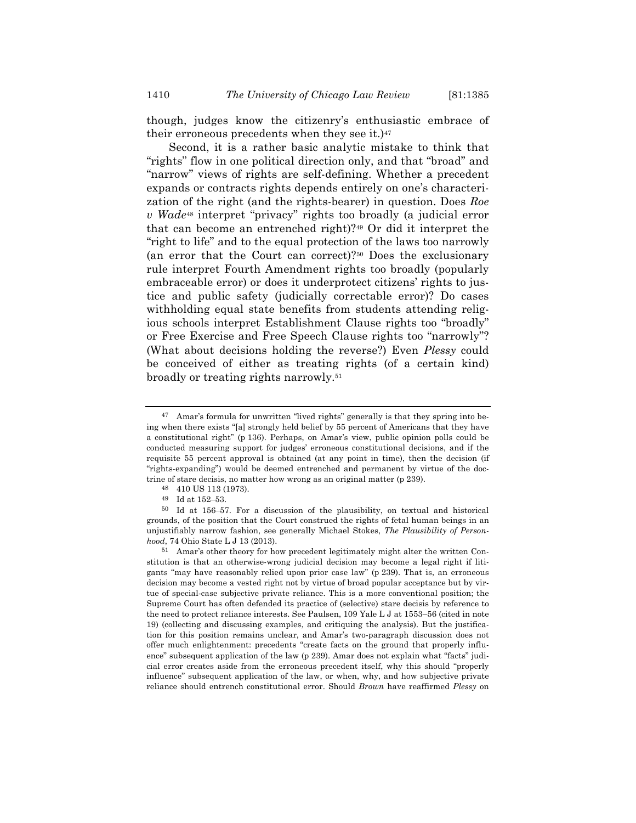though, judges know the citizenry's enthusiastic embrace of their erroneous precedents when they see it.)47

Second, it is a rather basic analytic mistake to think that "rights" flow in one political direction only, and that "broad" and "narrow" views of rights are self-defining. Whether a precedent expands or contracts rights depends entirely on one's characterization of the right (and the rights-bearer) in question. Does *Roe v Wade*<sup>48</sup> interpret "privacy" rights too broadly (a judicial error that can become an entrenched right)?49 Or did it interpret the "right to life" and to the equal protection of the laws too narrowly (an error that the Court can correct)?50 Does the exclusionary rule interpret Fourth Amendment rights too broadly (popularly embraceable error) or does it underprotect citizens' rights to justice and public safety (judicially correctable error)? Do cases withholding equal state benefits from students attending religious schools interpret Establishment Clause rights too "broadly" or Free Exercise and Free Speech Clause rights too "narrowly"? (What about decisions holding the reverse?) Even *Plessy* could be conceived of either as treating rights (of a certain kind) broadly or treating rights narrowly.51

<sup>47</sup> Amar's formula for unwritten "lived rights" generally is that they spring into being when there exists "[a] strongly held belief by 55 percent of Americans that they have a constitutional right" (p 136). Perhaps, on Amar's view, public opinion polls could be conducted measuring support for judges' erroneous constitutional decisions, and if the requisite 55 percent approval is obtained (at any point in time), then the decision (if "rights-expanding") would be deemed entrenched and permanent by virtue of the doctrine of stare decisis, no matter how wrong as an original matter (p 239).

<sup>48</sup> 410 US 113 (1973).

<sup>49</sup> Id at 152–53.

<sup>50</sup> Id at 156–57. For a discussion of the plausibility, on textual and historical grounds, of the position that the Court construed the rights of fetal human beings in an unjustifiably narrow fashion, see generally Michael Stokes, *The Plausibility of Personhood*, 74 Ohio State L J 13 (2013).

<sup>51</sup> Amar's other theory for how precedent legitimately might alter the written Constitution is that an otherwise-wrong judicial decision may become a legal right if litigants "may have reasonably relied upon prior case law" (p 239). That is, an erroneous decision may become a vested right not by virtue of broad popular acceptance but by virtue of special-case subjective private reliance. This is a more conventional position; the Supreme Court has often defended its practice of (selective) stare decisis by reference to the need to protect reliance interests. See Paulsen, 109 Yale L J at 1553–56 (cited in note 19) (collecting and discussing examples, and critiquing the analysis). But the justification for this position remains unclear, and Amar's two-paragraph discussion does not offer much enlightenment: precedents "create facts on the ground that properly influence" subsequent application of the law (p 239). Amar does not explain what "facts" judicial error creates aside from the erroneous precedent itself, why this should "properly influence" subsequent application of the law, or when, why, and how subjective private reliance should entrench constitutional error. Should *Brown* have reaffirmed *Plessy* on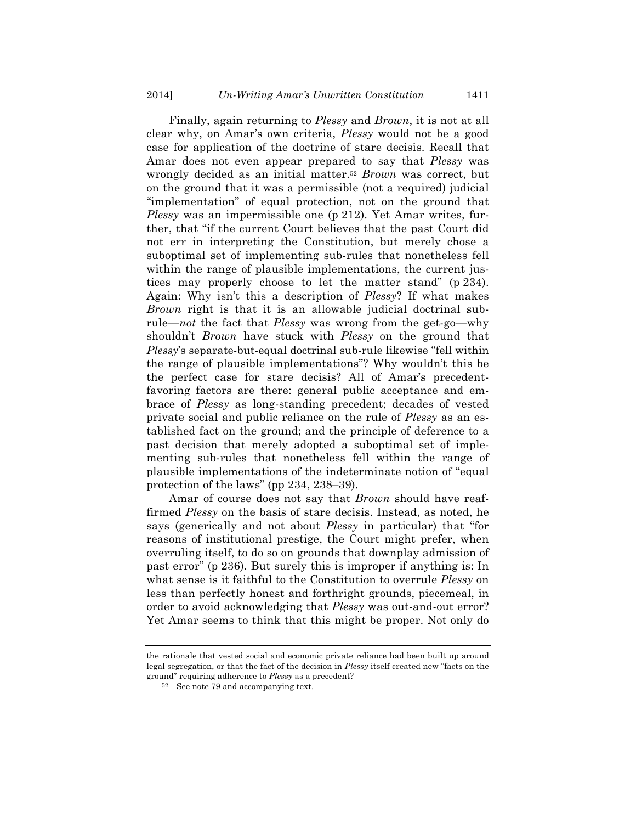Finally, again returning to *Plessy* and *Brown*, it is not at all clear why, on Amar's own criteria, *Plessy* would not be a good case for application of the doctrine of stare decisis. Recall that Amar does not even appear prepared to say that *Plessy* was wrongly decided as an initial matter.52 *Brown* was correct, but on the ground that it was a permissible (not a required) judicial "implementation" of equal protection, not on the ground that *Plessy* was an impermissible one (p 212). Yet Amar writes, further, that "if the current Court believes that the past Court did not err in interpreting the Constitution, but merely chose a suboptimal set of implementing sub-rules that nonetheless fell within the range of plausible implementations, the current justices may properly choose to let the matter stand" (p 234). Again: Why isn't this a description of *Plessy*? If what makes *Brown* right is that it is an allowable judicial doctrinal subrule—*not* the fact that *Plessy* was wrong from the get-go—why shouldn't *Brown* have stuck with *Plessy* on the ground that *Plessy*'s separate-but-equal doctrinal sub-rule likewise "fell within the range of plausible implementations"? Why wouldn't this be the perfect case for stare decisis? All of Amar's precedentfavoring factors are there: general public acceptance and embrace of *Plessy* as long-standing precedent; decades of vested private social and public reliance on the rule of *Plessy* as an established fact on the ground; and the principle of deference to a past decision that merely adopted a suboptimal set of implementing sub-rules that nonetheless fell within the range of plausible implementations of the indeterminate notion of "equal protection of the laws" (pp 234, 238–39).

Amar of course does not say that *Brown* should have reaffirmed *Plessy* on the basis of stare decisis. Instead, as noted, he says (generically and not about *Plessy* in particular) that "for reasons of institutional prestige, the Court might prefer, when overruling itself, to do so on grounds that downplay admission of past error" (p 236). But surely this is improper if anything is: In what sense is it faithful to the Constitution to overrule *Plessy* on less than perfectly honest and forthright grounds, piecemeal, in order to avoid acknowledging that *Plessy* was out-and-out error? Yet Amar seems to think that this might be proper. Not only do

the rationale that vested social and economic private reliance had been built up around legal segregation, or that the fact of the decision in *Plessy* itself created new "facts on the ground" requiring adherence to *Plessy* as a precedent?

<sup>52</sup> See note 79 and accompanying text.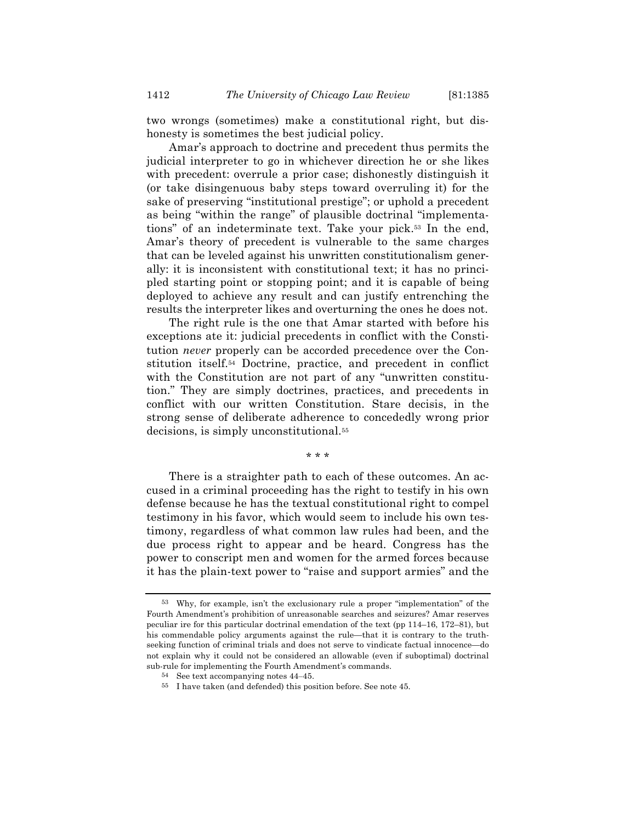two wrongs (sometimes) make a constitutional right, but dishonesty is sometimes the best judicial policy.

Amar's approach to doctrine and precedent thus permits the judicial interpreter to go in whichever direction he or she likes with precedent: overrule a prior case; dishonestly distinguish it (or take disingenuous baby steps toward overruling it) for the sake of preserving "institutional prestige"; or uphold a precedent as being "within the range" of plausible doctrinal "implementations" of an indeterminate text. Take your pick.53 In the end, Amar's theory of precedent is vulnerable to the same charges that can be leveled against his unwritten constitutionalism generally: it is inconsistent with constitutional text; it has no principled starting point or stopping point; and it is capable of being deployed to achieve any result and can justify entrenching the results the interpreter likes and overturning the ones he does not.

The right rule is the one that Amar started with before his exceptions ate it: judicial precedents in conflict with the Constitution *never* properly can be accorded precedence over the Constitution itself.54 Doctrine, practice, and precedent in conflict with the Constitution are not part of any "unwritten constitution." They are simply doctrines, practices, and precedents in conflict with our written Constitution. Stare decisis, in the strong sense of deliberate adherence to concededly wrong prior decisions, is simply unconstitutional.55

\* \* \*

There is a straighter path to each of these outcomes. An accused in a criminal proceeding has the right to testify in his own defense because he has the textual constitutional right to compel testimony in his favor, which would seem to include his own testimony, regardless of what common law rules had been, and the due process right to appear and be heard. Congress has the power to conscript men and women for the armed forces because it has the plain-text power to "raise and support armies" and the

<sup>53</sup> Why, for example, isn't the exclusionary rule a proper "implementation" of the Fourth Amendment's prohibition of unreasonable searches and seizures? Amar reserves peculiar ire for this particular doctrinal emendation of the text (pp 114–16, 172–81), but his commendable policy arguments against the rule—that it is contrary to the truthseeking function of criminal trials and does not serve to vindicate factual innocence—do not explain why it could not be considered an allowable (even if suboptimal) doctrinal sub-rule for implementing the Fourth Amendment's commands.

<sup>54</sup> See text accompanying notes 44–45.

<sup>55</sup> I have taken (and defended) this position before. See note 45.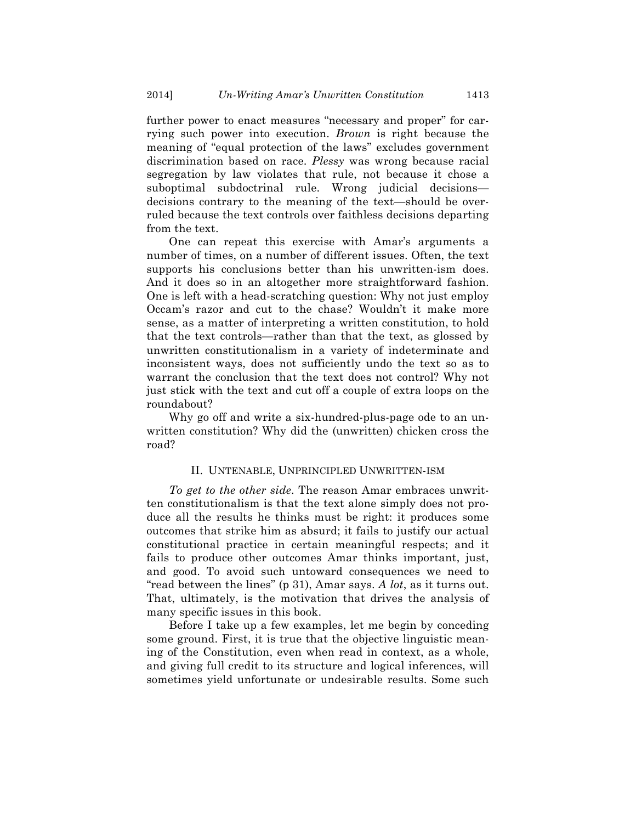further power to enact measures "necessary and proper" for carrying such power into execution. *Brown* is right because the meaning of "equal protection of the laws" excludes government discrimination based on race. *Plessy* was wrong because racial segregation by law violates that rule, not because it chose a suboptimal subdoctrinal rule. Wrong judicial decisions decisions contrary to the meaning of the text—should be overruled because the text controls over faithless decisions departing from the text.

One can repeat this exercise with Amar's arguments a number of times, on a number of different issues. Often, the text supports his conclusions better than his unwritten-ism does. And it does so in an altogether more straightforward fashion. One is left with a head-scratching question: Why not just employ Occam's razor and cut to the chase? Wouldn't it make more sense, as a matter of interpreting a written constitution, to hold that the text controls—rather than that the text, as glossed by unwritten constitutionalism in a variety of indeterminate and inconsistent ways, does not sufficiently undo the text so as to warrant the conclusion that the text does not control? Why not just stick with the text and cut off a couple of extra loops on the roundabout?

Why go off and write a six-hundred-plus-page ode to an unwritten constitution? Why did the (unwritten) chicken cross the road?

#### II. UNTENABLE, UNPRINCIPLED UNWRITTEN-ISM

*To get to the other side*. The reason Amar embraces unwritten constitutionalism is that the text alone simply does not produce all the results he thinks must be right: it produces some outcomes that strike him as absurd; it fails to justify our actual constitutional practice in certain meaningful respects; and it fails to produce other outcomes Amar thinks important, just, and good. To avoid such untoward consequences we need to "read between the lines" (p 31), Amar says. *A lot*, as it turns out. That, ultimately, is the motivation that drives the analysis of many specific issues in this book.

Before I take up a few examples, let me begin by conceding some ground. First, it is true that the objective linguistic meaning of the Constitution, even when read in context, as a whole, and giving full credit to its structure and logical inferences, will sometimes yield unfortunate or undesirable results. Some such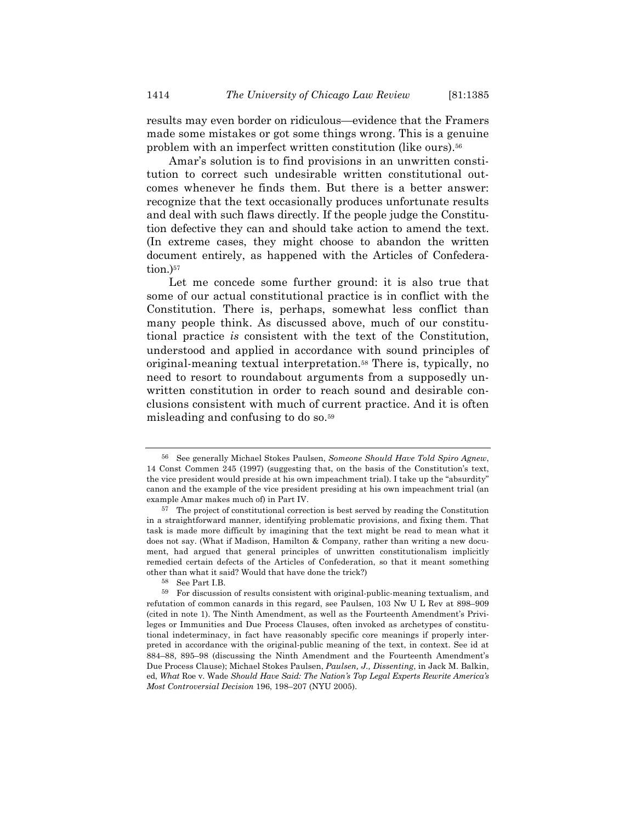results may even border on ridiculous—evidence that the Framers made some mistakes or got some things wrong. This is a genuine problem with an imperfect written constitution (like ours).56

Amar's solution is to find provisions in an unwritten constitution to correct such undesirable written constitutional outcomes whenever he finds them. But there is a better answer: recognize that the text occasionally produces unfortunate results and deal with such flaws directly. If the people judge the Constitution defective they can and should take action to amend the text. (In extreme cases, they might choose to abandon the written document entirely, as happened with the Articles of Confederation.)<sup>57</sup>

Let me concede some further ground: it is also true that some of our actual constitutional practice is in conflict with the Constitution. There is, perhaps, somewhat less conflict than many people think. As discussed above, much of our constitutional practice *is* consistent with the text of the Constitution, understood and applied in accordance with sound principles of original-meaning textual interpretation.58 There is, typically, no need to resort to roundabout arguments from a supposedly unwritten constitution in order to reach sound and desirable conclusions consistent with much of current practice. And it is often misleading and confusing to do so.59

<sup>56</sup> See generally Michael Stokes Paulsen, *Someone Should Have Told Spiro Agnew*, 14 Const Commen 245 (1997) (suggesting that, on the basis of the Constitution's text, the vice president would preside at his own impeachment trial). I take up the "absurdity" canon and the example of the vice president presiding at his own impeachment trial (an example Amar makes much of) in Part IV.

<sup>57</sup> The project of constitutional correction is best served by reading the Constitution in a straightforward manner, identifying problematic provisions, and fixing them. That task is made more difficult by imagining that the text might be read to mean what it does not say. (What if Madison, Hamilton & Company, rather than writing a new document, had argued that general principles of unwritten constitutionalism implicitly remedied certain defects of the Articles of Confederation, so that it meant something other than what it said? Would that have done the trick?)

<sup>58</sup> See Part I.B.

<sup>59</sup> For discussion of results consistent with original-public-meaning textualism, and refutation of common canards in this regard, see Paulsen, 103 Nw U L Rev at 898–909 (cited in note 1). The Ninth Amendment, as well as the Fourteenth Amendment's Privileges or Immunities and Due Process Clauses, often invoked as archetypes of constitutional indeterminacy, in fact have reasonably specific core meanings if properly interpreted in accordance with the original-public meaning of the text, in context. See id at 884–88, 895–98 (discussing the Ninth Amendment and the Fourteenth Amendment's Due Process Clause); Michael Stokes Paulsen, *Paulsen, J., Dissenting*, in Jack M. Balkin, ed, *What* Roe v. Wade *Should Have Said: The Nation's Top Legal Experts Rewrite America's Most Controversial Decision* 196, 198–207 (NYU 2005).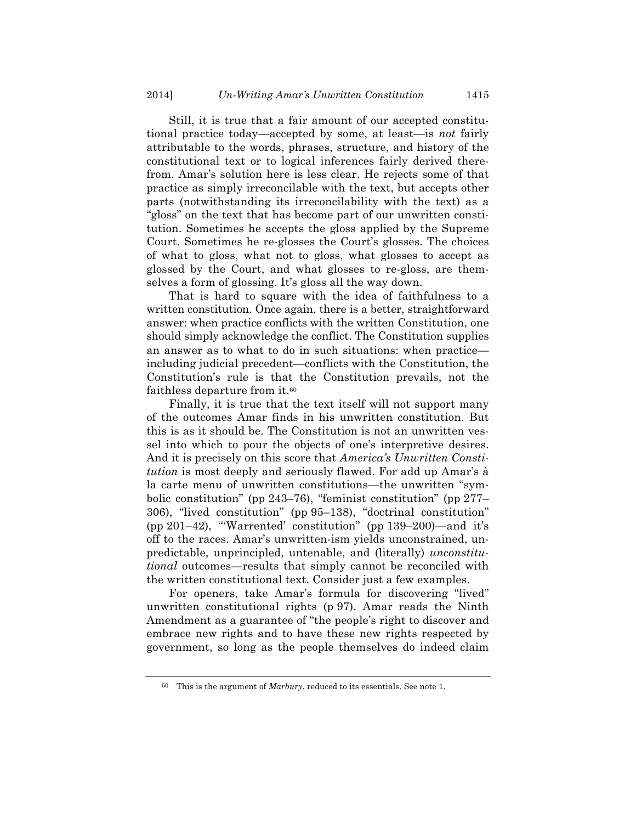Still, it is true that a fair amount of our accepted constitutional practice today—accepted by some, at least—is *not* fairly attributable to the words, phrases, structure, and history of the constitutional text or to logical inferences fairly derived therefrom. Amar's solution here is less clear. He rejects some of that practice as simply irreconcilable with the text, but accepts other parts (notwithstanding its irreconcilability with the text) as a "gloss" on the text that has become part of our unwritten constitution. Sometimes he accepts the gloss applied by the Supreme Court. Sometimes he re-glosses the Court's glosses. The choices of what to gloss, what not to gloss, what glosses to accept as glossed by the Court, and what glosses to re-gloss, are themselves a form of glossing. It's gloss all the way down.

That is hard to square with the idea of faithfulness to a written constitution. Once again, there is a better, straightforward answer: when practice conflicts with the written Constitution, one should simply acknowledge the conflict. The Constitution supplies an answer as to what to do in such situations: when practice including judicial precedent—conflicts with the Constitution, the Constitution's rule is that the Constitution prevails, not the faithless departure from it.<sup>60</sup>

Finally, it is true that the text itself will not support many of the outcomes Amar finds in his unwritten constitution. But this is as it should be. The Constitution is not an unwritten vessel into which to pour the objects of one's interpretive desires. And it is precisely on this score that *America's Unwritten Constitution* is most deeply and seriously flawed. For add up Amar's à la carte menu of unwritten constitutions—the unwritten "symbolic constitution" (pp 243–76), "feminist constitution" (pp 277– 306), "lived constitution" (pp 95–138), "doctrinal constitution" (pp 201–42), "'Warrented' constitution" (pp 139–200)—and it's off to the races. Amar's unwritten-ism yields unconstrained, unpredictable, unprincipled, untenable, and (literally) *unconstitutional* outcomes—results that simply cannot be reconciled with the written constitutional text. Consider just a few examples.

For openers, take Amar's formula for discovering "lived" unwritten constitutional rights (p 97). Amar reads the Ninth Amendment as a guarantee of "the people's right to discover and embrace new rights and to have these new rights respected by government, so long as the people themselves do indeed claim

<sup>60</sup> This is the argument of *Marbury*, reduced to its essentials. See note 1.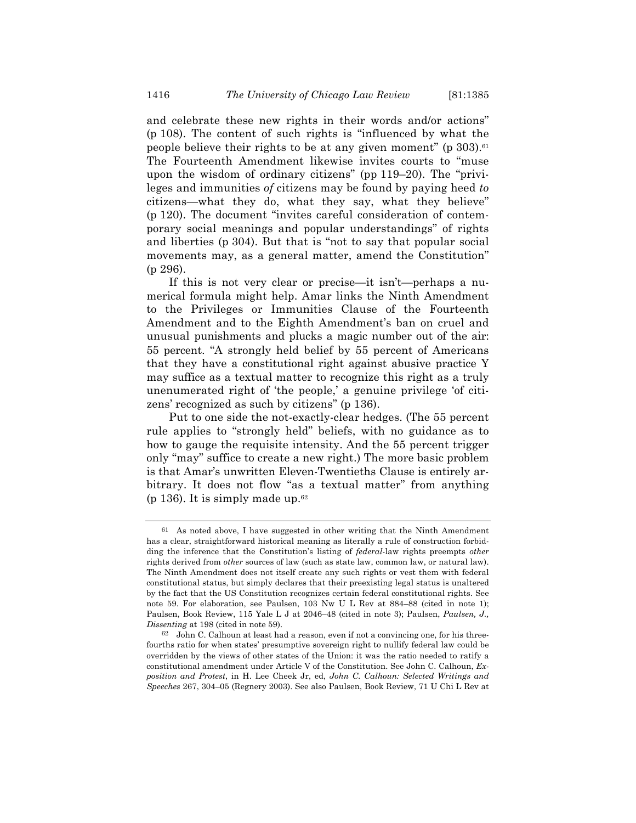and celebrate these new rights in their words and/or actions" (p 108). The content of such rights is "influenced by what the people believe their rights to be at any given moment" ( $p \frac{303}{6}$ .<sup>61</sup>) The Fourteenth Amendment likewise invites courts to "muse upon the wisdom of ordinary citizens" (pp 119–20). The "privileges and immunities *of* citizens may be found by paying heed *to* citizens—what they do, what they say, what they believe" (p 120). The document "invites careful consideration of contemporary social meanings and popular understandings" of rights and liberties (p 304). But that is "not to say that popular social movements may, as a general matter, amend the Constitution" (p 296).

If this is not very clear or precise—it isn't—perhaps a numerical formula might help. Amar links the Ninth Amendment to the Privileges or Immunities Clause of the Fourteenth Amendment and to the Eighth Amendment's ban on cruel and unusual punishments and plucks a magic number out of the air: 55 percent. "A strongly held belief by 55 percent of Americans that they have a constitutional right against abusive practice Y may suffice as a textual matter to recognize this right as a truly unenumerated right of 'the people,' a genuine privilege 'of citizens' recognized as such by citizens" (p 136).

Put to one side the not-exactly-clear hedges. (The 55 percent rule applies to "strongly held" beliefs, with no guidance as to how to gauge the requisite intensity. And the 55 percent trigger only "may" suffice to create a new right.) The more basic problem is that Amar's unwritten Eleven-Twentieths Clause is entirely arbitrary. It does not flow "as a textual matter" from anything (p 136). It is simply made up.  $62$ 

<sup>61</sup> As noted above, I have suggested in other writing that the Ninth Amendment has a clear, straightforward historical meaning as literally a rule of construction forbidding the inference that the Constitution's listing of *federal*-law rights preempts *other* rights derived from *other* sources of law (such as state law, common law, or natural law). The Ninth Amendment does not itself create any such rights or vest them with federal constitutional status, but simply declares that their preexisting legal status is unaltered by the fact that the US Constitution recognizes certain federal constitutional rights. See note 59. For elaboration, see Paulsen, 103 Nw U L Rev at 884–88 (cited in note 1); Paulsen, Book Review, 115 Yale L J at 2046–48 (cited in note 3); Paulsen, *Paulsen, J., Dissenting* at 198 (cited in note 59).

<sup>62</sup> John C. Calhoun at least had a reason, even if not a convincing one, for his threefourths ratio for when states' presumptive sovereign right to nullify federal law could be overridden by the views of other states of the Union: it was the ratio needed to ratify a constitutional amendment under Article V of the Constitution. See John C. Calhoun, *Exposition and Protest*, in H. Lee Cheek Jr, ed, *John C. Calhoun: Selected Writings and Speeches* 267, 304–05 (Regnery 2003). See also Paulsen, Book Review, 71 U Chi L Rev at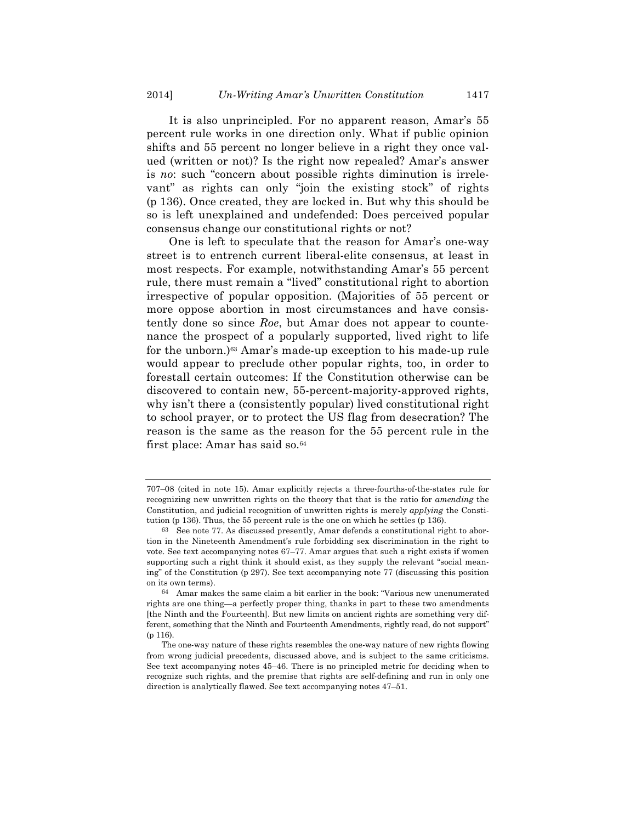It is also unprincipled. For no apparent reason, Amar's 55 percent rule works in one direction only. What if public opinion shifts and 55 percent no longer believe in a right they once valued (written or not)? Is the right now repealed? Amar's answer is *no*: such "concern about possible rights diminution is irrelevant" as rights can only "join the existing stock" of rights (p 136). Once created, they are locked in. But why this should be so is left unexplained and undefended: Does perceived popular consensus change our constitutional rights or not?

One is left to speculate that the reason for Amar's one-way street is to entrench current liberal-elite consensus, at least in most respects. For example, notwithstanding Amar's 55 percent rule, there must remain a "lived" constitutional right to abortion irrespective of popular opposition. (Majorities of 55 percent or more oppose abortion in most circumstances and have consistently done so since *Roe*, but Amar does not appear to countenance the prospect of a popularly supported, lived right to life for the unborn.)63 Amar's made-up exception to his made-up rule would appear to preclude other popular rights, too, in order to forestall certain outcomes: If the Constitution otherwise can be discovered to contain new, 55-percent-majority-approved rights, why isn't there a (consistently popular) lived constitutional right to school prayer, or to protect the US flag from desecration? The reason is the same as the reason for the 55 percent rule in the first place: Amar has said so.<sup>64</sup>

<sup>707–08 (</sup>cited in note 15). Amar explicitly rejects a three-fourths-of-the-states rule for recognizing new unwritten rights on the theory that that is the ratio for *amending* the Constitution, and judicial recognition of unwritten rights is merely *applying* the Constitution (p 136). Thus, the 55 percent rule is the one on which he settles (p 136).

<sup>63</sup> See note 77. As discussed presently, Amar defends a constitutional right to abortion in the Nineteenth Amendment's rule forbidding sex discrimination in the right to vote. See text accompanying notes 67–77. Amar argues that such a right exists if women supporting such a right think it should exist, as they supply the relevant "social meaning" of the Constitution (p 297). See text accompanying note 77 (discussing this position on its own terms).

<sup>64</sup> Amar makes the same claim a bit earlier in the book: "Various new unenumerated rights are one thing—a perfectly proper thing, thanks in part to these two amendments [the Ninth and the Fourteenth]. But new limits on ancient rights are something very different, something that the Ninth and Fourteenth Amendments, rightly read, do not support" (p 116).

The one-way nature of these rights resembles the one-way nature of new rights flowing from wrong judicial precedents, discussed above, and is subject to the same criticisms. See text accompanying notes 45–46. There is no principled metric for deciding when to recognize such rights, and the premise that rights are self-defining and run in only one direction is analytically flawed. See text accompanying notes 47–51.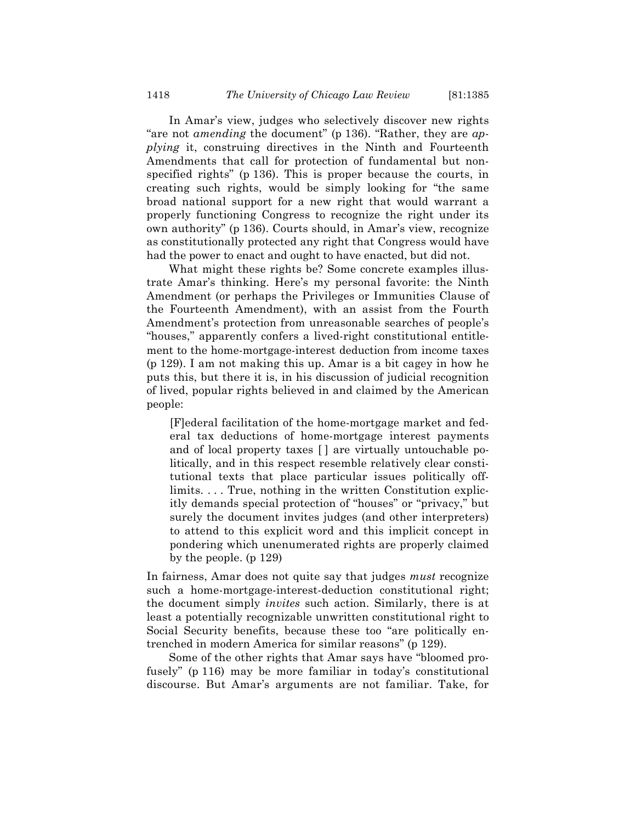In Amar's view, judges who selectively discover new rights "are not *amending* the document" (p 136). "Rather, they are *applying* it, construing directives in the Ninth and Fourteenth Amendments that call for protection of fundamental but nonspecified rights" (p 136). This is proper because the courts, in creating such rights, would be simply looking for "the same broad national support for a new right that would warrant a properly functioning Congress to recognize the right under its own authority" (p 136). Courts should, in Amar's view, recognize as constitutionally protected any right that Congress would have had the power to enact and ought to have enacted, but did not.

What might these rights be? Some concrete examples illustrate Amar's thinking. Here's my personal favorite: the Ninth Amendment (or perhaps the Privileges or Immunities Clause of the Fourteenth Amendment), with an assist from the Fourth Amendment's protection from unreasonable searches of people's "houses," apparently confers a lived-right constitutional entitlement to the home-mortgage-interest deduction from income taxes (p 129). I am not making this up. Amar is a bit cagey in how he puts this, but there it is, in his discussion of judicial recognition of lived, popular rights believed in and claimed by the American people:

[F]ederal facilitation of the home-mortgage market and federal tax deductions of home-mortgage interest payments and of local property taxes [ ] are virtually untouchable politically, and in this respect resemble relatively clear constitutional texts that place particular issues politically offlimits. . . . True, nothing in the written Constitution explicitly demands special protection of "houses" or "privacy," but surely the document invites judges (and other interpreters) to attend to this explicit word and this implicit concept in pondering which unenumerated rights are properly claimed by the people. (p 129)

In fairness, Amar does not quite say that judges *must* recognize such a home-mortgage-interest-deduction constitutional right; the document simply *invites* such action. Similarly, there is at least a potentially recognizable unwritten constitutional right to Social Security benefits, because these too "are politically entrenched in modern America for similar reasons" (p 129).

Some of the other rights that Amar says have "bloomed profusely" (p 116) may be more familiar in today's constitutional discourse. But Amar's arguments are not familiar. Take, for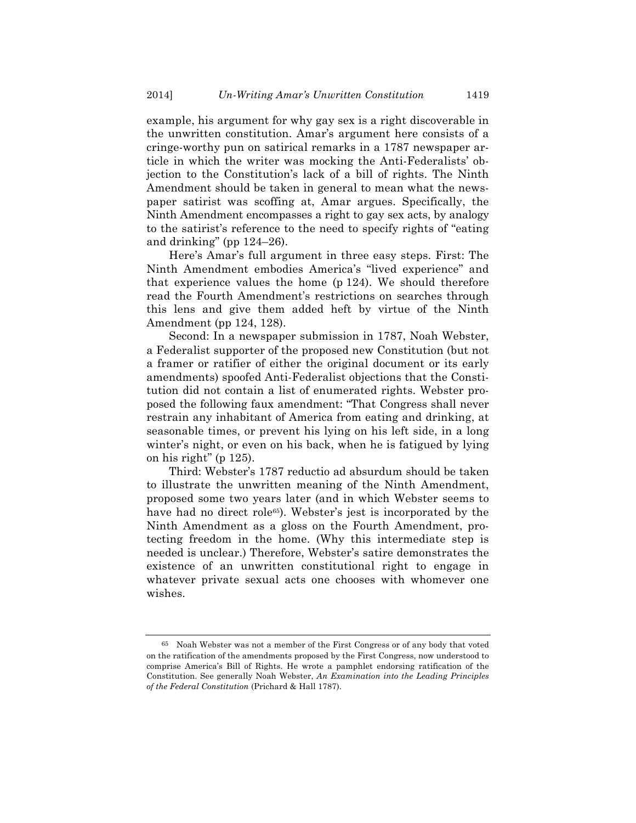example, his argument for why gay sex is a right discoverable in the unwritten constitution. Amar's argument here consists of a cringe-worthy pun on satirical remarks in a 1787 newspaper article in which the writer was mocking the Anti-Federalists' objection to the Constitution's lack of a bill of rights. The Ninth Amendment should be taken in general to mean what the newspaper satirist was scoffing at, Amar argues. Specifically, the Ninth Amendment encompasses a right to gay sex acts, by analogy to the satirist's reference to the need to specify rights of "eating and drinking" (pp  $124-26$ ).

Here's Amar's full argument in three easy steps. First: The Ninth Amendment embodies America's "lived experience" and that experience values the home (p 124). We should therefore read the Fourth Amendment's restrictions on searches through this lens and give them added heft by virtue of the Ninth Amendment (pp 124, 128).

Second: In a newspaper submission in 1787, Noah Webster, a Federalist supporter of the proposed new Constitution (but not a framer or ratifier of either the original document or its early amendments) spoofed Anti-Federalist objections that the Constitution did not contain a list of enumerated rights. Webster proposed the following faux amendment: "That Congress shall never restrain any inhabitant of America from eating and drinking, at seasonable times, or prevent his lying on his left side, in a long winter's night, or even on his back, when he is fatigued by lying on his right" (p 125).

Third: Webster's 1787 reductio ad absurdum should be taken to illustrate the unwritten meaning of the Ninth Amendment, proposed some two years later (and in which Webster seems to have had no direct role<sup>65</sup>). Webster's jest is incorporated by the Ninth Amendment as a gloss on the Fourth Amendment, protecting freedom in the home. (Why this intermediate step is needed is unclear.) Therefore, Webster's satire demonstrates the existence of an unwritten constitutional right to engage in whatever private sexual acts one chooses with whomever one wishes.

<sup>65</sup> Noah Webster was not a member of the First Congress or of any body that voted on the ratification of the amendments proposed by the First Congress, now understood to comprise America's Bill of Rights. He wrote a pamphlet endorsing ratification of the Constitution. See generally Noah Webster, *An Examination into the Leading Principles of the Federal Constitution* (Prichard & Hall 1787).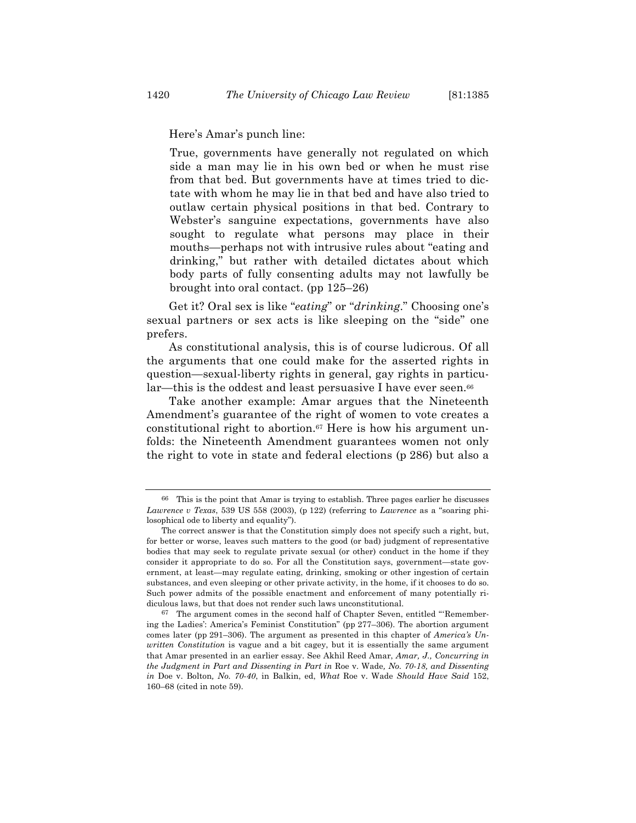Here's Amar's punch line:

True, governments have generally not regulated on which side a man may lie in his own bed or when he must rise from that bed. But governments have at times tried to dictate with whom he may lie in that bed and have also tried to outlaw certain physical positions in that bed. Contrary to Webster's sanguine expectations, governments have also sought to regulate what persons may place in their mouths—perhaps not with intrusive rules about "eating and drinking," but rather with detailed dictates about which body parts of fully consenting adults may not lawfully be brought into oral contact. (pp 125–26)

Get it? Oral sex is like "*eating*" or "*drinking*." Choosing one's sexual partners or sex acts is like sleeping on the "side" one prefers.

As constitutional analysis, this is of course ludicrous. Of all the arguments that one could make for the asserted rights in question—sexual-liberty rights in general, gay rights in particular—this is the oddest and least persuasive I have ever seen.<sup>66</sup>

Take another example: Amar argues that the Nineteenth Amendment's guarantee of the right of women to vote creates a constitutional right to abortion.<sup>67</sup> Here is how his argument unfolds: the Nineteenth Amendment guarantees women not only the right to vote in state and federal elections (p 286) but also a

<sup>66</sup> This is the point that Amar is trying to establish. Three pages earlier he discusses *Lawrence v Texas*, 539 US 558 (2003), (p 122) (referring to *Lawrence* as a "soaring philosophical ode to liberty and equality").

The correct answer is that the Constitution simply does not specify such a right, but, for better or worse, leaves such matters to the good (or bad) judgment of representative bodies that may seek to regulate private sexual (or other) conduct in the home if they consider it appropriate to do so. For all the Constitution says, government—state government, at least—may regulate eating, drinking, smoking or other ingestion of certain substances, and even sleeping or other private activity, in the home, if it chooses to do so. Such power admits of the possible enactment and enforcement of many potentially ridiculous laws, but that does not render such laws unconstitutional.

 $67$  The argument comes in the second half of Chapter Seven, entitled "Remembering the Ladies': America's Feminist Constitution" (pp 277–306). The abortion argument comes later (pp 291–306). The argument as presented in this chapter of *America's Unwritten Constitution* is vague and a bit cagey, but it is essentially the same argument that Amar presented in an earlier essay. See Akhil Reed Amar, *Amar, J., Concurring in the Judgment in Part and Dissenting in Part in* Roe v. Wade*, No. 70-18, and Dissenting in* Doe v. Bolton*, No. 70-40*, in Balkin, ed, *What* Roe v. Wade *Should Have Said* 152, 160–68 (cited in note 59).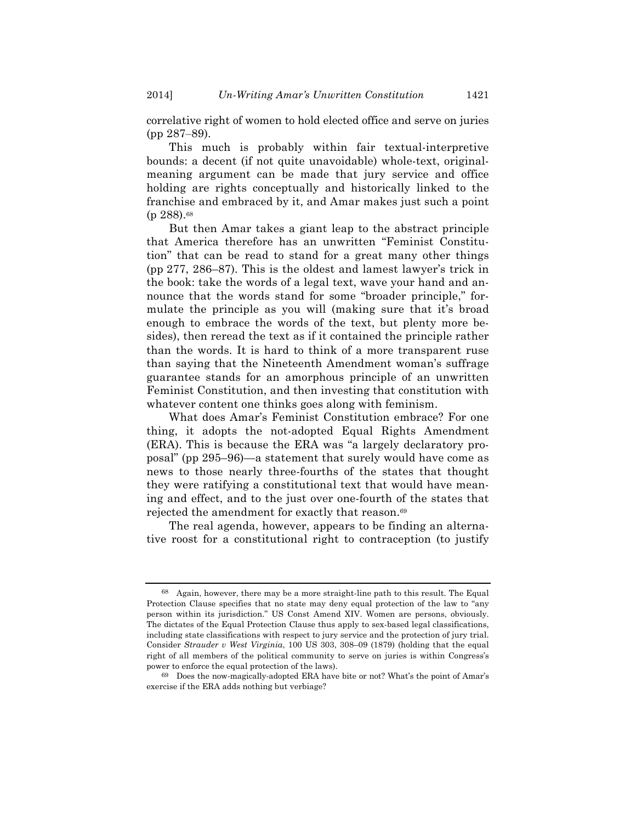correlative right of women to hold elected office and serve on juries (pp 287–89).

This much is probably within fair textual-interpretive bounds: a decent (if not quite unavoidable) whole-text, originalmeaning argument can be made that jury service and office holding are rights conceptually and historically linked to the franchise and embraced by it, and Amar makes just such a point (p 288).68

But then Amar takes a giant leap to the abstract principle that America therefore has an unwritten "Feminist Constitution" that can be read to stand for a great many other things (pp 277, 286–87). This is the oldest and lamest lawyer's trick in the book: take the words of a legal text, wave your hand and announce that the words stand for some "broader principle," formulate the principle as you will (making sure that it's broad enough to embrace the words of the text, but plenty more besides), then reread the text as if it contained the principle rather than the words. It is hard to think of a more transparent ruse than saying that the Nineteenth Amendment woman's suffrage guarantee stands for an amorphous principle of an unwritten Feminist Constitution, and then investing that constitution with whatever content one thinks goes along with feminism.

What does Amar's Feminist Constitution embrace? For one thing, it adopts the not-adopted Equal Rights Amendment (ERA). This is because the ERA was "a largely declaratory proposal" (pp 295–96)—a statement that surely would have come as news to those nearly three-fourths of the states that thought they were ratifying a constitutional text that would have meaning and effect, and to the just over one-fourth of the states that rejected the amendment for exactly that reason.69

The real agenda, however, appears to be finding an alternative roost for a constitutional right to contraception (to justify

<sup>68</sup> Again, however, there may be a more straight-line path to this result. The Equal Protection Clause specifies that no state may deny equal protection of the law to "any person within its jurisdiction." US Const Amend XIV. Women are persons, obviously. The dictates of the Equal Protection Clause thus apply to sex-based legal classifications, including state classifications with respect to jury service and the protection of jury trial. Consider *Strauder v West Virginia*, 100 US 303, 308–09 (1879) (holding that the equal right of all members of the political community to serve on juries is within Congress's power to enforce the equal protection of the laws).

<sup>69</sup> Does the now-magically-adopted ERA have bite or not? What's the point of Amar's exercise if the ERA adds nothing but verbiage?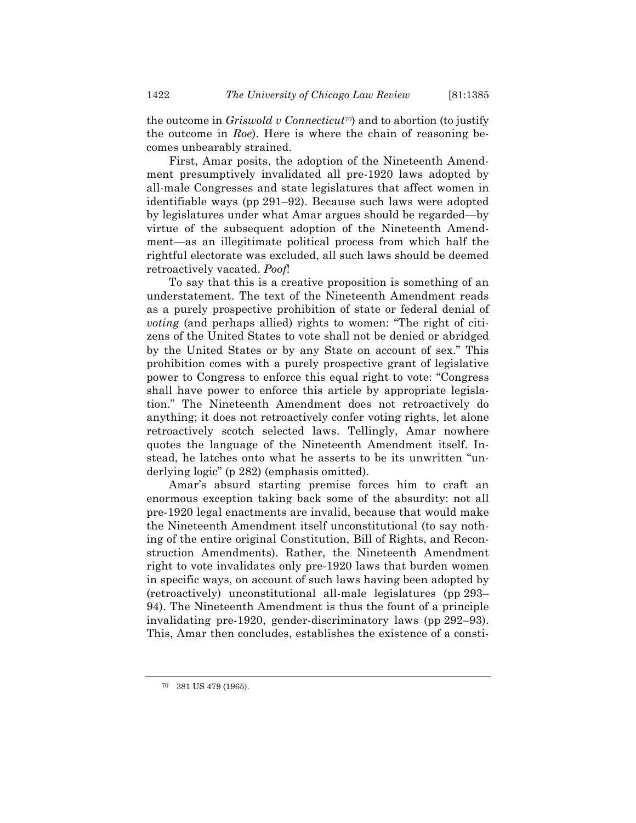the outcome in *Griswold v Connecticut*70) and to abortion (to justify the outcome in *Roe*). Here is where the chain of reasoning becomes unbearably strained.

First, Amar posits, the adoption of the Nineteenth Amendment presumptively invalidated all pre-1920 laws adopted by all-male Congresses and state legislatures that affect women in identifiable ways (pp 291–92). Because such laws were adopted by legislatures under what Amar argues should be regarded—by virtue of the subsequent adoption of the Nineteenth Amendment—as an illegitimate political process from which half the rightful electorate was excluded, all such laws should be deemed retroactively vacated. *Poof*!

To say that this is a creative proposition is something of an understatement. The text of the Nineteenth Amendment reads as a purely prospective prohibition of state or federal denial of *voting* (and perhaps allied) rights to women: "The right of citizens of the United States to vote shall not be denied or abridged by the United States or by any State on account of sex." This prohibition comes with a purely prospective grant of legislative power to Congress to enforce this equal right to vote: "Congress shall have power to enforce this article by appropriate legislation." The Nineteenth Amendment does not retroactively do anything; it does not retroactively confer voting rights, let alone retroactively scotch selected laws. Tellingly, Amar nowhere quotes the language of the Nineteenth Amendment itself. Instead, he latches onto what he asserts to be its unwritten "underlying logic" (p 282) (emphasis omitted).

Amar's absurd starting premise forces him to craft an enormous exception taking back some of the absurdity: not all pre-1920 legal enactments are invalid, because that would make the Nineteenth Amendment itself unconstitutional (to say nothing of the entire original Constitution, Bill of Rights, and Reconstruction Amendments). Rather, the Nineteenth Amendment right to vote invalidates only pre-1920 laws that burden women in specific ways, on account of such laws having been adopted by (retroactively) unconstitutional all-male legislatures (pp 293– 94). The Nineteenth Amendment is thus the fount of a principle invalidating pre-1920, gender-discriminatory laws (pp 292–93). This, Amar then concludes, establishes the existence of a consti-

<sup>70</sup> 381 US 479 (1965).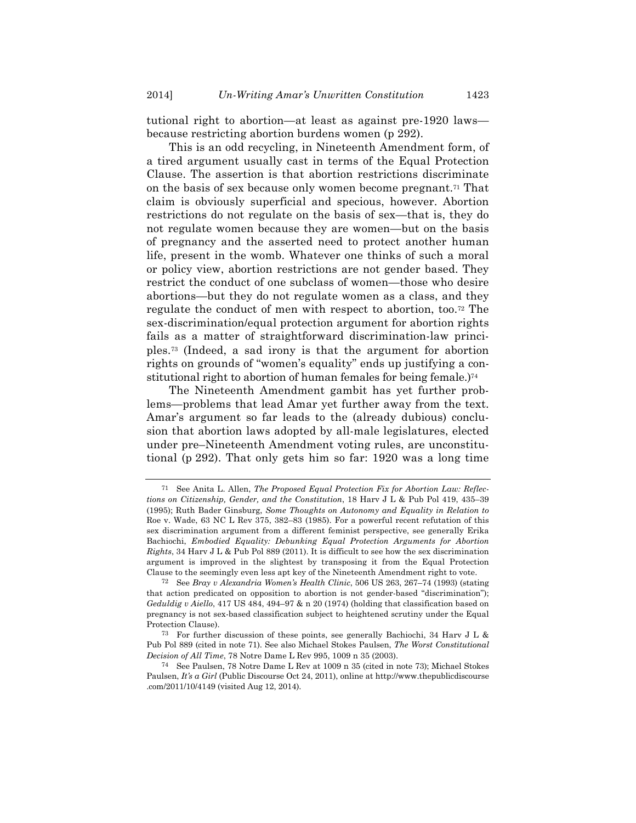tutional right to abortion—at least as against pre-1920 laws because restricting abortion burdens women (p 292).

This is an odd recycling, in Nineteenth Amendment form, of a tired argument usually cast in terms of the Equal Protection Clause. The assertion is that abortion restrictions discriminate on the basis of sex because only women become pregnant.71 That claim is obviously superficial and specious, however. Abortion restrictions do not regulate on the basis of sex—that is, they do not regulate women because they are women—but on the basis of pregnancy and the asserted need to protect another human life, present in the womb. Whatever one thinks of such a moral or policy view, abortion restrictions are not gender based. They restrict the conduct of one subclass of women—those who desire abortions—but they do not regulate women as a class, and they regulate the conduct of men with respect to abortion, too.72 The sex-discrimination/equal protection argument for abortion rights fails as a matter of straightforward discrimination-law principles.73 (Indeed, a sad irony is that the argument for abortion rights on grounds of "women's equality" ends up justifying a constitutional right to abortion of human females for being female.)74

The Nineteenth Amendment gambit has yet further problems—problems that lead Amar yet further away from the text. Amar's argument so far leads to the (already dubious) conclusion that abortion laws adopted by all-male legislatures, elected under pre–Nineteenth Amendment voting rules, are unconstitutional (p 292). That only gets him so far: 1920 was a long time

<sup>71</sup> See Anita L. Allen, *The Proposed Equal Protection Fix for Abortion Law: Reflections on Citizenship, Gender, and the Constitution*, 18 Harv J L & Pub Pol 419, 435–39 (1995); Ruth Bader Ginsburg, *Some Thoughts on Autonomy and Equality in Relation to*  Roe v. Wade, 63 NC L Rev 375, 382–83 (1985). For a powerful recent refutation of this sex discrimination argument from a different feminist perspective, see generally Erika Bachiochi, *Embodied Equality: Debunking Equal Protection Arguments for Abortion Rights*, 34 Harv J L & Pub Pol 889 (2011). It is difficult to see how the sex discrimination argument is improved in the slightest by transposing it from the Equal Protection Clause to the seemingly even less apt key of the Nineteenth Amendment right to vote.

<sup>72</sup> See *Bray v Alexandria Women's Health Clinic*, 506 US 263, 267–74 (1993) (stating that action predicated on opposition to abortion is not gender-based "discrimination"); *Geduldig v Aiello*, 417 US 484, 494–97 & n 20 (1974) (holding that classification based on pregnancy is not sex-based classification subject to heightened scrutiny under the Equal Protection Clause).

<sup>73</sup> For further discussion of these points, see generally Bachiochi, 34 Harv J L & Pub Pol 889 (cited in note 71). See also Michael Stokes Paulsen, *The Worst Constitutional Decision of All Time*, 78 Notre Dame L Rev 995, 1009 n 35 (2003).

<sup>74</sup> See Paulsen, 78 Notre Dame L Rev at 1009 n 35 (cited in note 73); Michael Stokes Paulsen, *It's a Girl* (Public Discourse Oct 24, 2011), online at http://www.thepublicdiscourse .com/2011/10/4149 (visited Aug 12, 2014).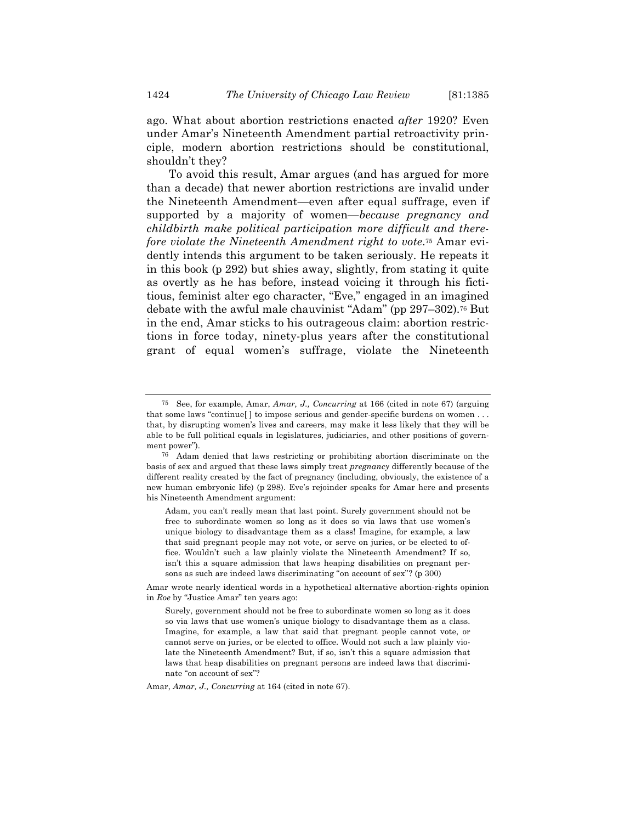ago. What about abortion restrictions enacted *after* 1920? Even under Amar's Nineteenth Amendment partial retroactivity principle, modern abortion restrictions should be constitutional, shouldn't they?

To avoid this result, Amar argues (and has argued for more than a decade) that newer abortion restrictions are invalid under the Nineteenth Amendment—even after equal suffrage, even if supported by a majority of women—*because pregnancy and childbirth make political participation more difficult and therefore violate the Nineteenth Amendment right to vote*.75 Amar evidently intends this argument to be taken seriously. He repeats it in this book (p 292) but shies away, slightly, from stating it quite as overtly as he has before, instead voicing it through his fictitious, feminist alter ego character, "Eve," engaged in an imagined debate with the awful male chauvinist "Adam" (pp 297–302).76 But in the end, Amar sticks to his outrageous claim: abortion restrictions in force today, ninety-plus years after the constitutional grant of equal women's suffrage, violate the Nineteenth

Amar, *Amar, J., Concurring* at 164 (cited in note 67).

<sup>75</sup> See, for example, Amar, *Amar, J., Concurring* at 166 (cited in note 67) (arguing that some laws "continue[ ] to impose serious and gender-specific burdens on women . . . that, by disrupting women's lives and careers, may make it less likely that they will be able to be full political equals in legislatures, judiciaries, and other positions of government power").

<sup>76</sup> Adam denied that laws restricting or prohibiting abortion discriminate on the basis of sex and argued that these laws simply treat *pregnancy* differently because of the different reality created by the fact of pregnancy (including, obviously, the existence of a new human embryonic life) (p 298). Eve's rejoinder speaks for Amar here and presents his Nineteenth Amendment argument:

Adam, you can't really mean that last point. Surely government should not be free to subordinate women so long as it does so via laws that use women's unique biology to disadvantage them as a class! Imagine, for example, a law that said pregnant people may not vote, or serve on juries, or be elected to office. Wouldn't such a law plainly violate the Nineteenth Amendment? If so, isn't this a square admission that laws heaping disabilities on pregnant persons as such are indeed laws discriminating "on account of sex"? (p 300)

Amar wrote nearly identical words in a hypothetical alternative abortion-rights opinion in *Roe* by "Justice Amar" ten years ago:

Surely, government should not be free to subordinate women so long as it does so via laws that use women's unique biology to disadvantage them as a class. Imagine, for example, a law that said that pregnant people cannot vote, or cannot serve on juries, or be elected to office. Would not such a law plainly violate the Nineteenth Amendment? But, if so, isn't this a square admission that laws that heap disabilities on pregnant persons are indeed laws that discriminate "on account of sex"?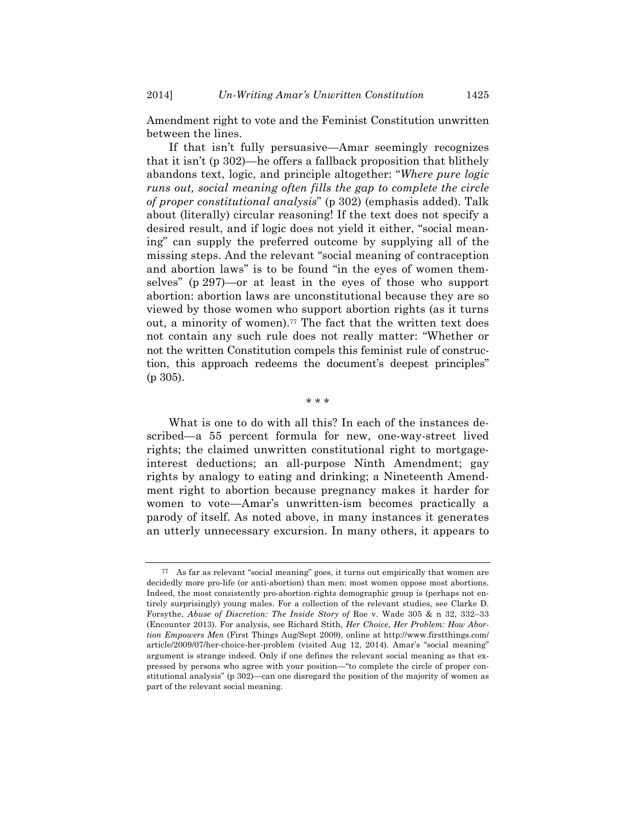2014] *Un-Writing Amar's Unwritten Constitution* 1425

Amendment right to vote and the Feminist Constitution unwritten between the lines.

If that isn't fully persuasive—Amar seemingly recognizes that it isn't (p 302)—he offers a fallback proposition that blithely abandons text, logic, and principle altogether: "*Where pure logic runs out, social meaning often fills the gap to complete the circle of proper constitutional analysis*" (p 302) (emphasis added). Talk about (literally) circular reasoning! If the text does not specify a desired result, and if logic does not yield it either, "social meaning" can supply the preferred outcome by supplying all of the missing steps. And the relevant "social meaning of contraception and abortion laws" is to be found "in the eyes of women themselves" (p 297)—or at least in the eyes of those who support abortion: abortion laws are unconstitutional because they are so viewed by those women who support abortion rights (as it turns out, a minority of women).77 The fact that the written text does not contain any such rule does not really matter: "Whether or not the written Constitution compels this feminist rule of construction, this approach redeems the document's deepest principles" (p 305).

\* \* \*

What is one to do with all this? In each of the instances described—a 55 percent formula for new, one-way-street lived rights; the claimed unwritten constitutional right to mortgageinterest deductions; an all-purpose Ninth Amendment; gay rights by analogy to eating and drinking; a Nineteenth Amendment right to abortion because pregnancy makes it harder for women to vote—Amar's unwritten-ism becomes practically a parody of itself. As noted above, in many instances it generates an utterly unnecessary excursion. In many others, it appears to

<sup>77</sup> As far as relevant "social meaning" goes, it turns out empirically that women are decidedly more pro-life (or anti-abortion) than men: most women oppose most abortions. Indeed, the most consistently pro-abortion-rights demographic group is (perhaps not entirely surprisingly) young males. For a collection of the relevant studies, see Clarke D. Forsythe, *Abuse of Discretion: The Inside Story of* Roe v. Wade 305 & n 32, 332–33 (Encounter 2013). For analysis, see Richard Stith, *Her Choice, Her Problem: How Abortion Empowers Men* (First Things Aug/Sept 2009), online at http://www.firstthings.com/ article/2009/07/her-choice-her-problem (visited Aug 12, 2014). Amar's "social meaning" argument is strange indeed. Only if one defines the relevant social meaning as that expressed by persons who agree with your position—"to complete the circle of proper constitutional analysis" (p 302)—can one disregard the position of the majority of women as part of the relevant social meaning.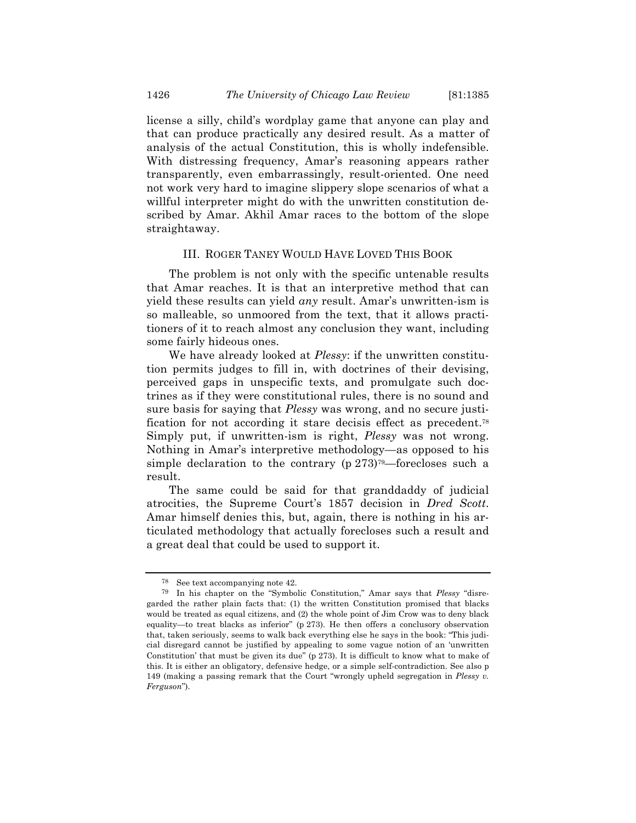license a silly, child's wordplay game that anyone can play and that can produce practically any desired result. As a matter of analysis of the actual Constitution, this is wholly indefensible. With distressing frequency, Amar's reasoning appears rather transparently, even embarrassingly, result-oriented. One need not work very hard to imagine slippery slope scenarios of what a willful interpreter might do with the unwritten constitution described by Amar. Akhil Amar races to the bottom of the slope straightaway.

#### III. ROGER TANEY WOULD HAVE LOVED THIS BOOK

The problem is not only with the specific untenable results that Amar reaches. It is that an interpretive method that can yield these results can yield *any* result. Amar's unwritten-ism is so malleable, so unmoored from the text, that it allows practitioners of it to reach almost any conclusion they want, including some fairly hideous ones.

We have already looked at *Plessy*: if the unwritten constitution permits judges to fill in, with doctrines of their devising, perceived gaps in unspecific texts, and promulgate such doctrines as if they were constitutional rules, there is no sound and sure basis for saying that *Plessy* was wrong, and no secure justification for not according it stare decisis effect as precedent.78 Simply put, if unwritten-ism is right, *Plessy* was not wrong. Nothing in Amar's interpretive methodology—as opposed to his simple declaration to the contrary  $(p 273)$ <sup>79</sup>—forecloses such a result.

The same could be said for that granddaddy of judicial atrocities, the Supreme Court's 1857 decision in *Dred Scott*. Amar himself denies this, but, again, there is nothing in his articulated methodology that actually forecloses such a result and a great deal that could be used to support it.

<sup>78</sup> See text accompanying note 42.

<sup>79</sup> In his chapter on the "Symbolic Constitution," Amar says that *Plessy* "disregarded the rather plain facts that: (1) the written Constitution promised that blacks would be treated as equal citizens, and (2) the whole point of Jim Crow was to deny black equality—to treat blacks as inferior" (p 273). He then offers a conclusory observation that, taken seriously, seems to walk back everything else he says in the book: "This judicial disregard cannot be justified by appealing to some vague notion of an 'unwritten Constitution' that must be given its due" (p 273). It is difficult to know what to make of this. It is either an obligatory, defensive hedge, or a simple self-contradiction. See also p 149 (making a passing remark that the Court "wrongly upheld segregation in *Plessy v. Ferguson*").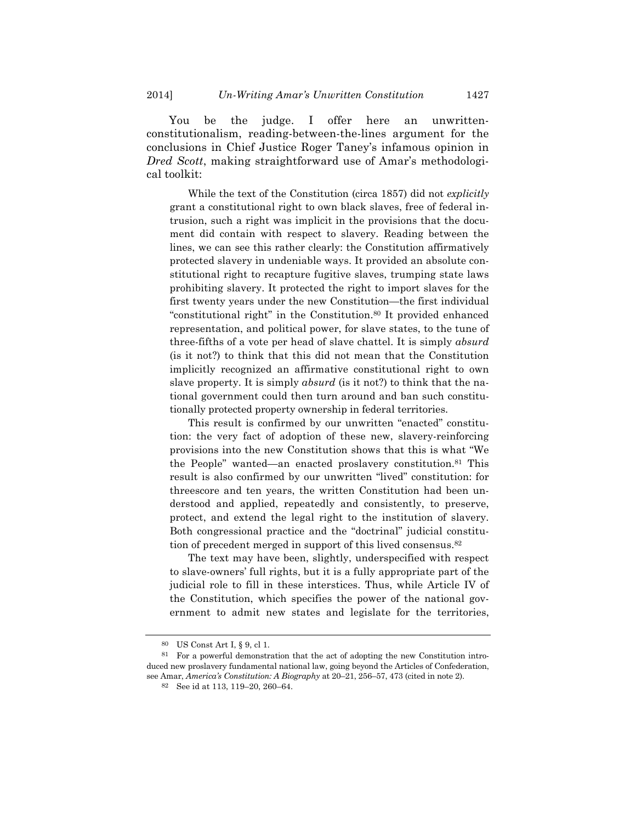You be the judge. I offer here an unwrittenconstitutionalism, reading-between-the-lines argument for the conclusions in Chief Justice Roger Taney's infamous opinion in *Dred Scott*, making straightforward use of Amar's methodological toolkit:

While the text of the Constitution (circa 1857) did not *explicitly* grant a constitutional right to own black slaves, free of federal intrusion, such a right was implicit in the provisions that the document did contain with respect to slavery. Reading between the lines, we can see this rather clearly: the Constitution affirmatively protected slavery in undeniable ways. It provided an absolute constitutional right to recapture fugitive slaves, trumping state laws prohibiting slavery. It protected the right to import slaves for the first twenty years under the new Constitution—the first individual "constitutional right" in the Constitution.80 It provided enhanced representation, and political power, for slave states, to the tune of three-fifths of a vote per head of slave chattel. It is simply *absurd* (is it not?) to think that this did not mean that the Constitution implicitly recognized an affirmative constitutional right to own slave property. It is simply *absurd* (is it not?) to think that the national government could then turn around and ban such constitutionally protected property ownership in federal territories.

This result is confirmed by our unwritten "enacted" constitution: the very fact of adoption of these new, slavery-reinforcing provisions into the new Constitution shows that this is what "We the People" wanted—an enacted proslavery constitution.81 This result is also confirmed by our unwritten "lived" constitution: for threescore and ten years, the written Constitution had been understood and applied, repeatedly and consistently, to preserve, protect, and extend the legal right to the institution of slavery. Both congressional practice and the "doctrinal" judicial constitution of precedent merged in support of this lived consensus.82

The text may have been, slightly, underspecified with respect to slave-owners' full rights, but it is a fully appropriate part of the judicial role to fill in these interstices. Thus, while Article IV of the Constitution, which specifies the power of the national government to admit new states and legislate for the territories,

<sup>80</sup> US Const Art I, § 9, cl 1.

<sup>81</sup> For a powerful demonstration that the act of adopting the new Constitution introduced new proslavery fundamental national law, going beyond the Articles of Confederation, see Amar, *America's Constitution: A Biography* at 20–21, 256–57, 473 (cited in note 2).

<sup>82</sup> See id at 113, 119–20, 260–64.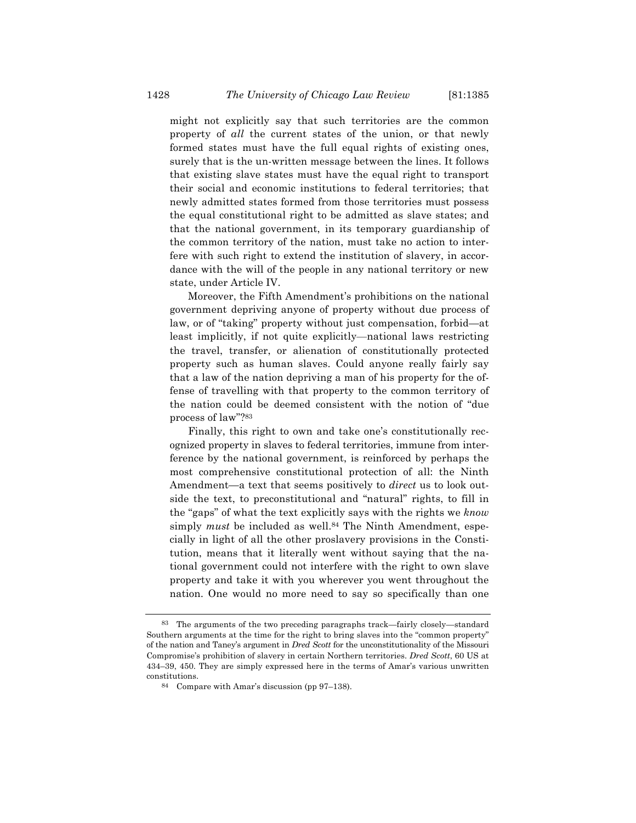might not explicitly say that such territories are the common property of *all* the current states of the union, or that newly formed states must have the full equal rights of existing ones, surely that is the un-written message between the lines. It follows that existing slave states must have the equal right to transport their social and economic institutions to federal territories; that newly admitted states formed from those territories must possess the equal constitutional right to be admitted as slave states; and that the national government, in its temporary guardianship of the common territory of the nation, must take no action to interfere with such right to extend the institution of slavery, in accordance with the will of the people in any national territory or new state, under Article IV.

Moreover, the Fifth Amendment's prohibitions on the national government depriving anyone of property without due process of law, or of "taking" property without just compensation, forbid—at least implicitly, if not quite explicitly—national laws restricting the travel, transfer, or alienation of constitutionally protected property such as human slaves. Could anyone really fairly say that a law of the nation depriving a man of his property for the offense of travelling with that property to the common territory of the nation could be deemed consistent with the notion of "due process of law"?83

Finally, this right to own and take one's constitutionally recognized property in slaves to federal territories, immune from interference by the national government, is reinforced by perhaps the most comprehensive constitutional protection of all: the Ninth Amendment—a text that seems positively to *direct* us to look outside the text, to preconstitutional and "natural" rights, to fill in the "gaps" of what the text explicitly says with the rights we *know* simply *must* be included as well.<sup>84</sup> The Ninth Amendment, especially in light of all the other proslavery provisions in the Constitution, means that it literally went without saying that the national government could not interfere with the right to own slave property and take it with you wherever you went throughout the nation. One would no more need to say so specifically than one

<sup>83</sup> The arguments of the two preceding paragraphs track—fairly closely—standard Southern arguments at the time for the right to bring slaves into the "common property" of the nation and Taney's argument in *Dred Scott* for the unconstitutionality of the Missouri Compromise's prohibition of slavery in certain Northern territories. *Dred Scott*, 60 US at 434–39, 450. They are simply expressed here in the terms of Amar's various unwritten constitutions.

<sup>84</sup> Compare with Amar's discussion (pp 97–138).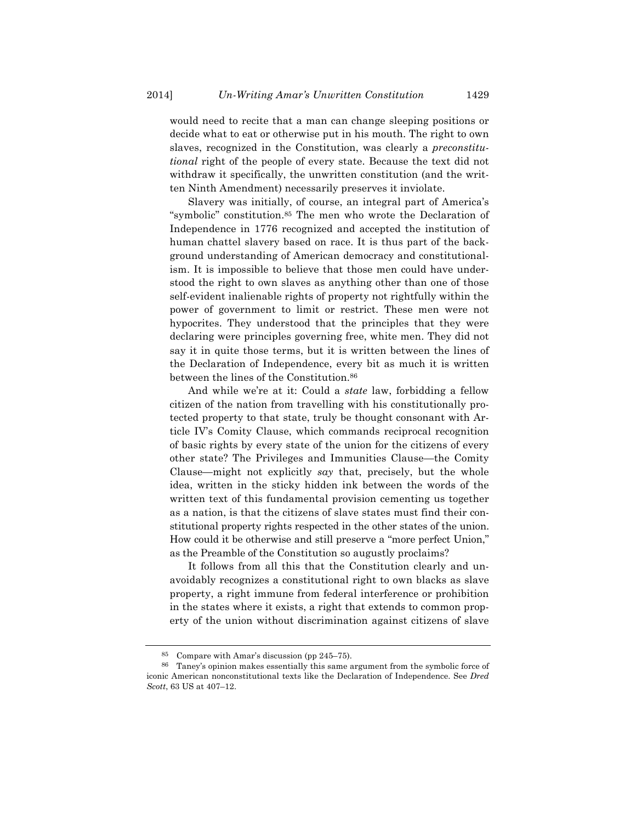would need to recite that a man can change sleeping positions or decide what to eat or otherwise put in his mouth. The right to own slaves, recognized in the Constitution, was clearly a *preconstitutional* right of the people of every state. Because the text did not withdraw it specifically, the unwritten constitution (and the written Ninth Amendment) necessarily preserves it inviolate.

Slavery was initially, of course, an integral part of America's "symbolic" constitution.85 The men who wrote the Declaration of Independence in 1776 recognized and accepted the institution of human chattel slavery based on race. It is thus part of the background understanding of American democracy and constitutionalism. It is impossible to believe that those men could have understood the right to own slaves as anything other than one of those self-evident inalienable rights of property not rightfully within the power of government to limit or restrict. These men were not hypocrites. They understood that the principles that they were declaring were principles governing free, white men. They did not say it in quite those terms, but it is written between the lines of the Declaration of Independence, every bit as much it is written between the lines of the Constitution.86

And while we're at it: Could a *state* law, forbidding a fellow citizen of the nation from travelling with his constitutionally protected property to that state, truly be thought consonant with Article IV's Comity Clause, which commands reciprocal recognition of basic rights by every state of the union for the citizens of every other state? The Privileges and Immunities Clause—the Comity Clause—might not explicitly *say* that, precisely, but the whole idea, written in the sticky hidden ink between the words of the written text of this fundamental provision cementing us together as a nation, is that the citizens of slave states must find their constitutional property rights respected in the other states of the union. How could it be otherwise and still preserve a "more perfect Union," as the Preamble of the Constitution so augustly proclaims?

It follows from all this that the Constitution clearly and unavoidably recognizes a constitutional right to own blacks as slave property, a right immune from federal interference or prohibition in the states where it exists, a right that extends to common property of the union without discrimination against citizens of slave

<sup>85</sup> Compare with Amar's discussion (pp 245–75).

<sup>86</sup> Taney's opinion makes essentially this same argument from the symbolic force of iconic American nonconstitutional texts like the Declaration of Independence. See *Dred Scott*, 63 US at 407–12.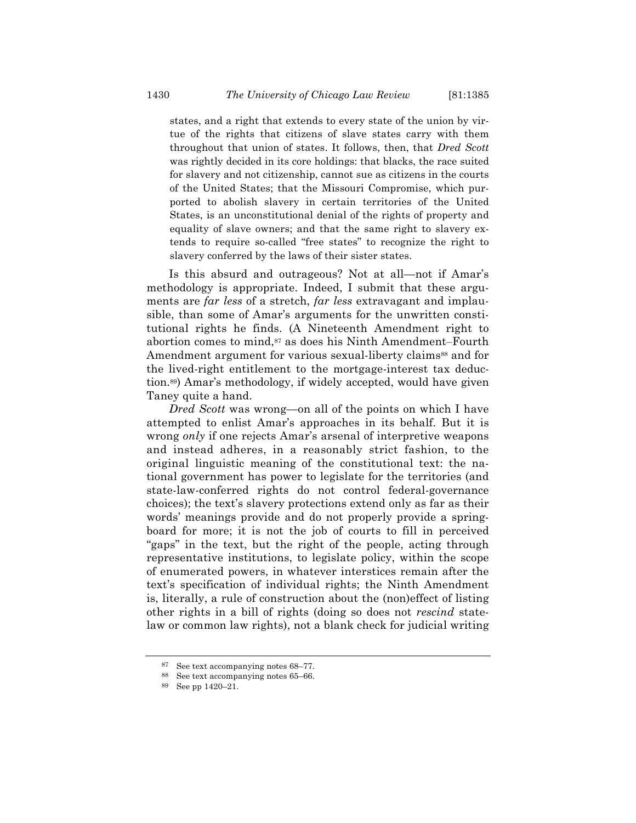states, and a right that extends to every state of the union by virtue of the rights that citizens of slave states carry with them throughout that union of states. It follows, then, that *Dred Scott* was rightly decided in its core holdings: that blacks, the race suited for slavery and not citizenship, cannot sue as citizens in the courts of the United States; that the Missouri Compromise, which purported to abolish slavery in certain territories of the United States, is an unconstitutional denial of the rights of property and equality of slave owners; and that the same right to slavery extends to require so-called "free states" to recognize the right to slavery conferred by the laws of their sister states.

Is this absurd and outrageous? Not at all—not if Amar's methodology is appropriate. Indeed, I submit that these arguments are *far less* of a stretch, *far less* extravagant and implausible, than some of Amar's arguments for the unwritten constitutional rights he finds. (A Nineteenth Amendment right to abortion comes to mind,<sup>87</sup> as does his Ninth Amendment–Fourth Amendment argument for various sexual-liberty claims<sup>88</sup> and for the lived-right entitlement to the mortgage-interest tax deduction.89) Amar's methodology, if widely accepted, would have given Taney quite a hand.

*Dred Scott* was wrong—on all of the points on which I have attempted to enlist Amar's approaches in its behalf. But it is wrong *only* if one rejects Amar's arsenal of interpretive weapons and instead adheres, in a reasonably strict fashion, to the original linguistic meaning of the constitutional text: the national government has power to legislate for the territories (and state-law-conferred rights do not control federal-governance choices); the text's slavery protections extend only as far as their words' meanings provide and do not properly provide a springboard for more; it is not the job of courts to fill in perceived "gaps" in the text, but the right of the people, acting through representative institutions, to legislate policy, within the scope of enumerated powers, in whatever interstices remain after the text's specification of individual rights; the Ninth Amendment is, literally, a rule of construction about the (non)effect of listing other rights in a bill of rights (doing so does not *rescind* statelaw or common law rights), not a blank check for judicial writing

<sup>87</sup> See text accompanying notes 68–77.

<sup>88</sup> See text accompanying notes 65–66.

<sup>89</sup> See pp 1420–21.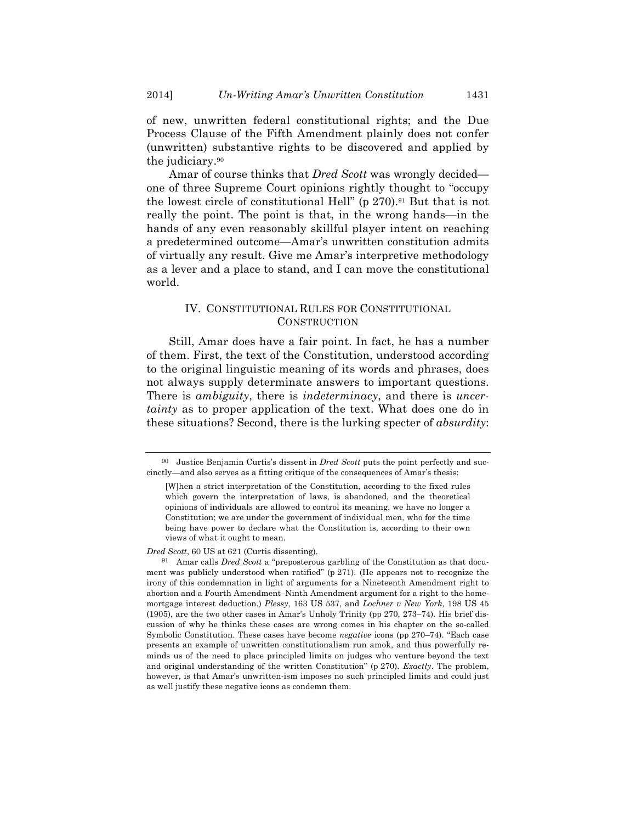of new, unwritten federal constitutional rights; and the Due Process Clause of the Fifth Amendment plainly does not confer (unwritten) substantive rights to be discovered and applied by the judiciary.90

Amar of course thinks that *Dred Scott* was wrongly decided one of three Supreme Court opinions rightly thought to "occupy the lowest circle of constitutional Hell" (p 270).<sup>91</sup> But that is not really the point. The point is that, in the wrong hands—in the hands of any even reasonably skillful player intent on reaching a predetermined outcome—Amar's unwritten constitution admits of virtually any result. Give me Amar's interpretive methodology as a lever and a place to stand, and I can move the constitutional world.

## IV. CONSTITUTIONAL RULES FOR CONSTITUTIONAL **CONSTRUCTION**

Still, Amar does have a fair point. In fact, he has a number of them. First, the text of the Constitution, understood according to the original linguistic meaning of its words and phrases, does not always supply determinate answers to important questions. There is *ambiguity*, there is *indeterminacy*, and there is *uncertainty* as to proper application of the text. What does one do in these situations? Second, there is the lurking specter of *absurdity*:

<sup>90</sup> Justice Benjamin Curtis's dissent in *Dred Scott* puts the point perfectly and succinctly—and also serves as a fitting critique of the consequences of Amar's thesis:

<sup>[</sup>W]hen a strict interpretation of the Constitution, according to the fixed rules which govern the interpretation of laws, is abandoned, and the theoretical opinions of individuals are allowed to control its meaning, we have no longer a Constitution; we are under the government of individual men, who for the time being have power to declare what the Constitution is, according to their own views of what it ought to mean.

*Dred Scott*, 60 US at 621 (Curtis dissenting).

<sup>91</sup> Amar calls *Dred Scott* a "preposterous garbling of the Constitution as that document was publicly understood when ratified" (p 271). (He appears not to recognize the irony of this condemnation in light of arguments for a Nineteenth Amendment right to abortion and a Fourth Amendment–Ninth Amendment argument for a right to the homemortgage interest deduction.) *Plessy*, 163 US 537, and *Lochner v New York*, 198 US 45 (1905), are the two other cases in Amar's Unholy Trinity (pp 270, 273–74). His brief discussion of why he thinks these cases are wrong comes in his chapter on the so-called Symbolic Constitution. These cases have become *negative* icons (pp 270–74). "Each case presents an example of unwritten constitutionalism run amok, and thus powerfully reminds us of the need to place principled limits on judges who venture beyond the text and original understanding of the written Constitution" (p 270). *Exactly*. The problem, however, is that Amar's unwritten-ism imposes no such principled limits and could just as well justify these negative icons as condemn them.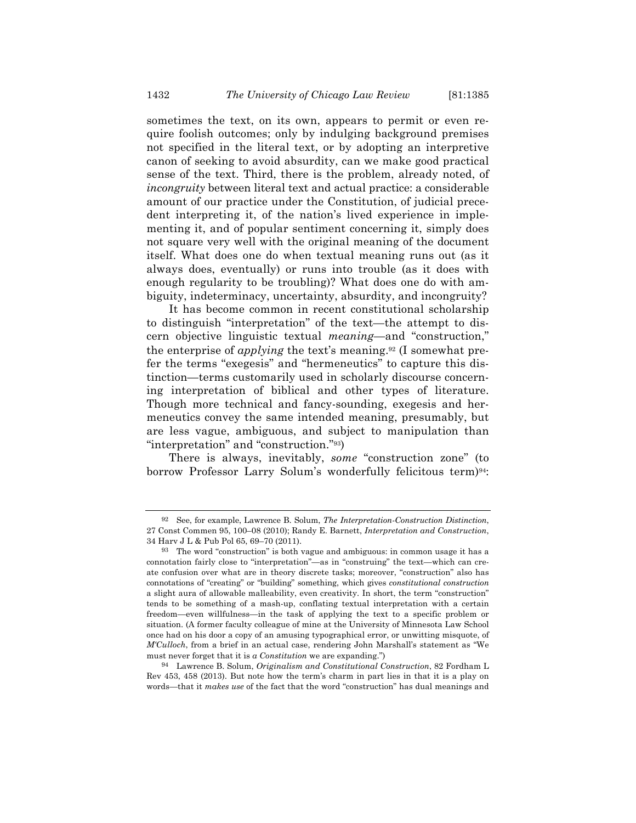sometimes the text, on its own, appears to permit or even require foolish outcomes; only by indulging background premises not specified in the literal text, or by adopting an interpretive canon of seeking to avoid absurdity, can we make good practical sense of the text. Third, there is the problem, already noted, of *incongruity* between literal text and actual practice: a considerable amount of our practice under the Constitution, of judicial precedent interpreting it, of the nation's lived experience in implementing it, and of popular sentiment concerning it, simply does not square very well with the original meaning of the document itself. What does one do when textual meaning runs out (as it always does, eventually) or runs into trouble (as it does with enough regularity to be troubling)? What does one do with ambiguity, indeterminacy, uncertainty, absurdity, and incongruity?

It has become common in recent constitutional scholarship to distinguish "interpretation" of the text—the attempt to discern objective linguistic textual *meaning*—and "construction," the enterprise of *applying* the text's meaning.92 (I somewhat prefer the terms "exegesis" and "hermeneutics" to capture this distinction—terms customarily used in scholarly discourse concerning interpretation of biblical and other types of literature. Though more technical and fancy-sounding, exegesis and hermeneutics convey the same intended meaning, presumably, but are less vague, ambiguous, and subject to manipulation than "interpretation" and "construction."93)

There is always, inevitably, *some* "construction zone" (to borrow Professor Larry Solum's wonderfully felicitous term)<sup>94</sup>:

<sup>92</sup> See, for example, Lawrence B. Solum, *The Interpretation-Construction Distinction*, 27 Const Commen 95, 100–08 (2010); Randy E. Barnett, *Interpretation and Construction*, 34 Harv J L & Pub Pol 65, 69–70 (2011).

<sup>93</sup> The word "construction" is both vague and ambiguous: in common usage it has a connotation fairly close to "interpretation"—as in "construing" the text—which can create confusion over what are in theory discrete tasks; moreover, "construction" also has connotations of "creating" or "building" something, which gives *constitutional construction* a slight aura of allowable malleability, even creativity. In short, the term "construction" tends to be something of a mash-up, conflating textual interpretation with a certain freedom—even willfulness—in the task of applying the text to a specific problem or situation. (A former faculty colleague of mine at the University of Minnesota Law School once had on his door a copy of an amusing typographical error, or unwitting misquote, of *M'Culloch*, from a brief in an actual case, rendering John Marshall's statement as "We must never forget that it is *a Constitution* we are expanding.")

<sup>94</sup> Lawrence B. Solum, *Originalism and Constitutional Construction*, 82 Fordham L Rev 453, 458 (2013). But note how the term's charm in part lies in that it is a play on words—that it *makes use* of the fact that the word "construction" has dual meanings and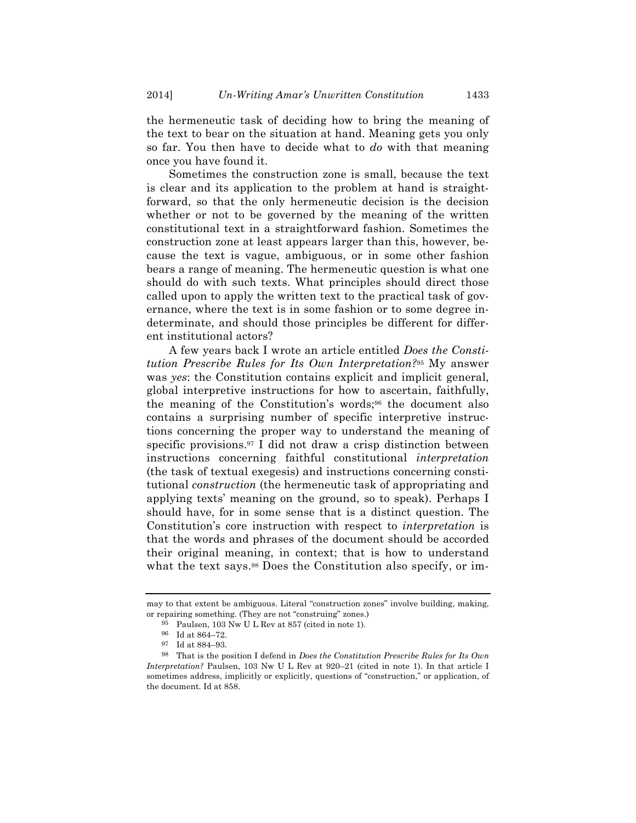the hermeneutic task of deciding how to bring the meaning of the text to bear on the situation at hand. Meaning gets you only so far. You then have to decide what to *do* with that meaning once you have found it.

Sometimes the construction zone is small, because the text is clear and its application to the problem at hand is straightforward, so that the only hermeneutic decision is the decision whether or not to be governed by the meaning of the written constitutional text in a straightforward fashion. Sometimes the construction zone at least appears larger than this, however, because the text is vague, ambiguous, or in some other fashion bears a range of meaning. The hermeneutic question is what one should do with such texts. What principles should direct those called upon to apply the written text to the practical task of governance, where the text is in some fashion or to some degree indeterminate, and should those principles be different for different institutional actors?

A few years back I wrote an article entitled *Does the Constitution Prescribe Rules for Its Own Interpretation?*<sup>95</sup> My answer was *yes*: the Constitution contains explicit and implicit general, global interpretive instructions for how to ascertain, faithfully, the meaning of the Constitution's words;96 the document also contains a surprising number of specific interpretive instructions concerning the proper way to understand the meaning of specific provisions.97 I did not draw a crisp distinction between instructions concerning faithful constitutional *interpretation* (the task of textual exegesis) and instructions concerning constitutional *construction* (the hermeneutic task of appropriating and applying texts' meaning on the ground, so to speak). Perhaps I should have, for in some sense that is a distinct question. The Constitution's core instruction with respect to *interpretation* is that the words and phrases of the document should be accorded their original meaning, in context; that is how to understand what the text says.<sup>98</sup> Does the Constitution also specify, or im-

may to that extent be ambiguous. Literal "construction zones" involve building, making, or repairing something. (They are not "construing" zones.)

<sup>95</sup> Paulsen, 103 Nw U L Rev at 857 (cited in note 1).

<sup>96</sup> Id at 864–72.

<sup>97</sup> Id at 884–93.

<sup>98</sup> That is the position I defend in *Does the Constitution Prescribe Rules for Its Own Interpretation?* Paulsen, 103 Nw U L Rev at 920–21 (cited in note 1). In that article I sometimes address, implicitly or explicitly, questions of "construction," or application, of the document. Id at 858.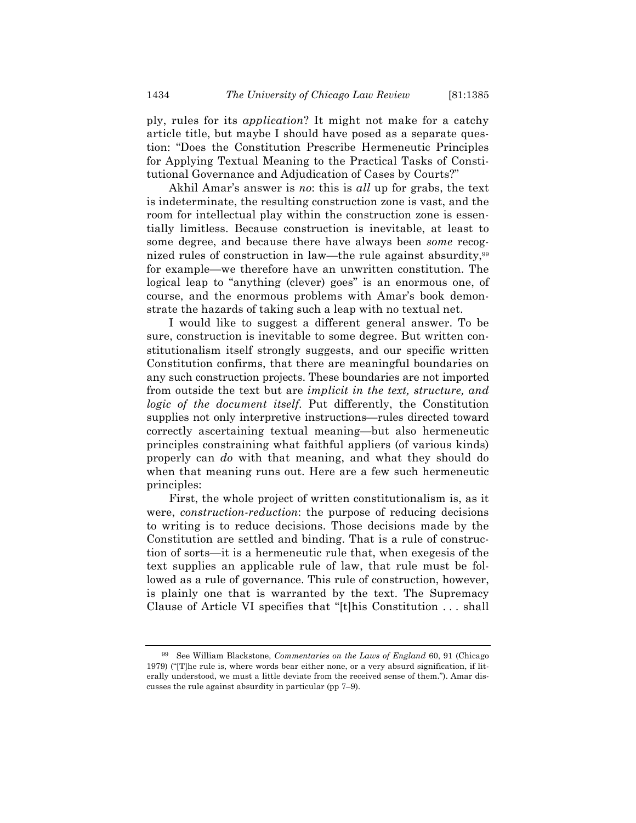ply, rules for its *application*? It might not make for a catchy article title, but maybe I should have posed as a separate question: "Does the Constitution Prescribe Hermeneutic Principles for Applying Textual Meaning to the Practical Tasks of Constitutional Governance and Adjudication of Cases by Courts?"

Akhil Amar's answer is *no*: this is *all* up for grabs, the text is indeterminate, the resulting construction zone is vast, and the room for intellectual play within the construction zone is essentially limitless. Because construction is inevitable, at least to some degree, and because there have always been *some* recognized rules of construction in law—the rule against absurdity,<sup>99</sup> for example—we therefore have an unwritten constitution. The logical leap to "anything (clever) goes" is an enormous one, of course, and the enormous problems with Amar's book demonstrate the hazards of taking such a leap with no textual net.

I would like to suggest a different general answer. To be sure, construction is inevitable to some degree. But written constitutionalism itself strongly suggests, and our specific written Constitution confirms, that there are meaningful boundaries on any such construction projects. These boundaries are not imported from outside the text but are *implicit in the text, structure, and logic of the document itself*. Put differently, the Constitution supplies not only interpretive instructions—rules directed toward correctly ascertaining textual meaning—but also hermeneutic principles constraining what faithful appliers (of various kinds) properly can *do* with that meaning, and what they should do when that meaning runs out. Here are a few such hermeneutic principles:

First, the whole project of written constitutionalism is, as it were, *construction-reduction*: the purpose of reducing decisions to writing is to reduce decisions. Those decisions made by the Constitution are settled and binding. That is a rule of construction of sorts—it is a hermeneutic rule that, when exegesis of the text supplies an applicable rule of law, that rule must be followed as a rule of governance. This rule of construction, however, is plainly one that is warranted by the text. The Supremacy Clause of Article VI specifies that "[t]his Constitution . . . shall

<sup>99</sup> See William Blackstone, *Commentaries on the Laws of England* 60, 91 (Chicago 1979) ("[T]he rule is, where words bear either none, or a very absurd signification, if literally understood, we must a little deviate from the received sense of them."). Amar discusses the rule against absurdity in particular (pp 7–9).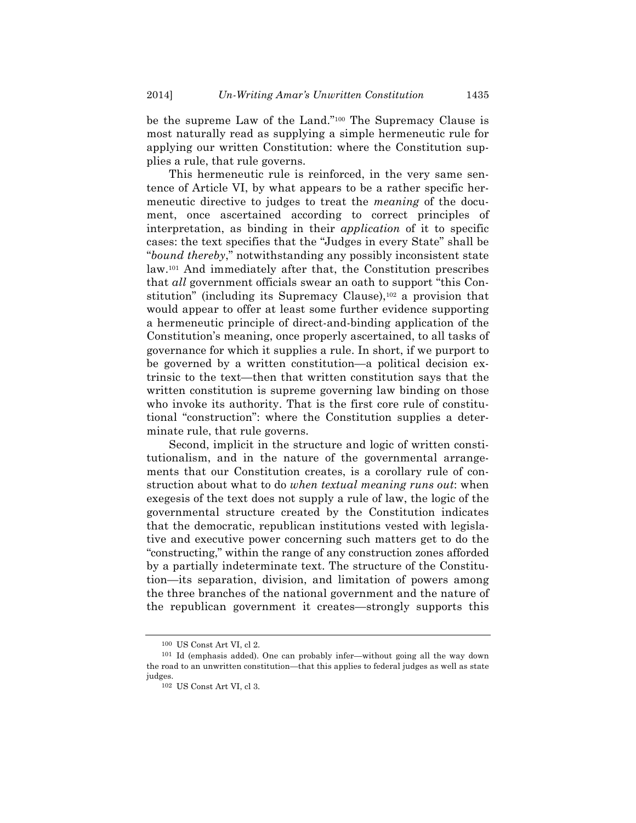be the supreme Law of the Land."100 The Supremacy Clause is most naturally read as supplying a simple hermeneutic rule for applying our written Constitution: where the Constitution supplies a rule, that rule governs.

This hermeneutic rule is reinforced, in the very same sentence of Article VI, by what appears to be a rather specific hermeneutic directive to judges to treat the *meaning* of the document, once ascertained according to correct principles of interpretation, as binding in their *application* of it to specific cases: the text specifies that the "Judges in every State" shall be "*bound thereby*," notwithstanding any possibly inconsistent state law.101 And immediately after that, the Constitution prescribes that *all* government officials swear an oath to support "this Constitution" (including its Supremacy Clause),102 a provision that would appear to offer at least some further evidence supporting a hermeneutic principle of direct-and-binding application of the Constitution's meaning, once properly ascertained, to all tasks of governance for which it supplies a rule. In short, if we purport to be governed by a written constitution—a political decision extrinsic to the text—then that written constitution says that the written constitution is supreme governing law binding on those who invoke its authority. That is the first core rule of constitutional "construction": where the Constitution supplies a determinate rule, that rule governs.

Second, implicit in the structure and logic of written constitutionalism, and in the nature of the governmental arrangements that our Constitution creates, is a corollary rule of construction about what to do *when textual meaning runs out*: when exegesis of the text does not supply a rule of law, the logic of the governmental structure created by the Constitution indicates that the democratic, republican institutions vested with legislative and executive power concerning such matters get to do the "constructing," within the range of any construction zones afforded by a partially indeterminate text. The structure of the Constitution—its separation, division, and limitation of powers among the three branches of the national government and the nature of the republican government it creates—strongly supports this

<sup>100</sup> US Const Art VI, cl 2.

<sup>101</sup> Id (emphasis added). One can probably infer—without going all the way down the road to an unwritten constitution—that this applies to federal judges as well as state judges.

<sup>102</sup> US Const Art VI, cl 3.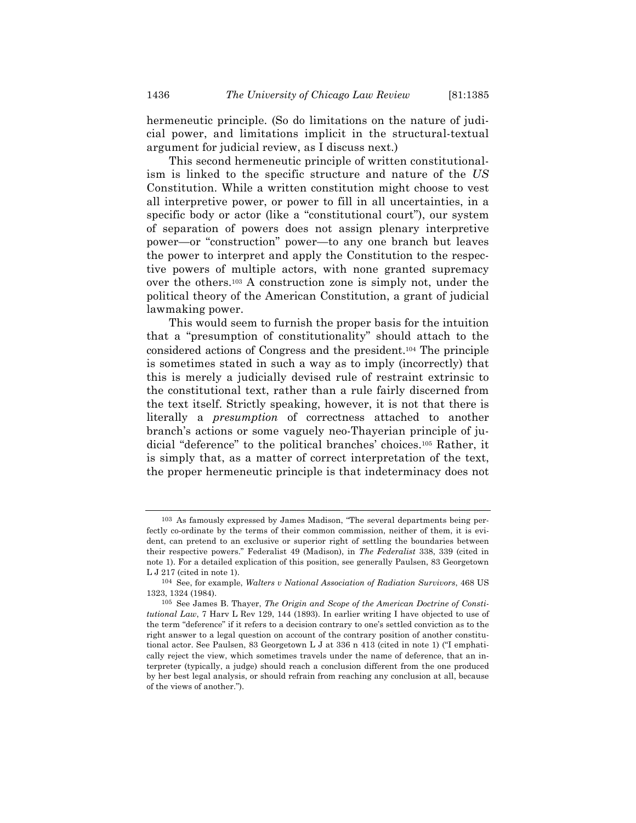hermeneutic principle. (So do limitations on the nature of judicial power, and limitations implicit in the structural-textual argument for judicial review, as I discuss next.)

This second hermeneutic principle of written constitutionalism is linked to the specific structure and nature of the *US* Constitution. While a written constitution might choose to vest all interpretive power, or power to fill in all uncertainties, in a specific body or actor (like a "constitutional court"), our system of separation of powers does not assign plenary interpretive power—or "construction" power—to any one branch but leaves the power to interpret and apply the Constitution to the respective powers of multiple actors, with none granted supremacy over the others.103 A construction zone is simply not, under the political theory of the American Constitution, a grant of judicial lawmaking power.

This would seem to furnish the proper basis for the intuition that a "presumption of constitutionality" should attach to the considered actions of Congress and the president.104 The principle is sometimes stated in such a way as to imply (incorrectly) that this is merely a judicially devised rule of restraint extrinsic to the constitutional text, rather than a rule fairly discerned from the text itself. Strictly speaking, however, it is not that there is literally a *presumption* of correctness attached to another branch's actions or some vaguely neo-Thayerian principle of judicial "deference" to the political branches' choices.105 Rather, it is simply that, as a matter of correct interpretation of the text, the proper hermeneutic principle is that indeterminacy does not

<sup>103</sup> As famously expressed by James Madison, "The several departments being perfectly co-ordinate by the terms of their common commission, neither of them, it is evident, can pretend to an exclusive or superior right of settling the boundaries between their respective powers." Federalist 49 (Madison), in *The Federalist* 338, 339 (cited in note 1). For a detailed explication of this position, see generally Paulsen, 83 Georgetown L J 217 (cited in note 1).

<sup>104</sup> See, for example, *Walters v National Association of Radiation Survivors*, 468 US 1323, 1324 (1984).

<sup>105</sup> See James B. Thayer, *The Origin and Scope of the American Doctrine of Constitutional Law*, 7 Harv L Rev 129, 144 (1893). In earlier writing I have objected to use of the term "deference" if it refers to a decision contrary to one's settled conviction as to the right answer to a legal question on account of the contrary position of another constitutional actor. See Paulsen, 83 Georgetown L J at 336 n 413 (cited in note 1) ("I emphatically reject the view, which sometimes travels under the name of deference, that an interpreter (typically, a judge) should reach a conclusion different from the one produced by her best legal analysis, or should refrain from reaching any conclusion at all, because of the views of another.").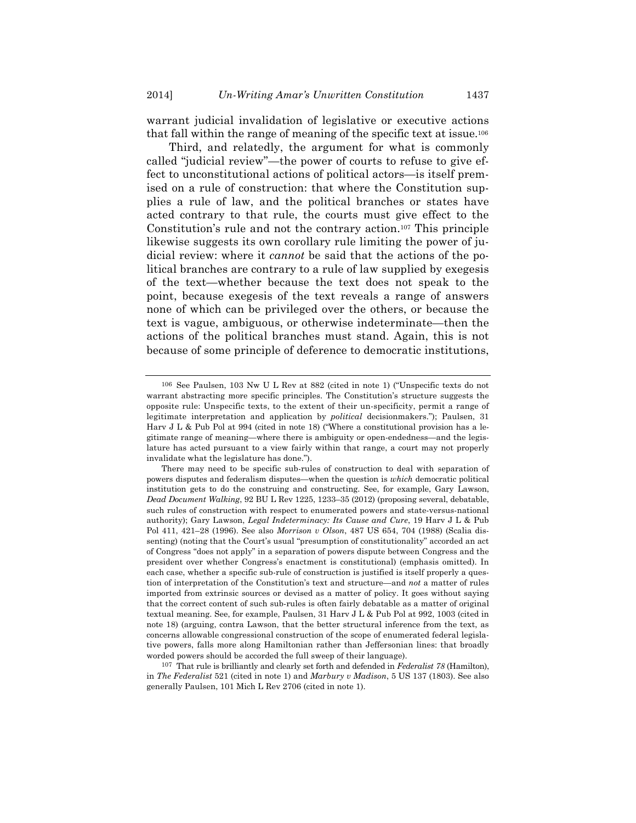warrant judicial invalidation of legislative or executive actions that fall within the range of meaning of the specific text at issue.106

Third, and relatedly, the argument for what is commonly called "judicial review"—the power of courts to refuse to give effect to unconstitutional actions of political actors—is itself premised on a rule of construction: that where the Constitution supplies a rule of law, and the political branches or states have acted contrary to that rule, the courts must give effect to the Constitution's rule and not the contrary action.107 This principle likewise suggests its own corollary rule limiting the power of judicial review: where it *cannot* be said that the actions of the political branches are contrary to a rule of law supplied by exegesis of the text—whether because the text does not speak to the point, because exegesis of the text reveals a range of answers none of which can be privileged over the others, or because the text is vague, ambiguous, or otherwise indeterminate—then the actions of the political branches must stand. Again, this is not because of some principle of deference to democratic institutions,

<sup>106</sup> See Paulsen, 103 Nw U L Rev at 882 (cited in note 1) ("Unspecific texts do not warrant abstracting more specific principles. The Constitution's structure suggests the opposite rule: Unspecific texts, to the extent of their un-specificity, permit a range of legitimate interpretation and application by *political* decisionmakers."); Paulsen, 31 Harv J L & Pub Pol at 994 (cited in note 18) ("Where a constitutional provision has a legitimate range of meaning—where there is ambiguity or open-endedness—and the legislature has acted pursuant to a view fairly within that range, a court may not properly invalidate what the legislature has done.").

There may need to be specific sub-rules of construction to deal with separation of powers disputes and federalism disputes—when the question is *which* democratic political institution gets to do the construing and constructing. See, for example, Gary Lawson, *Dead Document Walking*, 92 BU L Rev 1225, 1233–35 (2012) (proposing several, debatable, such rules of construction with respect to enumerated powers and state-versus-national authority); Gary Lawson, *Legal Indeterminacy: Its Cause and Cure*, 19 Harv J L & Pub Pol 411, 421–28 (1996). See also *Morrison v Olson*, 487 US 654, 704 (1988) (Scalia dissenting) (noting that the Court's usual "presumption of constitutionality" accorded an act of Congress "does not apply" in a separation of powers dispute between Congress and the president over whether Congress's enactment is constitutional) (emphasis omitted). In each case, whether a specific sub-rule of construction is justified is itself properly a question of interpretation of the Constitution's text and structure—and *not* a matter of rules imported from extrinsic sources or devised as a matter of policy. It goes without saying that the correct content of such sub-rules is often fairly debatable as a matter of original textual meaning. See, for example, Paulsen, 31 Harv J L & Pub Pol at 992, 1003 (cited in note 18) (arguing, contra Lawson, that the better structural inference from the text, as concerns allowable congressional construction of the scope of enumerated federal legislative powers, falls more along Hamiltonian rather than Jeffersonian lines: that broadly worded powers should be accorded the full sweep of their language).

<sup>107</sup> That rule is brilliantly and clearly set forth and defended in *Federalist 78* (Hamilton), in *The Federalist* 521 (cited in note 1) and *Marbury v Madison*, 5 US 137 (1803). See also generally Paulsen, 101 Mich L Rev 2706 (cited in note 1).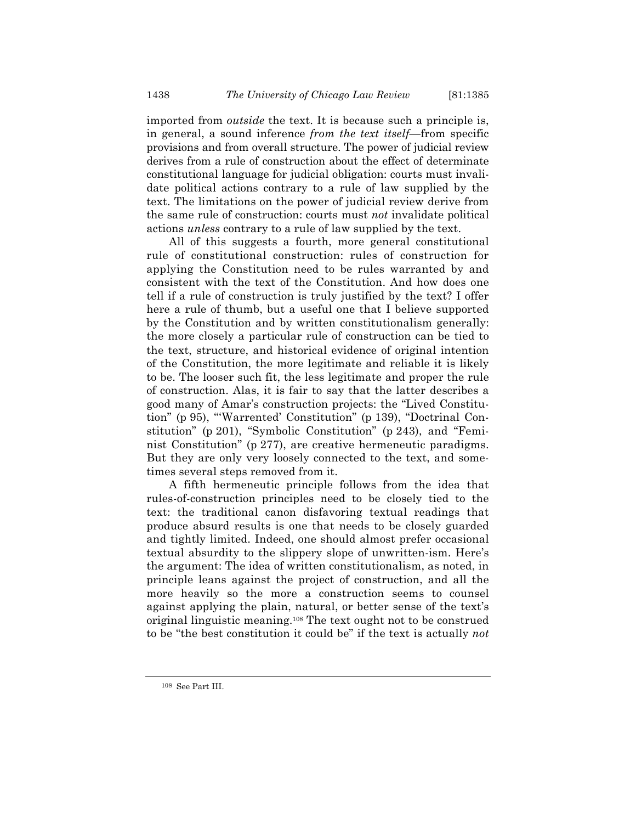imported from *outside* the text. It is because such a principle is, in general, a sound inference *from the text itself*—from specific provisions and from overall structure. The power of judicial review derives from a rule of construction about the effect of determinate constitutional language for judicial obligation: courts must invalidate political actions contrary to a rule of law supplied by the text. The limitations on the power of judicial review derive from the same rule of construction: courts must *not* invalidate political actions *unless* contrary to a rule of law supplied by the text.

All of this suggests a fourth, more general constitutional rule of constitutional construction: rules of construction for applying the Constitution need to be rules warranted by and consistent with the text of the Constitution. And how does one tell if a rule of construction is truly justified by the text? I offer here a rule of thumb, but a useful one that I believe supported by the Constitution and by written constitutionalism generally: the more closely a particular rule of construction can be tied to the text, structure, and historical evidence of original intention of the Constitution, the more legitimate and reliable it is likely to be. The looser such fit, the less legitimate and proper the rule of construction. Alas, it is fair to say that the latter describes a good many of Amar's construction projects: the "Lived Constitution" (p 95), "'Warrented' Constitution" (p 139), "Doctrinal Constitution" (p 201), "Symbolic Constitution" (p 243), and "Feminist Constitution" (p 277), are creative hermeneutic paradigms. But they are only very loosely connected to the text, and sometimes several steps removed from it.

A fifth hermeneutic principle follows from the idea that rules-of-construction principles need to be closely tied to the text: the traditional canon disfavoring textual readings that produce absurd results is one that needs to be closely guarded and tightly limited. Indeed, one should almost prefer occasional textual absurdity to the slippery slope of unwritten-ism. Here's the argument: The idea of written constitutionalism, as noted, in principle leans against the project of construction, and all the more heavily so the more a construction seems to counsel against applying the plain, natural, or better sense of the text's original linguistic meaning.108 The text ought not to be construed to be "the best constitution it could be" if the text is actually *not*

<sup>108</sup> See Part III.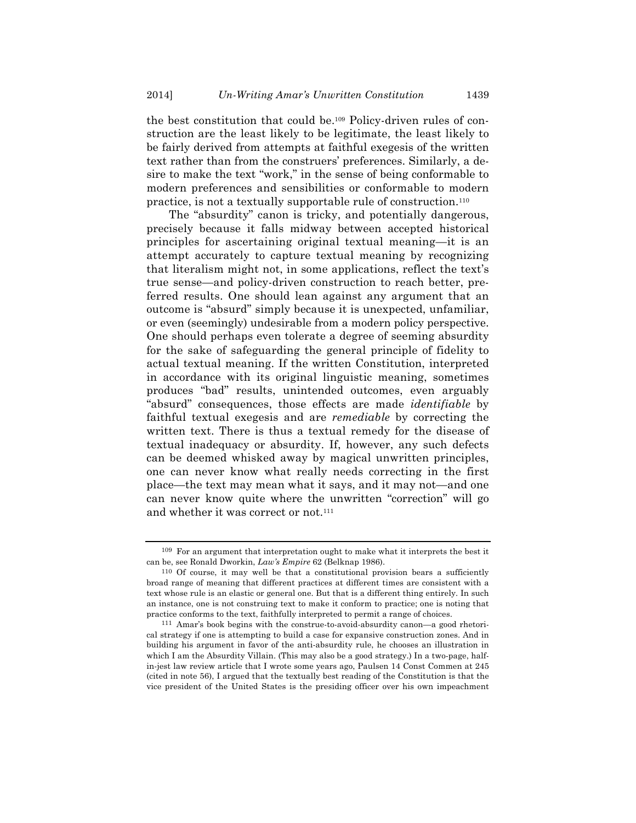the best constitution that could be.109 Policy-driven rules of construction are the least likely to be legitimate, the least likely to be fairly derived from attempts at faithful exegesis of the written text rather than from the construers' preferences. Similarly, a desire to make the text "work," in the sense of being conformable to modern preferences and sensibilities or conformable to modern practice, is not a textually supportable rule of construction.110

The "absurdity" canon is tricky, and potentially dangerous, precisely because it falls midway between accepted historical principles for ascertaining original textual meaning—it is an attempt accurately to capture textual meaning by recognizing that literalism might not, in some applications, reflect the text's true sense—and policy-driven construction to reach better, preferred results. One should lean against any argument that an outcome is "absurd" simply because it is unexpected, unfamiliar, or even (seemingly) undesirable from a modern policy perspective. One should perhaps even tolerate a degree of seeming absurdity for the sake of safeguarding the general principle of fidelity to actual textual meaning. If the written Constitution, interpreted in accordance with its original linguistic meaning, sometimes produces "bad" results, unintended outcomes, even arguably "absurd" consequences, those effects are made *identifiable* by faithful textual exegesis and are *remediable* by correcting the written text. There is thus a textual remedy for the disease of textual inadequacy or absurdity. If, however, any such defects can be deemed whisked away by magical unwritten principles, one can never know what really needs correcting in the first place—the text may mean what it says, and it may not—and one can never know quite where the unwritten "correction" will go and whether it was correct or not.111

<sup>109</sup> For an argument that interpretation ought to make what it interprets the best it can be, see Ronald Dworkin, *Law's Empire* 62 (Belknap 1986).

<sup>110</sup> Of course, it may well be that a constitutional provision bears a sufficiently broad range of meaning that different practices at different times are consistent with a text whose rule is an elastic or general one. But that is a different thing entirely. In such an instance, one is not construing text to make it conform to practice; one is noting that practice conforms to the text, faithfully interpreted to permit a range of choices.

<sup>111</sup> Amar's book begins with the construe-to-avoid-absurdity canon—a good rhetorical strategy if one is attempting to build a case for expansive construction zones. And in building his argument in favor of the anti-absurdity rule, he chooses an illustration in which I am the Absurdity Villain. (This may also be a good strategy.) In a two-page, halfin-jest law review article that I wrote some years ago, Paulsen 14 Const Commen at 245 (cited in note 56), I argued that the textually best reading of the Constitution is that the vice president of the United States is the presiding officer over his own impeachment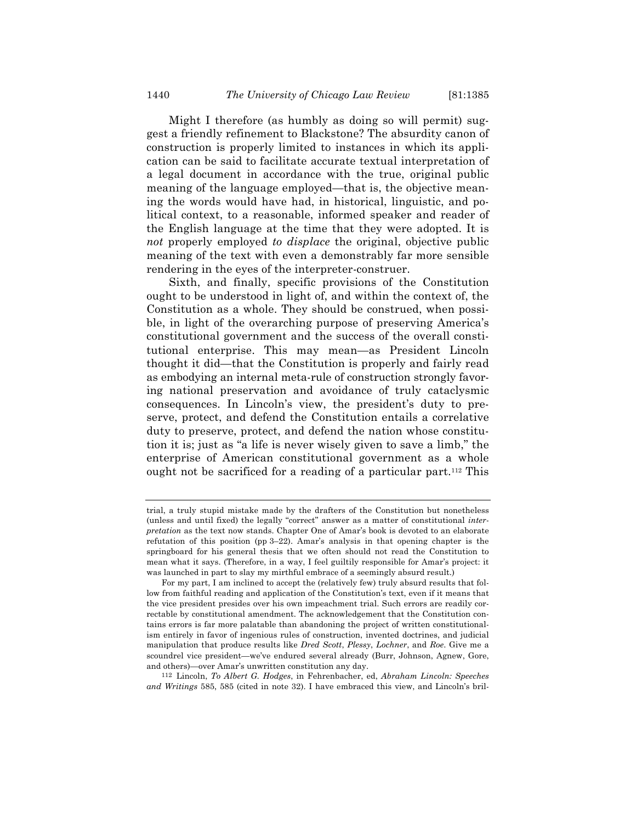Might I therefore (as humbly as doing so will permit) suggest a friendly refinement to Blackstone? The absurdity canon of construction is properly limited to instances in which its application can be said to facilitate accurate textual interpretation of a legal document in accordance with the true, original public meaning of the language employed—that is, the objective meaning the words would have had, in historical, linguistic, and political context, to a reasonable, informed speaker and reader of the English language at the time that they were adopted. It is *not* properly employed *to displace* the original, objective public meaning of the text with even a demonstrably far more sensible rendering in the eyes of the interpreter-construer.

Sixth, and finally, specific provisions of the Constitution ought to be understood in light of, and within the context of, the Constitution as a whole. They should be construed, when possible, in light of the overarching purpose of preserving America's constitutional government and the success of the overall constitutional enterprise. This may mean—as President Lincoln thought it did—that the Constitution is properly and fairly read as embodying an internal meta-rule of construction strongly favoring national preservation and avoidance of truly cataclysmic consequences. In Lincoln's view, the president's duty to preserve, protect, and defend the Constitution entails a correlative duty to preserve, protect, and defend the nation whose constitution it is; just as "a life is never wisely given to save a limb," the enterprise of American constitutional government as a whole ought not be sacrificed for a reading of a particular part.112 This

112 Lincoln, *To Albert G. Hodges*, in Fehrenbacher, ed, *Abraham Lincoln: Speeches and Writings* 585, 585 (cited in note 32). I have embraced this view, and Lincoln's bril-

trial, a truly stupid mistake made by the drafters of the Constitution but nonetheless (unless and until fixed) the legally "correct" answer as a matter of constitutional *interpretation* as the text now stands. Chapter One of Amar's book is devoted to an elaborate refutation of this position (pp 3–22). Amar's analysis in that opening chapter is the springboard for his general thesis that we often should not read the Constitution to mean what it says. (Therefore, in a way, I feel guiltily responsible for Amar's project: it was launched in part to slay my mirthful embrace of a seemingly absurd result.)

For my part, I am inclined to accept the (relatively few) truly absurd results that follow from faithful reading and application of the Constitution's text, even if it means that the vice president presides over his own impeachment trial. Such errors are readily correctable by constitutional amendment. The acknowledgement that the Constitution contains errors is far more palatable than abandoning the project of written constitutionalism entirely in favor of ingenious rules of construction, invented doctrines, and judicial manipulation that produce results like *Dred Scott*, *Plessy*, *Lochner*, and *Roe*. Give me a scoundrel vice president—we've endured several already (Burr, Johnson, Agnew, Gore, and others)—over Amar's unwritten constitution any day.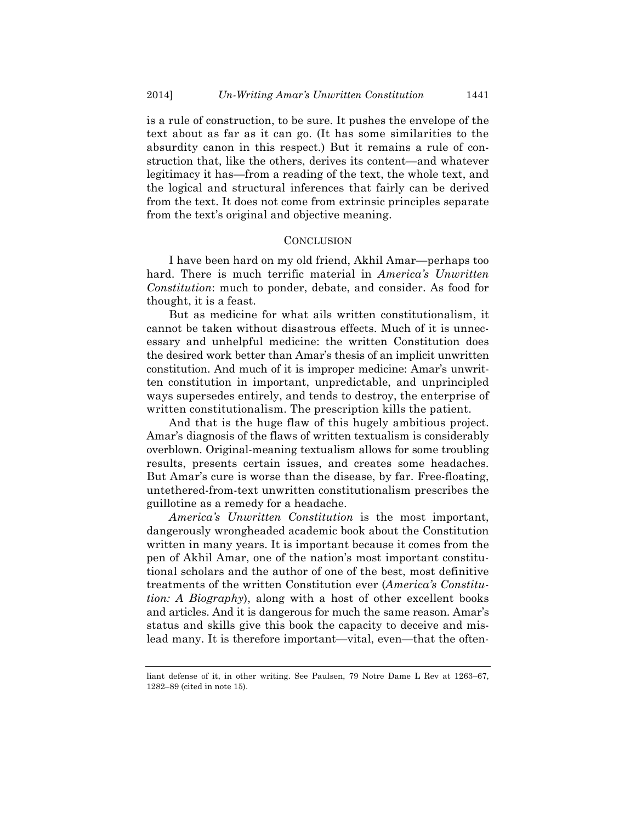is a rule of construction, to be sure. It pushes the envelope of the text about as far as it can go. (It has some similarities to the absurdity canon in this respect.) But it remains a rule of construction that, like the others, derives its content—and whatever legitimacy it has—from a reading of the text, the whole text, and the logical and structural inferences that fairly can be derived from the text. It does not come from extrinsic principles separate from the text's original and objective meaning.

#### **CONCLUSION**

I have been hard on my old friend, Akhil Amar—perhaps too hard. There is much terrific material in *America's Unwritten Constitution*: much to ponder, debate, and consider. As food for thought, it is a feast.

But as medicine for what ails written constitutionalism, it cannot be taken without disastrous effects. Much of it is unnecessary and unhelpful medicine: the written Constitution does the desired work better than Amar's thesis of an implicit unwritten constitution. And much of it is improper medicine: Amar's unwritten constitution in important, unpredictable, and unprincipled ways supersedes entirely, and tends to destroy, the enterprise of written constitutionalism. The prescription kills the patient.

And that is the huge flaw of this hugely ambitious project. Amar's diagnosis of the flaws of written textualism is considerably overblown. Original-meaning textualism allows for some troubling results, presents certain issues, and creates some headaches. But Amar's cure is worse than the disease, by far. Free-floating, untethered-from-text unwritten constitutionalism prescribes the guillotine as a remedy for a headache.

*America's Unwritten Constitution* is the most important, dangerously wrongheaded academic book about the Constitution written in many years. It is important because it comes from the pen of Akhil Amar, one of the nation's most important constitutional scholars and the author of one of the best, most definitive treatments of the written Constitution ever (*America's Constitution: A Biography*), along with a host of other excellent books and articles. And it is dangerous for much the same reason. Amar's status and skills give this book the capacity to deceive and mislead many. It is therefore important—vital, even—that the often-

liant defense of it, in other writing. See Paulsen, 79 Notre Dame L Rev at 1263–67, 1282–89 (cited in note 15).